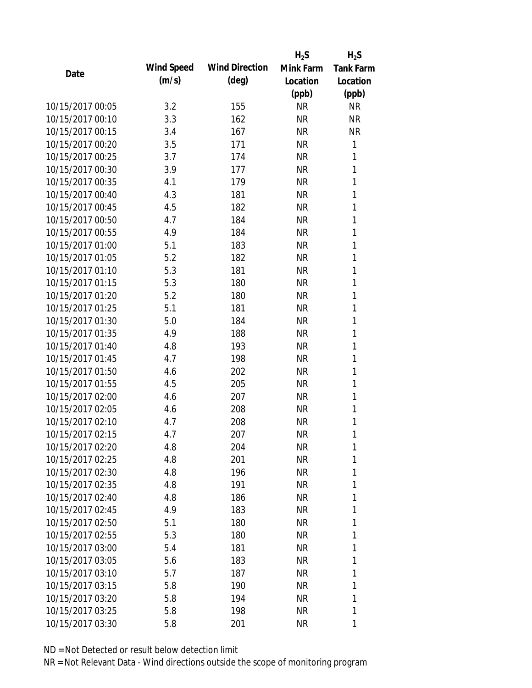|                  |            |                       | $H_2S$    | $H_2S$           |
|------------------|------------|-----------------------|-----------|------------------|
| Date             | Wind Speed | <b>Wind Direction</b> | Mink Farm | <b>Tank Farm</b> |
|                  | (m/s)      | $(\text{deg})$        | Location  | Location         |
|                  |            |                       | (ppb)     | (ppb)            |
| 10/15/2017 00:05 | 3.2        | 155                   | <b>NR</b> | <b>NR</b>        |
| 10/15/2017 00:10 | 3.3        | 162                   | <b>NR</b> | <b>NR</b>        |
| 10/15/2017 00:15 | 3.4        | 167                   | <b>NR</b> | <b>NR</b>        |
| 10/15/2017 00:20 | 3.5        | 171                   | <b>NR</b> | 1                |
| 10/15/2017 00:25 | 3.7        | 174                   | <b>NR</b> | 1                |
| 10/15/2017 00:30 | 3.9        | 177                   | <b>NR</b> | 1                |
| 10/15/2017 00:35 | 4.1        | 179                   | <b>NR</b> | 1                |
| 10/15/2017 00:40 | 4.3        | 181                   | <b>NR</b> | 1                |
| 10/15/2017 00:45 | 4.5        | 182                   | <b>NR</b> | 1                |
| 10/15/2017 00:50 | 4.7        | 184                   | <b>NR</b> | 1                |
| 10/15/2017 00:55 | 4.9        | 184                   | <b>NR</b> | 1                |
| 10/15/2017 01:00 | 5.1        | 183                   | <b>NR</b> | 1                |
| 10/15/2017 01:05 | 5.2        | 182                   | <b>NR</b> | 1                |
| 10/15/2017 01:10 | 5.3        | 181                   | <b>NR</b> | 1                |
| 10/15/2017 01:15 | 5.3        | 180                   | <b>NR</b> | 1                |
| 10/15/2017 01:20 | 5.2        | 180                   | <b>NR</b> | 1                |
| 10/15/2017 01:25 | 5.1        | 181                   | <b>NR</b> | 1                |
| 10/15/2017 01:30 | 5.0        | 184                   | <b>NR</b> | 1                |
| 10/15/2017 01:35 | 4.9        | 188                   | <b>NR</b> | 1                |
| 10/15/2017 01:40 | 4.8        | 193                   | <b>NR</b> | 1                |
| 10/15/2017 01:45 | 4.7        | 198                   | <b>NR</b> | 1                |
| 10/15/2017 01:50 | 4.6        | 202                   | <b>NR</b> | 1                |
| 10/15/2017 01:55 | 4.5        | 205                   | <b>NR</b> | 1                |
| 10/15/2017 02:00 | 4.6        | 207                   | <b>NR</b> | 1                |
| 10/15/2017 02:05 | 4.6        | 208                   | <b>NR</b> | 1                |
| 10/15/2017 02:10 | 4.7        | 208                   | <b>NR</b> | 1                |
| 10/15/2017 02:15 | 4.7        | 207                   | <b>NR</b> | 1                |
| 10/15/2017 02:20 | 4.8        | 204                   | <b>NR</b> | 1                |
| 10/15/2017 02:25 | 4.8        | 201                   | <b>NR</b> | 1                |
| 10/15/2017 02:30 | 4.8        | 196                   | <b>NR</b> | 1                |
| 10/15/2017 02:35 | 4.8        | 191                   | <b>NR</b> | 1                |
| 10/15/2017 02:40 | 4.8        | 186                   | <b>NR</b> | 1                |
| 10/15/2017 02:45 | 4.9        | 183                   | <b>NR</b> | 1                |
| 10/15/2017 02:50 | 5.1        | 180                   | <b>NR</b> | 1                |
| 10/15/2017 02:55 | 5.3        | 180                   | <b>NR</b> | 1                |
| 10/15/2017 03:00 | 5.4        | 181                   | <b>NR</b> | 1                |
| 10/15/2017 03:05 | 5.6        | 183                   | <b>NR</b> | 1                |
| 10/15/2017 03:10 | 5.7        | 187                   | NR        | 1                |
| 10/15/2017 03:15 | 5.8        | 190                   | <b>NR</b> | 1                |
| 10/15/2017 03:20 | 5.8        | 194                   | <b>NR</b> | 1                |
| 10/15/2017 03:25 | 5.8        | 198                   | <b>NR</b> | 1                |
| 10/15/2017 03:30 | 5.8        | 201                   | <b>NR</b> | 1                |
|                  |            |                       |           |                  |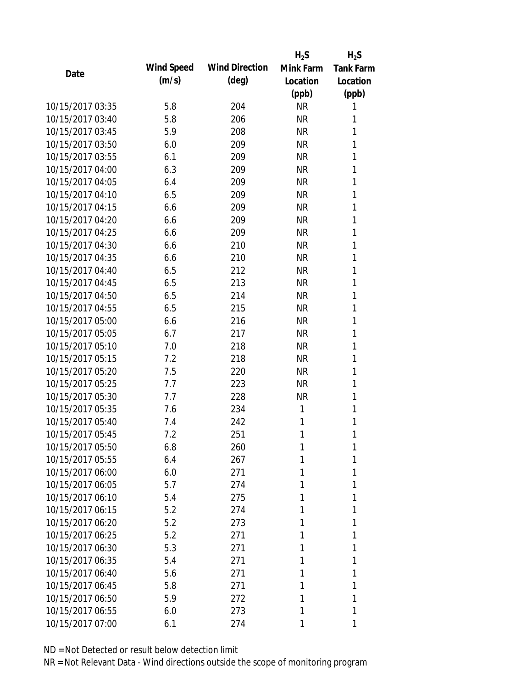|                  |            |                       | $H_2S$    | $H_2S$           |
|------------------|------------|-----------------------|-----------|------------------|
| Date             | Wind Speed | <b>Wind Direction</b> | Mink Farm | <b>Tank Farm</b> |
|                  | (m/s)      | $(\text{deg})$        | Location  | Location         |
|                  |            |                       | (ppb)     | (ppb)            |
| 10/15/2017 03:35 | 5.8        | 204                   | <b>NR</b> | 1                |
| 10/15/2017 03:40 | 5.8        | 206                   | <b>NR</b> | 1                |
| 10/15/2017 03:45 | 5.9        | 208                   | <b>NR</b> | 1                |
| 10/15/2017 03:50 | 6.0        | 209                   | NR        | 1                |
| 10/15/2017 03:55 | 6.1        | 209                   | <b>NR</b> | 1                |
| 10/15/2017 04:00 | 6.3        | 209                   | <b>NR</b> | 1                |
| 10/15/2017 04:05 | 6.4        | 209                   | <b>NR</b> | 1                |
| 10/15/2017 04:10 | 6.5        | 209                   | <b>NR</b> | 1                |
| 10/15/2017 04:15 | 6.6        | 209                   | <b>NR</b> | 1                |
| 10/15/2017 04:20 | 6.6        | 209                   | <b>NR</b> | 1                |
| 10/15/2017 04:25 | 6.6        | 209                   | <b>NR</b> | 1                |
| 10/15/2017 04:30 | 6.6        | 210                   | <b>NR</b> | 1                |
| 10/15/2017 04:35 | 6.6        | 210                   | <b>NR</b> | 1                |
| 10/15/2017 04:40 | 6.5        | 212                   | <b>NR</b> | 1                |
| 10/15/2017 04:45 | 6.5        | 213                   | <b>NR</b> | 1                |
| 10/15/2017 04:50 | 6.5        | 214                   | <b>NR</b> | 1                |
| 10/15/2017 04:55 | 6.5        | 215                   | <b>NR</b> | 1                |
| 10/15/2017 05:00 | 6.6        | 216                   | <b>NR</b> | 1                |
| 10/15/2017 05:05 | 6.7        | 217                   | <b>NR</b> | 1                |
| 10/15/2017 05:10 | 7.0        | 218                   | <b>NR</b> | 1                |
| 10/15/2017 05:15 | 7.2        | 218                   | <b>NR</b> | 1                |
| 10/15/2017 05:20 | 7.5        | 220                   | <b>NR</b> | 1                |
| 10/15/2017 05:25 | 7.7        | 223                   | <b>NR</b> | 1                |
| 10/15/2017 05:30 | 7.7        | 228                   | <b>NR</b> | 1                |
| 10/15/2017 05:35 | 7.6        | 234                   | 1         | 1                |
| 10/15/2017 05:40 | 7.4        | 242                   | 1         | 1                |
| 10/15/2017 05:45 | 7.2        | 251                   | 1         | 1                |
| 10/15/2017 05:50 | 6.8        | 260                   | 1         | 1                |
| 10/15/2017 05:55 | 6.4        | 267                   | 1         | 1                |
| 10/15/2017 06:00 | 6.0        | 271                   | 1         | 1                |
| 10/15/2017 06:05 | 5.7        | 274                   | 1         | 1                |
| 10/15/2017 06:10 | 5.4        | 275                   | 1         | 1                |
| 10/15/2017 06:15 | 5.2        | 274                   | 1         | 1                |
| 10/15/2017 06:20 | 5.2        | 273                   | 1         | 1                |
| 10/15/2017 06:25 | 5.2        | 271                   | 1         | 1                |
| 10/15/2017 06:30 | 5.3        | 271                   | 1         | 1                |
| 10/15/2017 06:35 | 5.4        | 271                   | 1         | 1                |
| 10/15/2017 06:40 | 5.6        | 271                   | 1         | 1                |
| 10/15/2017 06:45 | 5.8        | 271                   |           | 1                |
| 10/15/2017 06:50 | 5.9        | 272                   | 1         | 1                |
| 10/15/2017 06:55 | 6.0        | 273                   | 1         | 1                |
| 10/15/2017 07:00 | 6.1        | 274                   | 1         | 1                |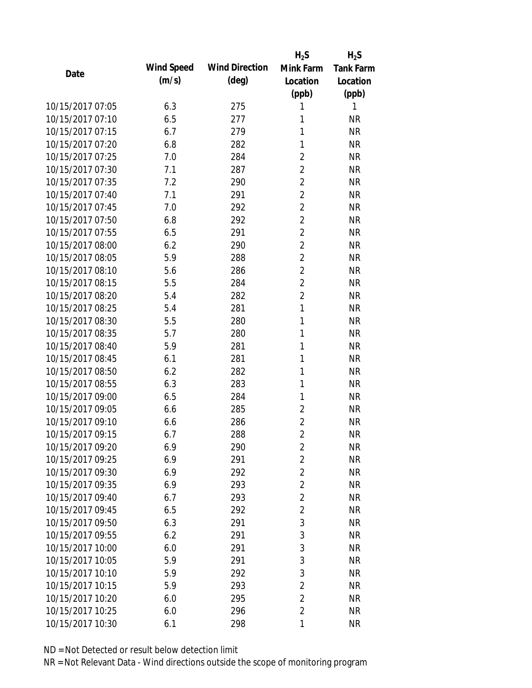|                  |            |                       | $H_2S$         | $H_2S$           |
|------------------|------------|-----------------------|----------------|------------------|
| Date             | Wind Speed | <b>Wind Direction</b> | Mink Farm      | <b>Tank Farm</b> |
|                  | (m/s)      | $(\text{deg})$        | Location       | Location         |
|                  |            |                       | (ppb)          | (ppb)            |
| 10/15/2017 07:05 | 6.3        | 275                   | 1              | 1                |
| 10/15/2017 07:10 | 6.5        | 277                   | 1              | <b>NR</b>        |
| 10/15/2017 07:15 | 6.7        | 279                   | 1              | <b>NR</b>        |
| 10/15/2017 07:20 | 6.8        | 282                   | 1              | <b>NR</b>        |
| 10/15/2017 07:25 | 7.0        | 284                   | $\overline{2}$ | <b>NR</b>        |
| 10/15/2017 07:30 | 7.1        | 287                   | $\overline{2}$ | <b>NR</b>        |
| 10/15/2017 07:35 | 7.2        | 290                   | $\overline{2}$ | <b>NR</b>        |
| 10/15/2017 07:40 | 7.1        | 291                   | $\overline{2}$ | <b>NR</b>        |
| 10/15/2017 07:45 | 7.0        | 292                   | $\overline{c}$ | <b>NR</b>        |
| 10/15/2017 07:50 | 6.8        | 292                   | $\overline{2}$ | <b>NR</b>        |
| 10/15/2017 07:55 | 6.5        | 291                   | $\overline{2}$ | <b>NR</b>        |
| 10/15/2017 08:00 | 6.2        | 290                   | $\overline{2}$ | <b>NR</b>        |
| 10/15/2017 08:05 | 5.9        | 288                   | $\overline{2}$ | <b>NR</b>        |
| 10/15/2017 08:10 | 5.6        | 286                   | $\overline{2}$ | <b>NR</b>        |
| 10/15/2017 08:15 | 5.5        | 284                   | $\overline{c}$ | <b>NR</b>        |
| 10/15/2017 08:20 | 5.4        | 282                   | $\overline{2}$ | <b>NR</b>        |
| 10/15/2017 08:25 | 5.4        | 281                   | 1              | <b>NR</b>        |
| 10/15/2017 08:30 | 5.5        | 280                   | 1              | <b>NR</b>        |
| 10/15/2017 08:35 | 5.7        | 280                   | 1              | <b>NR</b>        |
| 10/15/2017 08:40 | 5.9        | 281                   | 1              | <b>NR</b>        |
| 10/15/2017 08:45 | 6.1        | 281                   | 1              | <b>NR</b>        |
| 10/15/2017 08:50 | 6.2        | 282                   | 1              | <b>NR</b>        |
| 10/15/2017 08:55 | 6.3        | 283                   | 1              | <b>NR</b>        |
| 10/15/2017 09:00 | 6.5        | 284                   | 1              | <b>NR</b>        |
| 10/15/2017 09:05 | 6.6        | 285                   | $\overline{2}$ | <b>NR</b>        |
| 10/15/2017 09:10 | 6.6        | 286                   | $\overline{2}$ | <b>NR</b>        |
| 10/15/2017 09:15 | 6.7        | 288                   | $\overline{2}$ | <b>NR</b>        |
| 10/15/2017 09:20 | 6.9        | 290                   | $\overline{c}$ | <b>NR</b>        |
| 10/15/2017 09:25 | 6.9        | 291                   | $\overline{2}$ | <b>NR</b>        |
| 10/15/2017 09:30 | 6.9        | 292                   | $\overline{2}$ | <b>NR</b>        |
| 10/15/2017 09:35 | 6.9        | 293                   | $\overline{c}$ | <b>NR</b>        |
| 10/15/2017 09:40 | 6.7        | 293                   | $\overline{2}$ | <b>NR</b>        |
| 10/15/2017 09:45 | 6.5        | 292                   | $\overline{2}$ | <b>NR</b>        |
| 10/15/2017 09:50 | 6.3        | 291                   | 3              | <b>NR</b>        |
| 10/15/2017 09:55 | 6.2        | 291                   | 3              | <b>NR</b>        |
| 10/15/2017 10:00 | 6.0        | 291                   | 3              | <b>NR</b>        |
| 10/15/2017 10:05 | 5.9        | 291                   | 3              | <b>NR</b>        |
| 10/15/2017 10:10 | 5.9        | 292                   | 3              | <b>NR</b>        |
| 10/15/2017 10:15 | 5.9        | 293                   | $\overline{2}$ | <b>NR</b>        |
| 10/15/2017 10:20 | 6.0        | 295                   | $\overline{2}$ | <b>NR</b>        |
| 10/15/2017 10:25 | 6.0        | 296                   | $\overline{2}$ | <b>NR</b>        |
| 10/15/2017 10:30 | 6.1        | 298                   | 1              | <b>NR</b>        |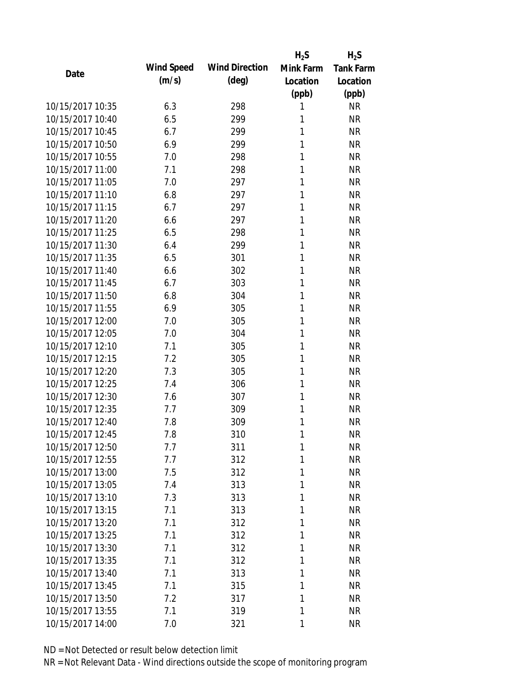|                  |            |                       | $H_2S$    | $H_2S$           |
|------------------|------------|-----------------------|-----------|------------------|
| Date             | Wind Speed | <b>Wind Direction</b> | Mink Farm | <b>Tank Farm</b> |
|                  | (m/s)      | $(\text{deg})$        | Location  | Location         |
|                  |            |                       | (ppb)     | (ppb)            |
| 10/15/2017 10:35 | 6.3        | 298                   | 1         | <b>NR</b>        |
| 10/15/2017 10:40 | 6.5        | 299                   | 1         | <b>NR</b>        |
| 10/15/2017 10:45 | 6.7        | 299                   | 1         | <b>NR</b>        |
| 10/15/2017 10:50 | 6.9        | 299                   | 1         | <b>NR</b>        |
| 10/15/2017 10:55 | 7.0        | 298                   | 1         | <b>NR</b>        |
| 10/15/2017 11:00 | 7.1        | 298                   | 1         | <b>NR</b>        |
| 10/15/2017 11:05 | 7.0        | 297                   | 1         | <b>NR</b>        |
| 10/15/2017 11:10 | 6.8        | 297                   | 1         | <b>NR</b>        |
| 10/15/2017 11:15 | 6.7        | 297                   | 1         | <b>NR</b>        |
| 10/15/2017 11:20 | 6.6        | 297                   | 1         | <b>NR</b>        |
| 10/15/2017 11:25 | 6.5        | 298                   | 1         | <b>NR</b>        |
| 10/15/2017 11:30 | 6.4        | 299                   | 1         | <b>NR</b>        |
| 10/15/2017 11:35 | 6.5        | 301                   | 1         | <b>NR</b>        |
| 10/15/2017 11:40 | 6.6        | 302                   | 1         | <b>NR</b>        |
| 10/15/2017 11:45 | 6.7        | 303                   | 1         | <b>NR</b>        |
| 10/15/2017 11:50 | 6.8        | 304                   | 1         | <b>NR</b>        |
| 10/15/2017 11:55 | 6.9        | 305                   | 1         | <b>NR</b>        |
| 10/15/2017 12:00 | 7.0        | 305                   | 1         | <b>NR</b>        |
| 10/15/2017 12:05 | 7.0        | 304                   | 1         | <b>NR</b>        |
| 10/15/2017 12:10 | 7.1        | 305                   | 1         | <b>NR</b>        |
| 10/15/2017 12:15 | 7.2        | 305                   | 1         | <b>NR</b>        |
| 10/15/2017 12:20 | 7.3        | 305                   | 1         | <b>NR</b>        |
| 10/15/2017 12:25 | 7.4        | 306                   | 1         | <b>NR</b>        |
| 10/15/2017 12:30 | 7.6        | 307                   | 1         | <b>NR</b>        |
| 10/15/2017 12:35 | 7.7        | 309                   | 1         | <b>NR</b>        |
| 10/15/2017 12:40 | 7.8        | 309                   | 1         | <b>NR</b>        |
| 10/15/2017 12:45 | 7.8        | 310                   | 1         | <b>NR</b>        |
| 10/15/2017 12:50 | 7.7        | 311                   | 1         | <b>NR</b>        |
| 10/15/2017 12:55 | 7.7        | 312                   | 1         | <b>NR</b>        |
| 10/15/2017 13:00 | 7.5        | 312                   | 1         | <b>NR</b>        |
| 10/15/2017 13:05 | 7.4        | 313                   | 1         | <b>NR</b>        |
| 10/15/2017 13:10 | 7.3        | 313                   | 1         | <b>NR</b>        |
| 10/15/2017 13:15 | 7.1        | 313                   | 1         | <b>NR</b>        |
| 10/15/2017 13:20 | 7.1        | 312                   | 1         | <b>NR</b>        |
| 10/15/2017 13:25 | 7.1        | 312                   | 1         | <b>NR</b>        |
| 10/15/2017 13:30 | 7.1        | 312                   | 1         | <b>NR</b>        |
| 10/15/2017 13:35 | 7.1        | 312                   | 1         | <b>NR</b>        |
| 10/15/2017 13:40 | 7.1        | 313                   | 1         | <b>NR</b>        |
| 10/15/2017 13:45 | 7.1        | 315                   | 1         | <b>NR</b>        |
| 10/15/2017 13:50 | 7.2        | 317                   | 1         | <b>NR</b>        |
| 10/15/2017 13:55 | 7.1        | 319                   | 1         | <b>NR</b>        |
| 10/15/2017 14:00 | 7.0        | 321                   | 1         | <b>NR</b>        |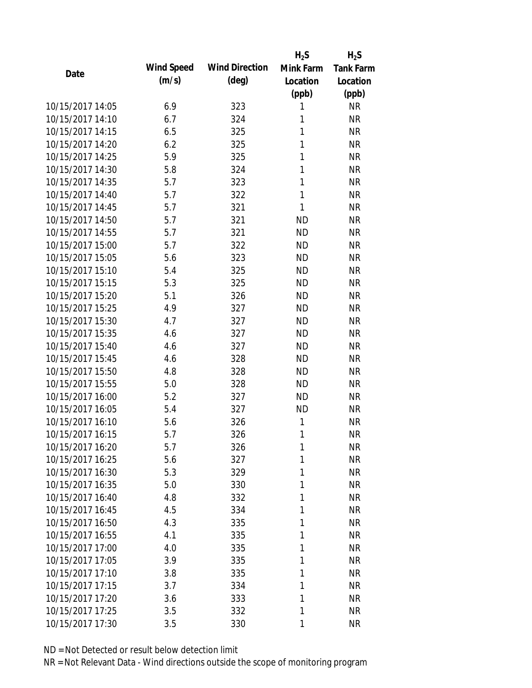|                  |            |                       | $H_2S$    | $H_2S$           |
|------------------|------------|-----------------------|-----------|------------------|
| Date             | Wind Speed | <b>Wind Direction</b> | Mink Farm | <b>Tank Farm</b> |
|                  | (m/s)      | $(\text{deg})$        | Location  | Location         |
|                  |            |                       | (ppb)     | (ppb)            |
| 10/15/2017 14:05 | 6.9        | 323                   | 1         | <b>NR</b>        |
| 10/15/2017 14:10 | 6.7        | 324                   | 1         | <b>NR</b>        |
| 10/15/2017 14:15 | 6.5        | 325                   | 1         | <b>NR</b>        |
| 10/15/2017 14:20 | 6.2        | 325                   | 1         | <b>NR</b>        |
| 10/15/2017 14:25 | 5.9        | 325                   | 1         | <b>NR</b>        |
| 10/15/2017 14:30 | 5.8        | 324                   | 1         | <b>NR</b>        |
| 10/15/2017 14:35 | 5.7        | 323                   | 1         | <b>NR</b>        |
| 10/15/2017 14:40 | 5.7        | 322                   | 1         | <b>NR</b>        |
| 10/15/2017 14:45 | 5.7        | 321                   | 1         | <b>NR</b>        |
| 10/15/2017 14:50 | 5.7        | 321                   | <b>ND</b> | <b>NR</b>        |
| 10/15/2017 14:55 | 5.7        | 321                   | <b>ND</b> | <b>NR</b>        |
| 10/15/2017 15:00 | 5.7        | 322                   | <b>ND</b> | <b>NR</b>        |
| 10/15/2017 15:05 | 5.6        | 323                   | <b>ND</b> | <b>NR</b>        |
| 10/15/2017 15:10 | 5.4        | 325                   | <b>ND</b> | <b>NR</b>        |
| 10/15/2017 15:15 | 5.3        | 325                   | <b>ND</b> | <b>NR</b>        |
| 10/15/2017 15:20 | 5.1        | 326                   | <b>ND</b> | <b>NR</b>        |
| 10/15/2017 15:25 | 4.9        | 327                   | <b>ND</b> | <b>NR</b>        |
| 10/15/2017 15:30 | 4.7        | 327                   | <b>ND</b> | <b>NR</b>        |
| 10/15/2017 15:35 | 4.6        | 327                   | <b>ND</b> | <b>NR</b>        |
| 10/15/2017 15:40 | 4.6        | 327                   | <b>ND</b> | <b>NR</b>        |
| 10/15/2017 15:45 | 4.6        | 328                   | <b>ND</b> | <b>NR</b>        |
| 10/15/2017 15:50 | 4.8        | 328                   | <b>ND</b> | <b>NR</b>        |
| 10/15/2017 15:55 | 5.0        | 328                   | <b>ND</b> | <b>NR</b>        |
| 10/15/2017 16:00 | 5.2        | 327                   | <b>ND</b> | <b>NR</b>        |
| 10/15/2017 16:05 | 5.4        | 327                   | <b>ND</b> | <b>NR</b>        |
| 10/15/2017 16:10 | 5.6        | 326                   | 1         | <b>NR</b>        |
| 10/15/2017 16:15 | 5.7        | 326                   | 1         | <b>NR</b>        |
| 10/15/2017 16:20 | 5.7        | 326                   | 1         | <b>NR</b>        |
| 10/15/2017 16:25 | 5.6        | 327                   | 1         | <b>NR</b>        |
| 10/15/2017 16:30 | 5.3        | 329                   | 1         | <b>NR</b>        |
| 10/15/2017 16:35 | 5.0        | 330                   | 1         | <b>NR</b>        |
| 10/15/2017 16:40 | 4.8        | 332                   | 1         | <b>NR</b>        |
| 10/15/2017 16:45 | 4.5        | 334                   | 1         | <b>NR</b>        |
| 10/15/2017 16:50 | 4.3        | 335                   | 1         | <b>NR</b>        |
| 10/15/2017 16:55 | 4.1        | 335                   | 1         | <b>NR</b>        |
| 10/15/2017 17:00 | 4.0        | 335                   | 1         | <b>NR</b>        |
| 10/15/2017 17:05 | 3.9        | 335                   | 1         | <b>NR</b>        |
| 10/15/2017 17:10 | 3.8        | 335                   | 1         | <b>NR</b>        |
| 10/15/2017 17:15 | 3.7        | 334                   | 1         | <b>NR</b>        |
| 10/15/2017 17:20 | 3.6        | 333                   | 1         | <b>NR</b>        |
| 10/15/2017 17:25 | 3.5        | 332                   | 1         | <b>NR</b>        |
| 10/15/2017 17:30 | 3.5        | 330                   | 1         | <b>NR</b>        |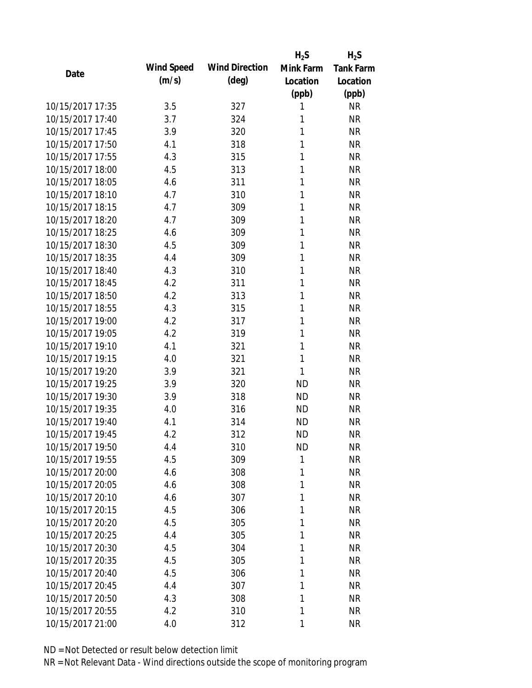|                  |            |                       | $H_2S$    | $H_2S$           |
|------------------|------------|-----------------------|-----------|------------------|
| Date             | Wind Speed | <b>Wind Direction</b> | Mink Farm | <b>Tank Farm</b> |
|                  | (m/s)      | $(\text{deg})$        | Location  | Location         |
|                  |            |                       | (ppb)     | (ppb)            |
| 10/15/2017 17:35 | 3.5        | 327                   | 1         | <b>NR</b>        |
| 10/15/2017 17:40 | 3.7        | 324                   | 1         | <b>NR</b>        |
| 10/15/2017 17:45 | 3.9        | 320                   | 1         | <b>NR</b>        |
| 10/15/2017 17:50 | 4.1        | 318                   | 1         | <b>NR</b>        |
| 10/15/2017 17:55 | 4.3        | 315                   | 1         | <b>NR</b>        |
| 10/15/2017 18:00 | 4.5        | 313                   | 1         | <b>NR</b>        |
| 10/15/2017 18:05 | 4.6        | 311                   | 1         | <b>NR</b>        |
| 10/15/2017 18:10 | 4.7        | 310                   | 1         | <b>NR</b>        |
| 10/15/2017 18:15 | 4.7        | 309                   | 1         | <b>NR</b>        |
| 10/15/2017 18:20 | 4.7        | 309                   | 1         | <b>NR</b>        |
| 10/15/2017 18:25 | 4.6        | 309                   | 1         | <b>NR</b>        |
| 10/15/2017 18:30 | 4.5        | 309                   | 1         | <b>NR</b>        |
| 10/15/2017 18:35 | 4.4        | 309                   | 1         | <b>NR</b>        |
| 10/15/2017 18:40 | 4.3        | 310                   | 1         | <b>NR</b>        |
| 10/15/2017 18:45 | 4.2        | 311                   | 1         | <b>NR</b>        |
| 10/15/2017 18:50 | 4.2        | 313                   | 1         | <b>NR</b>        |
| 10/15/2017 18:55 | 4.3        | 315                   | 1         | <b>NR</b>        |
| 10/15/2017 19:00 | 4.2        | 317                   | 1         | <b>NR</b>        |
| 10/15/2017 19:05 | 4.2        | 319                   | 1         | <b>NR</b>        |
| 10/15/2017 19:10 | 4.1        | 321                   | 1         | <b>NR</b>        |
| 10/15/2017 19:15 | 4.0        | 321                   | 1         | <b>NR</b>        |
| 10/15/2017 19:20 | 3.9        | 321                   | 1         | <b>NR</b>        |
| 10/15/2017 19:25 | 3.9        | 320                   | <b>ND</b> | <b>NR</b>        |
| 10/15/2017 19:30 | 3.9        | 318                   | <b>ND</b> | <b>NR</b>        |
| 10/15/2017 19:35 | 4.0        | 316                   | <b>ND</b> | <b>NR</b>        |
| 10/15/2017 19:40 | 4.1        | 314                   | <b>ND</b> | <b>NR</b>        |
| 10/15/2017 19:45 | 4.2        | 312                   | <b>ND</b> | <b>NR</b>        |
| 10/15/2017 19:50 | 4.4        | 310                   | ND        | <b>NR</b>        |
| 10/15/2017 19:55 | 4.5        | 309                   | 1         | <b>NR</b>        |
| 10/15/2017 20:00 | 4.6        | 308                   | 1         | <b>NR</b>        |
| 10/15/2017 20:05 | 4.6        | 308                   | 1         | <b>NR</b>        |
| 10/15/2017 20:10 | 4.6        | 307                   | 1         | <b>NR</b>        |
| 10/15/2017 20:15 | 4.5        | 306                   | 1         | <b>NR</b>        |
| 10/15/2017 20:20 | 4.5        | 305                   | 1         | <b>NR</b>        |
| 10/15/2017 20:25 | 4.4        | 305                   | 1         | <b>NR</b>        |
| 10/15/2017 20:30 | 4.5        | 304                   | 1         | <b>NR</b>        |
| 10/15/2017 20:35 | 4.5        | 305                   | 1         | <b>NR</b>        |
| 10/15/2017 20:40 | 4.5        | 306                   | 1         | <b>NR</b>        |
| 10/15/2017 20:45 | 4.4        | 307                   | 1         | <b>NR</b>        |
| 10/15/2017 20:50 | 4.3        | 308                   | 1         | <b>NR</b>        |
| 10/15/2017 20:55 | 4.2        | 310                   | 1         | <b>NR</b>        |
| 10/15/2017 21:00 | 4.0        | 312                   | 1         | <b>NR</b>        |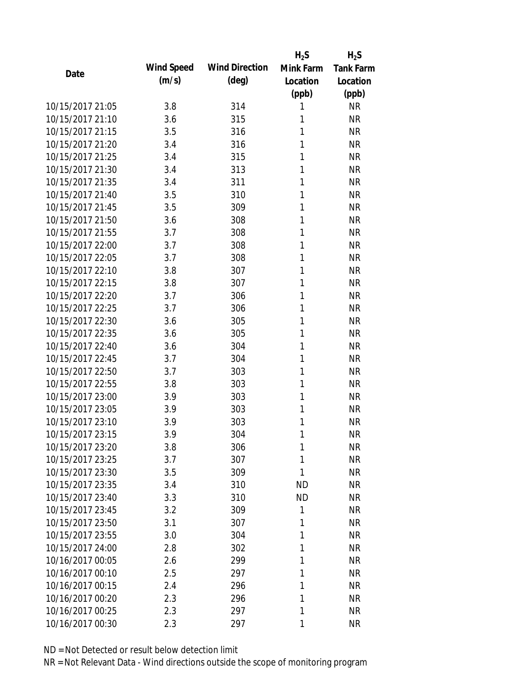|                  |            |                       | $H_2S$    | $H_2S$           |
|------------------|------------|-----------------------|-----------|------------------|
| Date             | Wind Speed | <b>Wind Direction</b> | Mink Farm | <b>Tank Farm</b> |
|                  | (m/s)      | $(\text{deg})$        | Location  | Location         |
|                  |            |                       | (ppb)     | (ppb)            |
| 10/15/2017 21:05 | 3.8        | 314                   | 1         | <b>NR</b>        |
| 10/15/2017 21:10 | 3.6        | 315                   | 1         | <b>NR</b>        |
| 10/15/2017 21:15 | 3.5        | 316                   | 1         | <b>NR</b>        |
| 10/15/2017 21:20 | 3.4        | 316                   | 1         | <b>NR</b>        |
| 10/15/2017 21:25 | 3.4        | 315                   | 1         | <b>NR</b>        |
| 10/15/2017 21:30 | 3.4        | 313                   | 1         | <b>NR</b>        |
| 10/15/2017 21:35 | 3.4        | 311                   | 1         | <b>NR</b>        |
| 10/15/2017 21:40 | 3.5        | 310                   | 1         | <b>NR</b>        |
| 10/15/2017 21:45 | 3.5        | 309                   | 1         | <b>NR</b>        |
| 10/15/2017 21:50 | 3.6        | 308                   | 1         | <b>NR</b>        |
| 10/15/2017 21:55 | 3.7        | 308                   | 1         | <b>NR</b>        |
| 10/15/2017 22:00 | 3.7        | 308                   | 1         | $\sf NR$         |
| 10/15/2017 22:05 | 3.7        | 308                   | 1         | <b>NR</b>        |
| 10/15/2017 22:10 | 3.8        | 307                   | 1         | <b>NR</b>        |
| 10/15/2017 22:15 | 3.8        | 307                   | 1         | <b>NR</b>        |
| 10/15/2017 22:20 | 3.7        | 306                   | 1         | <b>NR</b>        |
| 10/15/2017 22:25 | 3.7        | 306                   | 1         | <b>NR</b>        |
| 10/15/2017 22:30 | 3.6        | 305                   | 1         | <b>NR</b>        |
| 10/15/2017 22:35 | 3.6        | 305                   | 1         | <b>NR</b>        |
| 10/15/2017 22:40 | 3.6        | 304                   | 1         | <b>NR</b>        |
| 10/15/2017 22:45 | 3.7        | 304                   | 1         | <b>NR</b>        |
| 10/15/2017 22:50 | 3.7        | 303                   | 1         | <b>NR</b>        |
| 10/15/2017 22:55 | 3.8        | 303                   | 1         | <b>NR</b>        |
| 10/15/2017 23:00 | 3.9        | 303                   | 1         | <b>NR</b>        |
| 10/15/2017 23:05 | 3.9        | 303                   | 1         | <b>NR</b>        |
| 10/15/2017 23:10 | 3.9        | 303                   | 1         | <b>NR</b>        |
| 10/15/2017 23:15 | 3.9        | 304                   | 1         | <b>NR</b>        |
| 10/15/2017 23:20 | 3.8        | 306                   | 1         | <b>NR</b>        |
| 10/15/2017 23:25 | 3.7        | 307                   | 1         | <b>NR</b>        |
| 10/15/2017 23:30 | 3.5        | 309                   | 1         | <b>NR</b>        |
| 10/15/2017 23:35 | 3.4        | 310                   | ND        | <b>NR</b>        |
| 10/15/2017 23:40 | 3.3        | 310                   | <b>ND</b> | <b>NR</b>        |
| 10/15/2017 23:45 | 3.2        | 309                   | 1         | <b>NR</b>        |
| 10/15/2017 23:50 | 3.1        | 307                   | 1         | <b>NR</b>        |
| 10/15/2017 23:55 | 3.0        | 304                   | 1         | <b>NR</b>        |
| 10/15/2017 24:00 | 2.8        | 302                   | 1         | <b>NR</b>        |
| 10/16/2017 00:05 | 2.6        | 299                   | 1         | <b>NR</b>        |
| 10/16/2017 00:10 | 2.5        | 297                   | 1         | <b>NR</b>        |
| 10/16/2017 00:15 | 2.4        | 296                   | 1         | <b>NR</b>        |
| 10/16/2017 00:20 | 2.3        | 296                   | 1         | <b>NR</b>        |
| 10/16/2017 00:25 | 2.3        | 297                   | 1         | <b>NR</b>        |
| 10/16/2017 00:30 | 2.3        | 297                   | 1         | <b>NR</b>        |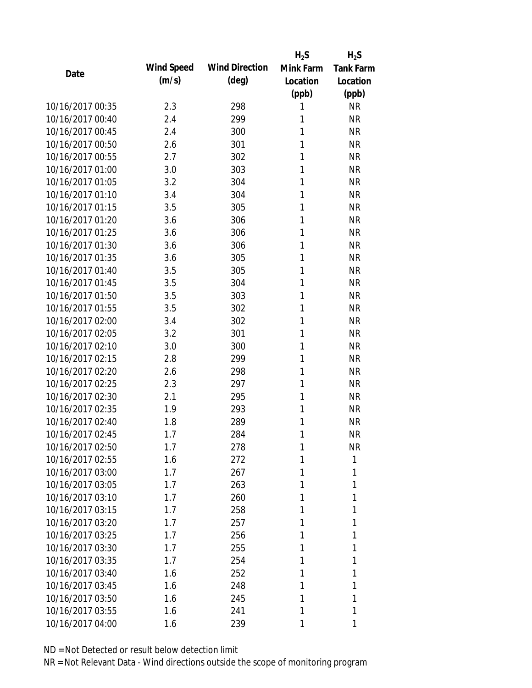|                  |            |                       | $H_2S$    | $H_2S$           |
|------------------|------------|-----------------------|-----------|------------------|
| Date             | Wind Speed | <b>Wind Direction</b> | Mink Farm | <b>Tank Farm</b> |
|                  | (m/s)      | $(\text{deg})$        | Location  | Location         |
|                  |            |                       | (ppb)     | (ppb)            |
| 10/16/2017 00:35 | 2.3        | 298                   | 1         | <b>NR</b>        |
| 10/16/2017 00:40 | 2.4        | 299                   | 1         | <b>NR</b>        |
| 10/16/2017 00:45 | 2.4        | 300                   | 1         | <b>NR</b>        |
| 10/16/2017 00:50 | 2.6        | 301                   | 1         | <b>NR</b>        |
| 10/16/2017 00:55 | 2.7        | 302                   | 1         | <b>NR</b>        |
| 10/16/2017 01:00 | 3.0        | 303                   | 1         | <b>NR</b>        |
| 10/16/2017 01:05 | 3.2        | 304                   | 1         | <b>NR</b>        |
| 10/16/2017 01:10 | 3.4        | 304                   | 1         | <b>NR</b>        |
| 10/16/2017 01:15 | 3.5        | 305                   | 1         | <b>NR</b>        |
| 10/16/2017 01:20 | 3.6        | 306                   | 1         | <b>NR</b>        |
| 10/16/2017 01:25 | 3.6        | 306                   | 1         | <b>NR</b>        |
| 10/16/2017 01:30 | 3.6        | 306                   | 1         | <b>NR</b>        |
| 10/16/2017 01:35 | 3.6        | 305                   | 1         | <b>NR</b>        |
| 10/16/2017 01:40 | 3.5        | 305                   | 1         | <b>NR</b>        |
| 10/16/2017 01:45 | 3.5        | 304                   | 1         | <b>NR</b>        |
| 10/16/2017 01:50 | 3.5        | 303                   | 1         | <b>NR</b>        |
| 10/16/2017 01:55 | 3.5        | 302                   | 1         | <b>NR</b>        |
| 10/16/2017 02:00 | 3.4        | 302                   | 1         | <b>NR</b>        |
| 10/16/2017 02:05 | 3.2        | 301                   | 1         | <b>NR</b>        |
| 10/16/2017 02:10 | 3.0        | 300                   | 1         | <b>NR</b>        |
| 10/16/2017 02:15 | 2.8        | 299                   | 1         | <b>NR</b>        |
| 10/16/2017 02:20 | 2.6        | 298                   | 1         | <b>NR</b>        |
| 10/16/2017 02:25 | 2.3        | 297                   | 1         | <b>NR</b>        |
| 10/16/2017 02:30 | 2.1        | 295                   | 1         | <b>NR</b>        |
| 10/16/2017 02:35 | 1.9        | 293                   | 1         | <b>NR</b>        |
| 10/16/2017 02:40 | 1.8        | 289                   | 1         | <b>NR</b>        |
| 10/16/2017 02:45 | 1.7        | 284                   | 1         | <b>NR</b>        |
| 10/16/2017 02:50 | 1.7        | 278                   | 1         | <b>NR</b>        |
| 10/16/2017 02:55 | 1.6        | 272                   | 1         | 1                |
| 10/16/2017 03:00 | 1.7        | 267                   |           | 1                |
| 10/16/2017 03:05 | 1.7        | 263                   | 1         | 1                |
| 10/16/2017 03:10 | 1.7        | 260                   | 1         | 1                |
| 10/16/2017 03:15 | 1.7        | 258                   | 1         | 1                |
| 10/16/2017 03:20 | 1.7        | 257                   | 1         | 1                |
| 10/16/2017 03:25 | 1.7        | 256                   | 1         | 1                |
| 10/16/2017 03:30 | 1.7        | 255                   | 1         | 1                |
| 10/16/2017 03:35 | 1.7        | 254                   | 1         | 1                |
| 10/16/2017 03:40 | 1.6        | 252                   | 1         | 1                |
| 10/16/2017 03:45 | 1.6        | 248                   | 1         | 1                |
| 10/16/2017 03:50 | 1.6        | 245                   | 1         | 1                |
| 10/16/2017 03:55 | 1.6        | 241                   | 1         | 1                |
| 10/16/2017 04:00 | 1.6        | 239                   | 1         | 1                |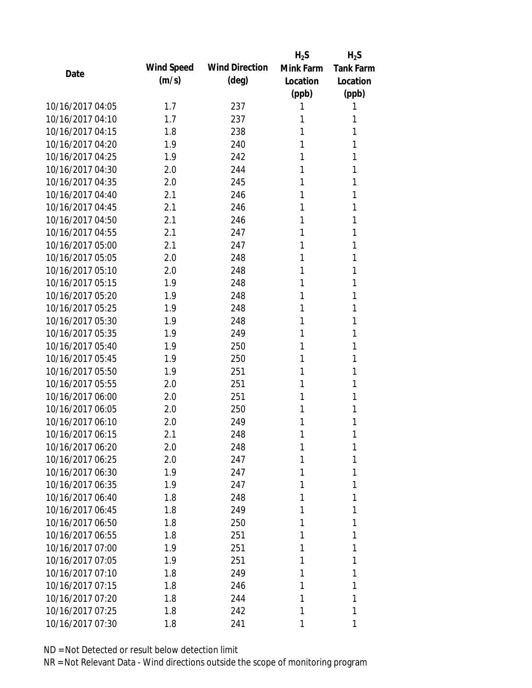|                  |            |                       | $H_2S$    | $H_2S$           |
|------------------|------------|-----------------------|-----------|------------------|
| Date             | Wind Speed | <b>Wind Direction</b> | Mink Farm | <b>Tank Farm</b> |
|                  | (m/s)      | $(\text{deg})$        | Location  | Location         |
|                  |            |                       | (ppb)     | (ppb)            |
| 10/16/2017 04:05 | 1.7        | 237                   |           |                  |
| 10/16/2017 04:10 | 1.7        | 237                   | 1         | 1                |
| 10/16/2017 04:15 | 1.8        | 238                   | 1         | 1                |
| 10/16/2017 04:20 | 1.9        | 240                   | 1         | 1                |
| 10/16/2017 04:25 | 1.9        | 242                   | 1         | 1                |
| 10/16/2017 04:30 | 2.0        | 244                   | 1         | 1                |
| 10/16/2017 04:35 | 2.0        | 245                   | 1         | 1                |
| 10/16/2017 04:40 | 2.1        | 246                   | 1         | 1                |
| 10/16/2017 04:45 | 2.1        | 246                   | 1         | 1                |
| 10/16/2017 04:50 | 2.1        | 246                   | 1         | 1                |
| 10/16/2017 04:55 | 2.1        | 247                   | 1         | 1                |
| 10/16/2017 05:00 | 2.1        | 247                   | 1         | 1                |
| 10/16/2017 05:05 | 2.0        | 248                   | 1         | 1                |
| 10/16/2017 05:10 | 2.0        | 248                   | 1         | 1                |
| 10/16/2017 05:15 | 1.9        | 248                   | 1         | 1                |
| 10/16/2017 05:20 | 1.9        | 248                   | 1         | 1                |
| 10/16/2017 05:25 | 1.9        | 248                   | 1         | 1                |
| 10/16/2017 05:30 | 1.9        | 248                   | 1         | 1                |
| 10/16/2017 05:35 | 1.9        | 249                   | 1         | 1                |
| 10/16/2017 05:40 | 1.9        | 250                   | 1         | 1                |
| 10/16/2017 05:45 | 1.9        | 250                   | 1         | 1                |
| 10/16/2017 05:50 | 1.9        | 251                   | 1         | 1                |
| 10/16/2017 05:55 | 2.0        | 251                   | 1         | 1                |
| 10/16/2017 06:00 | 2.0        | 251                   | 1         | 1                |
| 10/16/2017 06:05 | 2.0        | 250                   | 1         | 1                |
| 10/16/2017 06:10 | 2.0        | 249                   | 1         | 1                |
| 10/16/2017 06:15 | 2.1        | 248                   | 1         | 1                |
| 10/16/2017 06:20 | 2.0        | 248                   | 1         | 1                |
| 10/16/2017 06:25 | 2.0        | 247                   | 1         | 1                |
| 10/16/2017 06:30 | 1.9        | 247                   |           | 1                |
| 10/16/2017 06:35 | 1.9        | 247                   | 1         | 1                |
| 10/16/2017 06:40 | 1.8        | 248                   | 1         | 1                |
| 10/16/2017 06:45 | 1.8        | 249                   | 1         | 1                |
| 10/16/2017 06:50 | 1.8        | 250                   |           | 1                |
| 10/16/2017 06:55 | 1.8        | 251                   | 1         | 1                |
| 10/16/2017 07:00 | 1.9        | 251                   | 1         | 1                |
| 10/16/2017 07:05 | 1.9        | 251                   |           | 1                |
| 10/16/2017 07:10 | 1.8        | 249                   | 1         | 1                |
| 10/16/2017 07:15 | 1.8        | 246                   | 1         | 1                |
| 10/16/2017 07:20 | 1.8        | 244                   | 1         | 1                |
| 10/16/2017 07:25 | 1.8        | 242                   | 1         | 1                |
| 10/16/2017 07:30 | 1.8        | 241                   | 1         | 1                |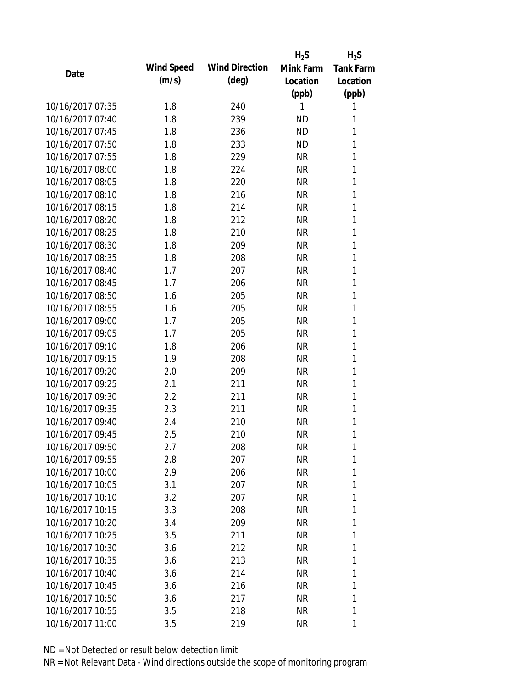|                  |            |                       | $H_2S$    | $H_2S$           |
|------------------|------------|-----------------------|-----------|------------------|
| Date             | Wind Speed | <b>Wind Direction</b> | Mink Farm | <b>Tank Farm</b> |
|                  | (m/s)      | $(\text{deg})$        | Location  | Location         |
|                  |            |                       | (ppb)     | (ppb)            |
| 10/16/2017 07:35 | 1.8        | 240                   | 1         | 1                |
| 10/16/2017 07:40 | 1.8        | 239                   | ND        | 1                |
| 10/16/2017 07:45 | 1.8        | 236                   | <b>ND</b> | 1                |
| 10/16/2017 07:50 | 1.8        | 233                   | <b>ND</b> | 1                |
| 10/16/2017 07:55 | 1.8        | 229                   | <b>NR</b> | 1                |
| 10/16/2017 08:00 | 1.8        | 224                   | <b>NR</b> | 1                |
| 10/16/2017 08:05 | 1.8        | 220                   | <b>NR</b> | 1                |
| 10/16/2017 08:10 | 1.8        | 216                   | <b>NR</b> | 1                |
| 10/16/2017 08:15 | 1.8        | 214                   | <b>NR</b> | 1                |
| 10/16/2017 08:20 | 1.8        | 212                   | <b>NR</b> | 1                |
| 10/16/2017 08:25 | 1.8        | 210                   | <b>NR</b> | 1                |
| 10/16/2017 08:30 | 1.8        | 209                   | <b>NR</b> | 1                |
| 10/16/2017 08:35 | 1.8        | 208                   | <b>NR</b> | 1                |
| 10/16/2017 08:40 | 1.7        | 207                   | <b>NR</b> | 1                |
| 10/16/2017 08:45 | 1.7        | 206                   | <b>NR</b> | 1                |
| 10/16/2017 08:50 | 1.6        | 205                   | <b>NR</b> | 1                |
| 10/16/2017 08:55 | 1.6        | 205                   | <b>NR</b> | 1                |
| 10/16/2017 09:00 | 1.7        | 205                   | <b>NR</b> | 1                |
| 10/16/2017 09:05 | 1.7        | 205                   | <b>NR</b> | 1                |
| 10/16/2017 09:10 | 1.8        | 206                   | <b>NR</b> | 1                |
| 10/16/2017 09:15 | 1.9        | 208                   | <b>NR</b> | 1                |
| 10/16/2017 09:20 | 2.0        | 209                   | <b>NR</b> | 1                |
| 10/16/2017 09:25 | 2.1        | 211                   | <b>NR</b> | 1                |
| 10/16/2017 09:30 | 2.2        | 211                   | <b>NR</b> | 1                |
| 10/16/2017 09:35 | 2.3        | 211                   | <b>NR</b> | 1                |
| 10/16/2017 09:40 | 2.4        | 210                   | <b>NR</b> | 1                |
| 10/16/2017 09:45 | 2.5        | 210                   | <b>NR</b> | 1                |
| 10/16/2017 09:50 | 2.7        | 208                   | ΝR        | 1                |
| 10/16/2017 09:55 | 2.8        | 207                   | <b>NR</b> | 1                |
| 10/16/2017 10:00 | 2.9        | 206                   | <b>NR</b> | 1                |
| 10/16/2017 10:05 | 3.1        | 207                   | NR        | 1                |
| 10/16/2017 10:10 | 3.2        | 207                   | <b>NR</b> | 1                |
| 10/16/2017 10:15 | 3.3        | 208                   | NR        | 1                |
| 10/16/2017 10:20 | 3.4        | 209                   | <b>NR</b> | 1                |
| 10/16/2017 10:25 | 3.5        | 211                   | NR        | 1                |
| 10/16/2017 10:30 | 3.6        | 212                   | NR        | 1                |
| 10/16/2017 10:35 | 3.6        | 213                   | <b>NR</b> | 1                |
| 10/16/2017 10:40 | 3.6        | 214                   | NR        | 1                |
| 10/16/2017 10:45 | 3.6        | 216                   | <b>NR</b> | 1                |
| 10/16/2017 10:50 | 3.6        | 217                   | NR        | 1                |
| 10/16/2017 10:55 | 3.5        | 218                   | <b>NR</b> | 1                |
|                  |            |                       |           |                  |
| 10/16/2017 11:00 | 3.5        | 219                   | <b>NR</b> | 1                |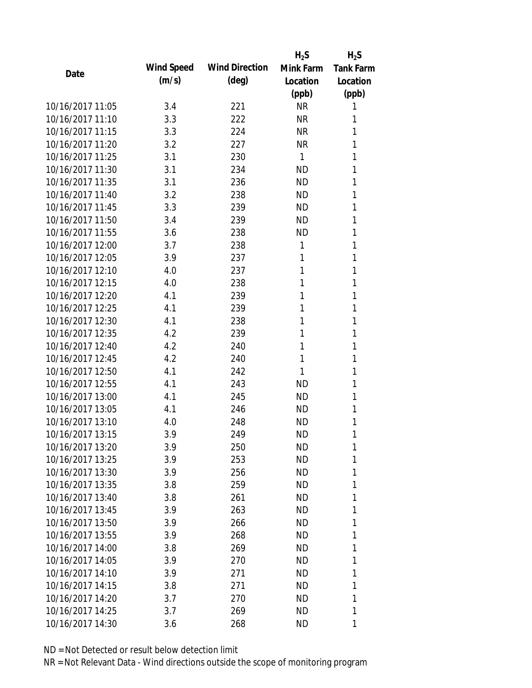|                  |            |                       | $H_2S$    | $H_2S$           |
|------------------|------------|-----------------------|-----------|------------------|
| Date             | Wind Speed | <b>Wind Direction</b> | Mink Farm | <b>Tank Farm</b> |
|                  | (m/s)      | $(\text{deg})$        | Location  | Location         |
|                  |            |                       | (ppb)     | (ppb)            |
| 10/16/2017 11:05 | 3.4        | 221                   | <b>NR</b> | 1                |
| 10/16/2017 11:10 | 3.3        | 222                   | <b>NR</b> | 1                |
| 10/16/2017 11:15 | 3.3        | 224                   | <b>NR</b> | 1                |
| 10/16/2017 11:20 | 3.2        | 227                   | <b>NR</b> | 1                |
| 10/16/2017 11:25 | 3.1        | 230                   | 1         | 1                |
| 10/16/2017 11:30 | 3.1        | 234                   | <b>ND</b> | 1                |
| 10/16/2017 11:35 | 3.1        | 236                   | <b>ND</b> | 1                |
| 10/16/2017 11:40 | 3.2        | 238                   | <b>ND</b> | 1                |
| 10/16/2017 11:45 | 3.3        | 239                   | <b>ND</b> | 1                |
| 10/16/2017 11:50 | 3.4        | 239                   | <b>ND</b> | 1                |
| 10/16/2017 11:55 | 3.6        | 238                   | ND        | 1                |
| 10/16/2017 12:00 | 3.7        | 238                   | 1         | 1                |
| 10/16/2017 12:05 | 3.9        | 237                   | 1         | 1                |
| 10/16/2017 12:10 | 4.0        | 237                   | 1         | 1                |
| 10/16/2017 12:15 | 4.0        | 238                   | 1         | 1                |
| 10/16/2017 12:20 | 4.1        | 239                   | 1         | 1                |
| 10/16/2017 12:25 | 4.1        | 239                   | 1         | 1                |
| 10/16/2017 12:30 | 4.1        | 238                   | 1         | 1                |
| 10/16/2017 12:35 | 4.2        | 239                   | 1         | 1                |
| 10/16/2017 12:40 | 4.2        | 240                   | 1         | 1                |
| 10/16/2017 12:45 | 4.2        | 240                   | 1         | 1                |
| 10/16/2017 12:50 | 4.1        | 242                   | 1         | 1                |
| 10/16/2017 12:55 | 4.1        | 243                   | <b>ND</b> | 1                |
| 10/16/2017 13:00 | 4.1        | 245                   | <b>ND</b> | 1                |
| 10/16/2017 13:05 | 4.1        | 246                   | <b>ND</b> | 1                |
| 10/16/2017 13:10 | 4.0        | 248                   | ND        | 1                |
| 10/16/2017 13:15 | 3.9        | 249                   | <b>ND</b> | 1                |
| 10/16/2017 13:20 | 3.9        | 250                   | ND        | 1                |
| 10/16/2017 13:25 | 3.9        | 253                   | <b>ND</b> | 1                |
| 10/16/2017 13:30 | 3.9        | 256                   | ND        | 1                |
| 10/16/2017 13:35 | 3.8        | 259                   | <b>ND</b> | 1                |
| 10/16/2017 13:40 | 3.8        | 261                   | <b>ND</b> | 1                |
| 10/16/2017 13:45 | 3.9        | 263                   | ND        | 1                |
| 10/16/2017 13:50 | 3.9        | 266                   | <b>ND</b> | 1                |
| 10/16/2017 13:55 | 3.9        | 268                   | ND        | 1                |
| 10/16/2017 14:00 | 3.8        | 269                   | ND        | 1                |
| 10/16/2017 14:05 | 3.9        | 270                   | <b>ND</b> | 1                |
| 10/16/2017 14:10 | 3.9        | 271                   | ND        | 1                |
| 10/16/2017 14:15 | 3.8        | 271                   | <b>ND</b> | 1                |
| 10/16/2017 14:20 | 3.7        | 270                   | ND        | 1                |
| 10/16/2017 14:25 | 3.7        | 269                   | <b>ND</b> | 1                |
| 10/16/2017 14:30 | 3.6        | 268                   | <b>ND</b> | 1                |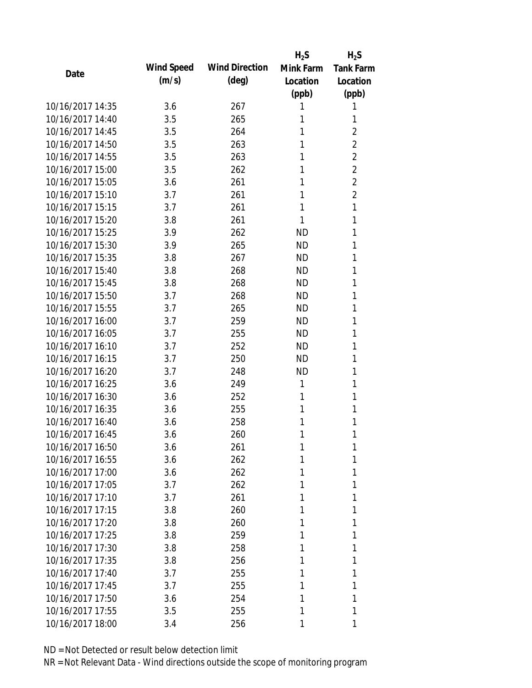|                  |            |                       | $H_2S$    | $H_2S$           |
|------------------|------------|-----------------------|-----------|------------------|
| Date             | Wind Speed | <b>Wind Direction</b> | Mink Farm | <b>Tank Farm</b> |
|                  | (m/s)      | $(\text{deg})$        | Location  | Location         |
|                  |            |                       | (ppb)     | (ppb)            |
| 10/16/2017 14:35 | 3.6        | 267                   | 1         | 1                |
| 10/16/2017 14:40 | 3.5        | 265                   | 1         | 1                |
| 10/16/2017 14:45 | 3.5        | 264                   | 1         | $\overline{2}$   |
| 10/16/2017 14:50 | 3.5        | 263                   | 1         | $\overline{2}$   |
| 10/16/2017 14:55 | 3.5        | 263                   | 1         | $\overline{2}$   |
| 10/16/2017 15:00 | 3.5        | 262                   | 1         | $\overline{2}$   |
| 10/16/2017 15:05 | 3.6        | 261                   | 1         | $\overline{2}$   |
| 10/16/2017 15:10 | 3.7        | 261                   | 1         | $\overline{2}$   |
| 10/16/2017 15:15 | 3.7        | 261                   | 1         | 1                |
| 10/16/2017 15:20 | 3.8        | 261                   | 1         | 1                |
| 10/16/2017 15:25 | 3.9        | 262                   | ND        | 1                |
| 10/16/2017 15:30 | 3.9        | 265                   | <b>ND</b> | 1                |
| 10/16/2017 15:35 | 3.8        | 267                   | <b>ND</b> | 1                |
| 10/16/2017 15:40 | 3.8        | 268                   | <b>ND</b> | 1                |
| 10/16/2017 15:45 | 3.8        | 268                   | <b>ND</b> | 1                |
| 10/16/2017 15:50 | 3.7        | 268                   | ND        | 1                |
| 10/16/2017 15:55 | 3.7        | 265                   | <b>ND</b> | 1                |
| 10/16/2017 16:00 | 3.7        | 259                   | <b>ND</b> | 1                |
| 10/16/2017 16:05 | 3.7        | 255                   | <b>ND</b> | 1                |
| 10/16/2017 16:10 | 3.7        | 252                   | <b>ND</b> | 1                |
| 10/16/2017 16:15 | 3.7        | 250                   | <b>ND</b> | 1                |
| 10/16/2017 16:20 | 3.7        | 248                   | <b>ND</b> | 1                |
| 10/16/2017 16:25 | 3.6        | 249                   | 1         | 1                |
| 10/16/2017 16:30 | 3.6        | 252                   | 1         | 1                |
| 10/16/2017 16:35 | 3.6        | 255                   | 1         | 1                |
| 10/16/2017 16:40 | 3.6        | 258                   | 1         | 1                |
| 10/16/2017 16:45 | 3.6        | 260                   | 1         | 1                |
| 10/16/2017 16:50 | 3.6        | 261                   | 1         | 1                |
| 10/16/2017 16:55 | 3.6        | 262                   | 1         | 1                |
| 10/16/2017 17:00 | 3.6        | 262                   | 1         | 1                |
| 10/16/2017 17:05 | 3.7        | 262                   | 1         | 1                |
| 10/16/2017 17:10 | 3.7        | 261                   | 1         | 1                |
| 10/16/2017 17:15 | 3.8        | 260                   | 1         | 1                |
| 10/16/2017 17:20 | 3.8        | 260                   | 1         | 1                |
| 10/16/2017 17:25 | 3.8        | 259                   | 1         | 1                |
| 10/16/2017 17:30 | 3.8        | 258                   | 1         | 1                |
| 10/16/2017 17:35 | 3.8        | 256                   | 1         | 1                |
| 10/16/2017 17:40 | 3.7        | 255                   | 1         | 1                |
| 10/16/2017 17:45 | 3.7        | 255                   | 1         | 1                |
| 10/16/2017 17:50 | 3.6        | 254                   | 1         | 1                |
| 10/16/2017 17:55 | 3.5        | 255                   | 1         | 1                |
| 10/16/2017 18:00 | 3.4        | 256                   | 1         | 1                |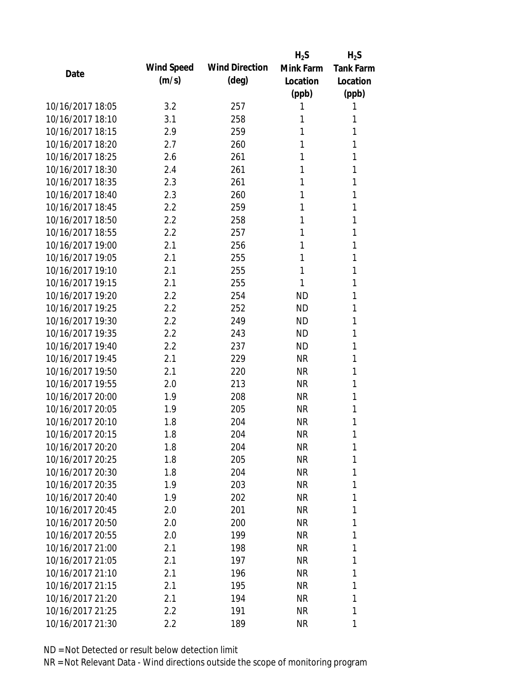|                  |            |                       | $H_2S$    | $H_2S$           |
|------------------|------------|-----------------------|-----------|------------------|
| Date             | Wind Speed | <b>Wind Direction</b> | Mink Farm | <b>Tank Farm</b> |
|                  | (m/s)      | $(\text{deg})$        | Location  | Location         |
|                  |            |                       | (ppb)     | (ppb)            |
| 10/16/2017 18:05 | 3.2        | 257                   | 1         | 1                |
| 10/16/2017 18:10 | 3.1        | 258                   | 1         | 1                |
| 10/16/2017 18:15 | 2.9        | 259                   | 1         | 1                |
| 10/16/2017 18:20 | 2.7        | 260                   | 1         | 1                |
| 10/16/2017 18:25 | 2.6        | 261                   | 1         | 1                |
| 10/16/2017 18:30 | 2.4        | 261                   | 1         | 1                |
| 10/16/2017 18:35 | 2.3        | 261                   | 1         | 1                |
| 10/16/2017 18:40 | 2.3        | 260                   | 1         | 1                |
| 10/16/2017 18:45 | 2.2        | 259                   | 1         | 1                |
| 10/16/2017 18:50 | 2.2        | 258                   | 1         | 1                |
| 10/16/2017 18:55 | 2.2        | 257                   | 1         | 1                |
| 10/16/2017 19:00 | 2.1        | 256                   | 1         | 1                |
| 10/16/2017 19:05 | 2.1        | 255                   | 1         | 1                |
| 10/16/2017 19:10 | 2.1        | 255                   | 1         | 1                |
| 10/16/2017 19:15 | 2.1        | 255                   | 1         | 1                |
| 10/16/2017 19:20 | 2.2        | 254                   | ND        | 1                |
| 10/16/2017 19:25 | 2.2        | 252                   | <b>ND</b> | 1                |
| 10/16/2017 19:30 | 2.2        | 249                   | <b>ND</b> | 1                |
| 10/16/2017 19:35 | 2.2        | 243                   | <b>ND</b> | 1                |
| 10/16/2017 19:40 | 2.2        | 237                   | <b>ND</b> | 1                |
| 10/16/2017 19:45 | 2.1        | 229                   | <b>NR</b> | 1                |
| 10/16/2017 19:50 | 2.1        | 220                   | <b>NR</b> | 1                |
| 10/16/2017 19:55 | 2.0        | 213                   | <b>NR</b> | 1                |
| 10/16/2017 20:00 | 1.9        | 208                   | <b>NR</b> | 1                |
| 10/16/2017 20:05 | 1.9        | 205                   | <b>NR</b> | 1                |
| 10/16/2017 20:10 | 1.8        | 204                   | <b>NR</b> | 1                |
| 10/16/2017 20:15 | 1.8        | 204                   | <b>NR</b> | 1                |
| 10/16/2017 20:20 | 1.8        | 204                   | NR        | 1                |
| 10/16/2017 20:25 | 1.8        | 205                   | <b>NR</b> | 1                |
| 10/16/2017 20:30 | 1.8        | 204                   | NR        | 1                |
| 10/16/2017 20:35 | 1.9        | 203                   | <b>NR</b> | 1                |
| 10/16/2017 20:40 | 1.9        | 202                   | <b>NR</b> | 1                |
| 10/16/2017 20:45 | 2.0        | 201                   | NR        | 1                |
| 10/16/2017 20:50 | 2.0        | 200                   | <b>NR</b> | 1                |
| 10/16/2017 20:55 | 2.0        | 199                   | NR        | 1                |
| 10/16/2017 21:00 | 2.1        | 198                   | NR        | 1                |
| 10/16/2017 21:05 | 2.1        | 197                   | <b>NR</b> | 1                |
| 10/16/2017 21:10 | 2.1        | 196                   | NR        | 1                |
| 10/16/2017 21:15 | 2.1        | 195                   | <b>NR</b> | 1                |
| 10/16/2017 21:20 | 2.1        | 194                   | NR        | 1                |
| 10/16/2017 21:25 | 2.2        | 191                   | <b>NR</b> | 1                |
| 10/16/2017 21:30 | 2.2        | 189                   | <b>NR</b> | 1                |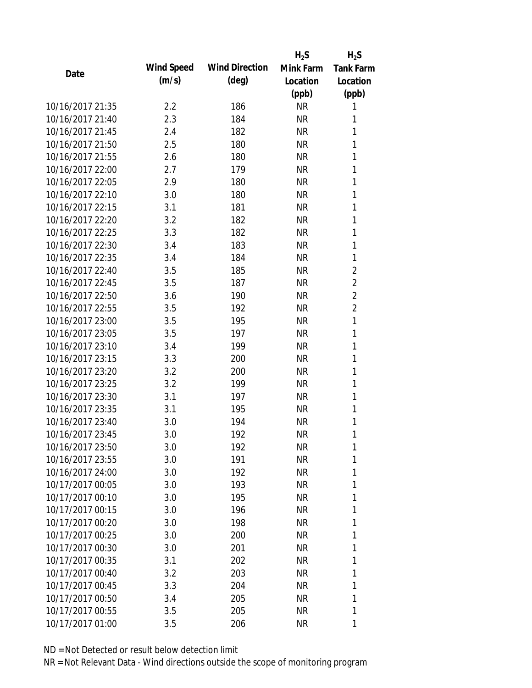|                  |                   |                       | $H_2S$    | $H_2S$           |
|------------------|-------------------|-----------------------|-----------|------------------|
| Date             | <b>Wind Speed</b> | <b>Wind Direction</b> | Mink Farm | <b>Tank Farm</b> |
|                  | (m/s)             | $(\text{deg})$        | Location  | Location         |
|                  |                   |                       | (ppb)     | (ppb)            |
| 10/16/2017 21:35 | 2.2               | 186                   | <b>NR</b> | 1                |
| 10/16/2017 21:40 | 2.3               | 184                   | <b>NR</b> | 1                |
| 10/16/2017 21:45 | 2.4               | 182                   | <b>NR</b> | 1                |
| 10/16/2017 21:50 | 2.5               | 180                   | <b>NR</b> | 1                |
| 10/16/2017 21:55 | 2.6               | 180                   | <b>NR</b> | 1                |
| 10/16/2017 22:00 | 2.7               | 179                   | <b>NR</b> | 1                |
| 10/16/2017 22:05 | 2.9               | 180                   | <b>NR</b> | 1                |
| 10/16/2017 22:10 | 3.0               | 180                   | <b>NR</b> | 1                |
| 10/16/2017 22:15 | 3.1               | 181                   | <b>NR</b> | 1                |
| 10/16/2017 22:20 | 3.2               | 182                   | <b>NR</b> | 1                |
| 10/16/2017 22:25 | 3.3               | 182                   | <b>NR</b> | 1                |
| 10/16/2017 22:30 | 3.4               | 183                   | <b>NR</b> | 1                |
| 10/16/2017 22:35 | 3.4               | 184                   | <b>NR</b> | 1                |
| 10/16/2017 22:40 | 3.5               | 185                   | <b>NR</b> | $\overline{2}$   |
| 10/16/2017 22:45 | 3.5               | 187                   | <b>NR</b> | $\overline{2}$   |
| 10/16/2017 22:50 | 3.6               | 190                   | <b>NR</b> | $\overline{2}$   |
| 10/16/2017 22:55 | 3.5               | 192                   | <b>NR</b> | $\overline{2}$   |
| 10/16/2017 23:00 | 3.5               | 195                   | <b>NR</b> | $\mathbf{1}$     |
| 10/16/2017 23:05 | 3.5               | 197                   | <b>NR</b> | 1                |
| 10/16/2017 23:10 | 3.4               | 199                   | <b>NR</b> | 1                |
| 10/16/2017 23:15 | 3.3               | 200                   | <b>NR</b> | 1                |
| 10/16/2017 23:20 | 3.2               | 200                   | <b>NR</b> | 1                |
| 10/16/2017 23:25 | 3.2               | 199                   | <b>NR</b> | 1                |
| 10/16/2017 23:30 | 3.1               | 197                   | <b>NR</b> | 1                |
| 10/16/2017 23:35 | 3.1               | 195                   | <b>NR</b> | 1                |
| 10/16/2017 23:40 | 3.0               | 194                   | <b>NR</b> | 1                |
| 10/16/2017 23:45 | 3.0               | 192                   | <b>NR</b> | 1                |
| 10/16/2017 23:50 | 3.0               | 192                   | <b>NR</b> | 1                |
| 10/16/2017 23:55 | 3.0               | 191                   | <b>NR</b> | 1                |
| 10/16/2017 24:00 | 3.0               | 192                   | <b>NR</b> | 1                |
| 10/17/2017 00:05 | 3.0               | 193                   | <b>NR</b> | 1                |
| 10/17/2017 00:10 | 3.0               | 195                   | <b>NR</b> | 1                |
| 10/17/2017 00:15 | 3.0               | 196                   | <b>NR</b> | 1                |
| 10/17/2017 00:20 | 3.0               | 198                   | <b>NR</b> | 1                |
| 10/17/2017 00:25 | 3.0               | 200                   | <b>NR</b> | 1                |
| 10/17/2017 00:30 | 3.0               | 201                   | <b>NR</b> | 1                |
| 10/17/2017 00:35 | 3.1               | 202                   | <b>NR</b> | 1                |
| 10/17/2017 00:40 | 3.2               | 203                   | <b>NR</b> | 1                |
| 10/17/2017 00:45 | 3.3               | 204                   | <b>NR</b> | 1                |
| 10/17/2017 00:50 | 3.4               | 205                   | <b>NR</b> | 1                |
| 10/17/2017 00:55 | 3.5               | 205                   | <b>NR</b> | 1                |
| 10/17/2017 01:00 |                   |                       | <b>NR</b> |                  |
|                  | 3.5               | 206                   |           | 1                |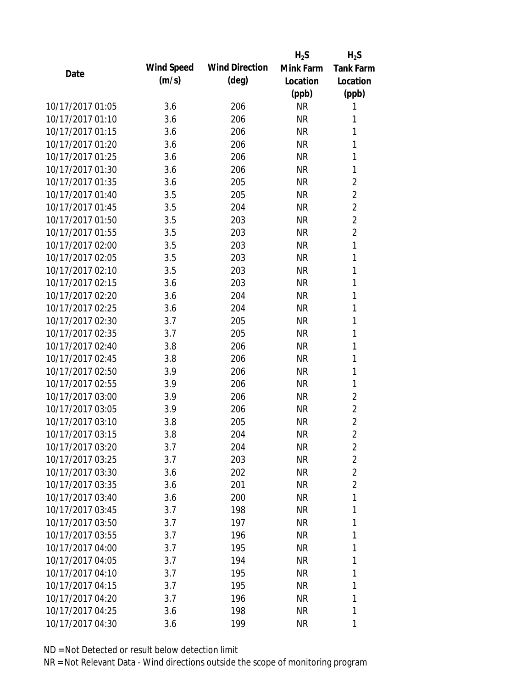|                  |            |                       | $H_2S$    | $H_2S$           |
|------------------|------------|-----------------------|-----------|------------------|
| Date             | Wind Speed | <b>Wind Direction</b> | Mink Farm | <b>Tank Farm</b> |
|                  | (m/s)      | $(\text{deg})$        | Location  | Location         |
|                  |            |                       | (ppb)     | (ppb)            |
| 10/17/2017 01:05 | 3.6        | 206                   | <b>NR</b> | 1                |
| 10/17/2017 01:10 | 3.6        | 206                   | <b>NR</b> | 1                |
| 10/17/2017 01:15 | 3.6        | 206                   | <b>NR</b> | 1                |
| 10/17/2017 01:20 | 3.6        | 206                   | <b>NR</b> | 1                |
| 10/17/2017 01:25 | 3.6        | 206                   | <b>NR</b> | 1                |
| 10/17/2017 01:30 | 3.6        | 206                   | <b>NR</b> | 1                |
| 10/17/2017 01:35 | 3.6        | 205                   | <b>NR</b> | $\overline{c}$   |
| 10/17/2017 01:40 | 3.5        | 205                   | <b>NR</b> | $\overline{c}$   |
| 10/17/2017 01:45 | 3.5        | 204                   | <b>NR</b> | $\overline{c}$   |
| 10/17/2017 01:50 | 3.5        | 203                   | <b>NR</b> | $\overline{2}$   |
| 10/17/2017 01:55 | 3.5        | 203                   | <b>NR</b> | $\overline{2}$   |
| 10/17/2017 02:00 | 3.5        | 203                   | <b>NR</b> | 1                |
| 10/17/2017 02:05 | 3.5        | 203                   | <b>NR</b> | 1                |
| 10/17/2017 02:10 | 3.5        | 203                   | <b>NR</b> | 1                |
| 10/17/2017 02:15 | 3.6        | 203                   | <b>NR</b> | 1                |
| 10/17/2017 02:20 | 3.6        | 204                   | <b>NR</b> | 1                |
| 10/17/2017 02:25 | 3.6        | 204                   | <b>NR</b> | 1                |
| 10/17/2017 02:30 | 3.7        | 205                   | <b>NR</b> | 1                |
| 10/17/2017 02:35 | 3.7        | 205                   | <b>NR</b> | 1                |
| 10/17/2017 02:40 | 3.8        | 206                   | <b>NR</b> | 1                |
| 10/17/2017 02:45 | 3.8        | 206                   | <b>NR</b> | 1                |
| 10/17/2017 02:50 | 3.9        | 206                   | <b>NR</b> | 1                |
| 10/17/2017 02:55 | 3.9        | 206                   | <b>NR</b> | 1                |
| 10/17/2017 03:00 | 3.9        | 206                   | <b>NR</b> | $\overline{2}$   |
| 10/17/2017 03:05 | 3.9        | 206                   | <b>NR</b> | $\overline{2}$   |
| 10/17/2017 03:10 | 3.8        | 205                   | <b>NR</b> | $\overline{c}$   |
| 10/17/2017 03:15 | 3.8        | 204                   | <b>NR</b> | $\overline{2}$   |
| 10/17/2017 03:20 | 3.7        | 204                   | <b>NR</b> | 2                |
| 10/17/2017 03:25 | 3.7        | 203                   | <b>NR</b> | $\overline{2}$   |
| 10/17/2017 03:30 | 3.6        | 202                   | <b>NR</b> | $\overline{2}$   |
| 10/17/2017 03:35 | 3.6        | 201                   | <b>NR</b> | $\overline{2}$   |
| 10/17/2017 03:40 | 3.6        | 200                   | <b>NR</b> | 1                |
| 10/17/2017 03:45 | 3.7        | 198                   | <b>NR</b> | 1                |
| 10/17/2017 03:50 | 3.7        | 197                   | <b>NR</b> | 1                |
| 10/17/2017 03:55 | 3.7        | 196                   | <b>NR</b> | 1                |
| 10/17/2017 04:00 | 3.7        | 195                   | <b>NR</b> | 1                |
| 10/17/2017 04:05 | 3.7        | 194                   | <b>NR</b> | 1                |
| 10/17/2017 04:10 | 3.7        | 195                   | <b>NR</b> | 1                |
| 10/17/2017 04:15 | 3.7        | 195                   | <b>NR</b> | 1                |
| 10/17/2017 04:20 | 3.7        | 196                   | <b>NR</b> | 1                |
| 10/17/2017 04:25 | 3.6        | 198                   | <b>NR</b> | 1                |
| 10/17/2017 04:30 | 3.6        | 199                   | <b>NR</b> | 1                |
|                  |            |                       |           |                  |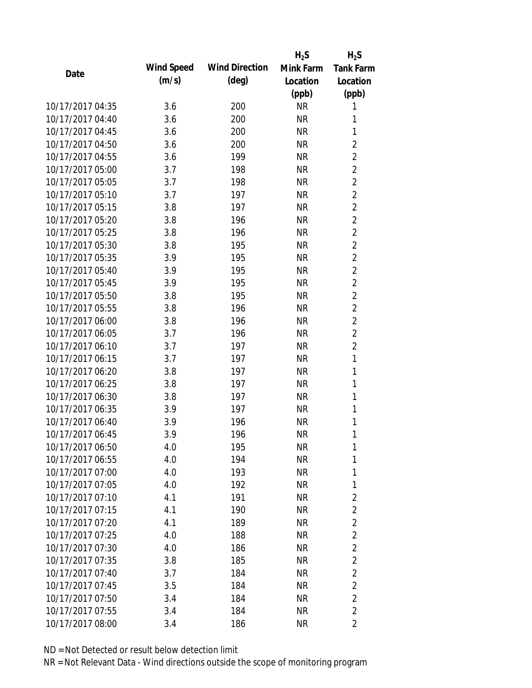|                  |            |                       | $H_2S$    | $H_2S$         |
|------------------|------------|-----------------------|-----------|----------------|
| Date             | Wind Speed | <b>Wind Direction</b> | Mink Farm | Tank Farm      |
|                  | (m/s)      | $(\text{deg})$        | Location  | Location       |
|                  |            |                       | (ppb)     | (ppb)          |
| 10/17/2017 04:35 | 3.6        | 200                   | <b>NR</b> | 1              |
| 10/17/2017 04:40 | 3.6        | 200                   | <b>NR</b> | 1              |
| 10/17/2017 04:45 | 3.6        | 200                   | <b>NR</b> | 1              |
| 10/17/2017 04:50 | 3.6        | 200                   | <b>NR</b> | $\overline{2}$ |
| 10/17/2017 04:55 | 3.6        | 199                   | <b>NR</b> | $\overline{2}$ |
| 10/17/2017 05:00 | 3.7        | 198                   | <b>NR</b> | $\overline{2}$ |
| 10/17/2017 05:05 | 3.7        | 198                   | <b>NR</b> | $\overline{2}$ |
| 10/17/2017 05:10 | 3.7        | 197                   | <b>NR</b> | $\overline{2}$ |
| 10/17/2017 05:15 | 3.8        | 197                   | <b>NR</b> | $\overline{c}$ |
| 10/17/2017 05:20 | 3.8        | 196                   | <b>NR</b> | $\overline{2}$ |
| 10/17/2017 05:25 | 3.8        | 196                   | <b>NR</b> | $\overline{2}$ |
| 10/17/2017 05:30 | 3.8        | 195                   | <b>NR</b> | $\overline{2}$ |
| 10/17/2017 05:35 | 3.9        | 195                   | <b>NR</b> | $\overline{2}$ |
| 10/17/2017 05:40 | 3.9        | 195                   | <b>NR</b> | $\overline{c}$ |
| 10/17/2017 05:45 | 3.9        | 195                   | <b>NR</b> | $\overline{c}$ |
| 10/17/2017 05:50 | 3.8        | 195                   | <b>NR</b> | $\overline{c}$ |
| 10/17/2017 05:55 | 3.8        | 196                   | <b>NR</b> | $\overline{2}$ |
| 10/17/2017 06:00 | 3.8        | 196                   | <b>NR</b> | $\overline{c}$ |
| 10/17/2017 06:05 | 3.7        | 196                   | <b>NR</b> | $\overline{2}$ |
| 10/17/2017 06:10 | 3.7        | 197                   | <b>NR</b> | $\overline{c}$ |
| 10/17/2017 06:15 | 3.7        | 197                   | <b>NR</b> | $\mathbf{1}$   |
| 10/17/2017 06:20 | 3.8        | 197                   | <b>NR</b> | 1              |
| 10/17/2017 06:25 | 3.8        | 197                   | <b>NR</b> | 1              |
| 10/17/2017 06:30 | 3.8        | 197                   | <b>NR</b> | 1              |
| 10/17/2017 06:35 | 3.9        | 197                   | <b>NR</b> | 1              |
| 10/17/2017 06:40 | 3.9        | 196                   | <b>NR</b> | 1              |
| 10/17/2017 06:45 | 3.9        | 196                   | <b>NR</b> | 1              |
| 10/17/2017 06:50 | 4.0        | 195                   | <b>NR</b> | 1              |
| 10/17/2017 06:55 | 4.0        | 194                   | <b>NR</b> | 1              |
| 10/17/2017 07:00 | 4.0        | 193                   | <b>NR</b> | 1              |
| 10/17/2017 07:05 | 4.0        | 192                   | <b>NR</b> | 1              |
| 10/17/2017 07:10 | 4.1        | 191                   | <b>NR</b> | $\overline{2}$ |
| 10/17/2017 07:15 | 4.1        | 190                   | <b>NR</b> | $\overline{2}$ |
| 10/17/2017 07:20 | 4.1        | 189                   | <b>NR</b> | $\overline{2}$ |
| 10/17/2017 07:25 | 4.0        | 188                   | <b>NR</b> | $\overline{2}$ |
| 10/17/2017 07:30 | 4.0        | 186                   | <b>NR</b> | $\overline{2}$ |
| 10/17/2017 07:35 | 3.8        | 185                   | <b>NR</b> | $\overline{2}$ |
| 10/17/2017 07:40 | 3.7        | 184                   | <b>NR</b> | $\overline{2}$ |
| 10/17/2017 07:45 | 3.5        | 184                   | <b>NR</b> | $\overline{c}$ |
| 10/17/2017 07:50 | 3.4        | 184                   | <b>NR</b> | $\overline{2}$ |
| 10/17/2017 07:55 | 3.4        | 184                   | <b>NR</b> | $\overline{2}$ |
| 10/17/2017 08:00 | 3.4        | 186                   | <b>NR</b> | $\overline{2}$ |
|                  |            |                       |           |                |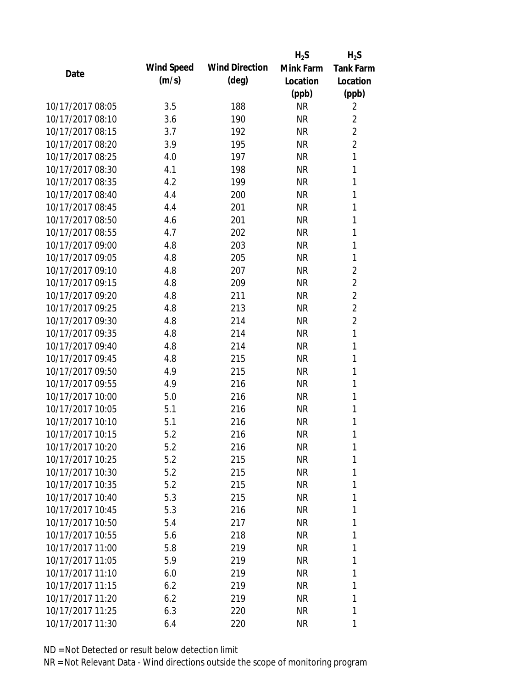|                  |            |                       | $H_2S$    | $H_2S$           |
|------------------|------------|-----------------------|-----------|------------------|
| Date             | Wind Speed | <b>Wind Direction</b> | Mink Farm | <b>Tank Farm</b> |
|                  | (m/s)      | $(\text{deg})$        | Location  | Location         |
|                  |            |                       | (ppb)     | (ppb)            |
| 10/17/2017 08:05 | 3.5        | 188                   | <b>NR</b> | 2                |
| 10/17/2017 08:10 | 3.6        | 190                   | <b>NR</b> | $\overline{2}$   |
| 10/17/2017 08:15 | 3.7        | 192                   | <b>NR</b> | $\overline{2}$   |
| 10/17/2017 08:20 | 3.9        | 195                   | <b>NR</b> | $\overline{2}$   |
| 10/17/2017 08:25 | 4.0        | 197                   | <b>NR</b> | $\mathbf{1}$     |
| 10/17/2017 08:30 | 4.1        | 198                   | <b>NR</b> | 1                |
| 10/17/2017 08:35 | 4.2        | 199                   | <b>NR</b> | 1                |
| 10/17/2017 08:40 | 4.4        | 200                   | <b>NR</b> | 1                |
| 10/17/2017 08:45 | 4.4        | 201                   | <b>NR</b> | 1                |
| 10/17/2017 08:50 | 4.6        | 201                   | <b>NR</b> | 1                |
| 10/17/2017 08:55 | 4.7        | 202                   | <b>NR</b> | 1                |
| 10/17/2017 09:00 | 4.8        | 203                   | <b>NR</b> | 1                |
| 10/17/2017 09:05 | 4.8        | 205                   | <b>NR</b> | 1                |
| 10/17/2017 09:10 | 4.8        | 207                   | <b>NR</b> | $\overline{c}$   |
| 10/17/2017 09:15 | 4.8        | 209                   | <b>NR</b> | $\overline{2}$   |
| 10/17/2017 09:20 | 4.8        | 211                   | <b>NR</b> | $\overline{2}$   |
| 10/17/2017 09:25 | 4.8        | 213                   | <b>NR</b> | $\overline{2}$   |
| 10/17/2017 09:30 | 4.8        | 214                   | <b>NR</b> | $\overline{c}$   |
| 10/17/2017 09:35 | 4.8        | 214                   | <b>NR</b> | $\mathbf{1}$     |
| 10/17/2017 09:40 | 4.8        | 214                   | <b>NR</b> | 1                |
| 10/17/2017 09:45 | 4.8        | 215                   | <b>NR</b> | 1                |
| 10/17/2017 09:50 | 4.9        | 215                   | <b>NR</b> | 1                |
| 10/17/2017 09:55 | 4.9        | 216                   | <b>NR</b> | 1                |
| 10/17/2017 10:00 | 5.0        | 216                   | <b>NR</b> | 1                |
| 10/17/2017 10:05 | 5.1        | 216                   | <b>NR</b> | 1                |
| 10/17/2017 10:10 | 5.1        | 216                   | <b>NR</b> | 1                |
| 10/17/2017 10:15 | 5.2        | 216                   | <b>NR</b> | 1                |
| 10/17/2017 10:20 | 5.2        | 216                   | <b>NR</b> | 1                |
| 10/17/2017 10:25 | 5.2        | 215                   | <b>NR</b> | 1                |
| 10/17/2017 10:30 | 5.2        | 215                   | NR        | 1                |
| 10/17/2017 10:35 | 5.2        | 215                   | <b>NR</b> | 1                |
| 10/17/2017 10:40 | 5.3        | 215                   | <b>NR</b> | 1                |
| 10/17/2017 10:45 | 5.3        | 216                   | <b>NR</b> | 1                |
| 10/17/2017 10:50 | 5.4        | 217                   | <b>NR</b> | 1                |
| 10/17/2017 10:55 | 5.6        | 218                   | <b>NR</b> | 1                |
| 10/17/2017 11:00 | 5.8        | 219                   | <b>NR</b> | 1                |
| 10/17/2017 11:05 | 5.9        | 219                   | <b>NR</b> | 1                |
| 10/17/2017 11:10 | 6.0        | 219                   | <b>NR</b> | 1                |
| 10/17/2017 11:15 | 6.2        | 219                   | <b>NR</b> | 1                |
| 10/17/2017 11:20 | 6.2        | 219                   | <b>NR</b> | 1                |
| 10/17/2017 11:25 | 6.3        | 220                   | <b>NR</b> | 1                |
| 10/17/2017 11:30 | 6.4        | 220                   | <b>NR</b> | 1                |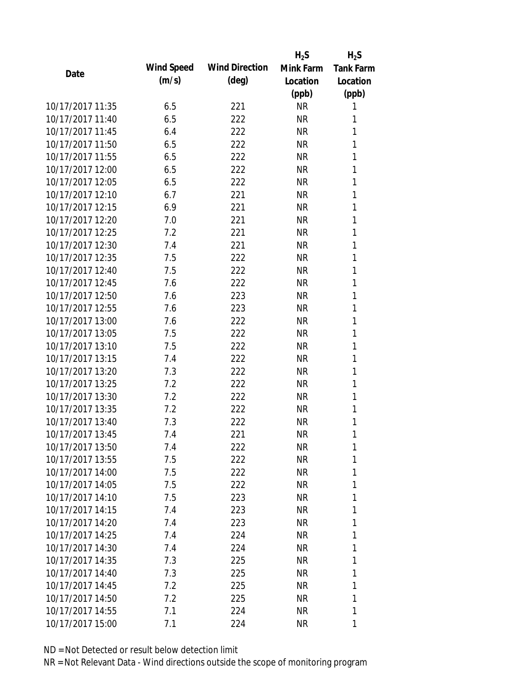|                  |            |                       | $H_2S$    | $H_2S$           |
|------------------|------------|-----------------------|-----------|------------------|
| Date             | Wind Speed | <b>Wind Direction</b> | Mink Farm | <b>Tank Farm</b> |
|                  | (m/s)      | $(\text{deg})$        | Location  | Location         |
|                  |            |                       | (ppb)     | (ppb)            |
| 10/17/2017 11:35 | 6.5        | 221                   | <b>NR</b> | 1                |
| 10/17/2017 11:40 | 6.5        | 222                   | <b>NR</b> | 1                |
| 10/17/2017 11:45 | 6.4        | 222                   | <b>NR</b> | 1                |
| 10/17/2017 11:50 | 6.5        | 222                   | <b>NR</b> | 1                |
| 10/17/2017 11:55 | 6.5        | 222                   | <b>NR</b> | 1                |
| 10/17/2017 12:00 | 6.5        | 222                   | <b>NR</b> | 1                |
| 10/17/2017 12:05 | 6.5        | 222                   | <b>NR</b> | 1                |
| 10/17/2017 12:10 | 6.7        | 221                   | <b>NR</b> | 1                |
| 10/17/2017 12:15 | 6.9        | 221                   | <b>NR</b> | 1                |
| 10/17/2017 12:20 | 7.0        | 221                   | <b>NR</b> | 1                |
| 10/17/2017 12:25 | 7.2        | 221                   | <b>NR</b> | 1                |
| 10/17/2017 12:30 | 7.4        | 221                   | <b>NR</b> | 1                |
| 10/17/2017 12:35 | 7.5        | 222                   | <b>NR</b> | 1                |
| 10/17/2017 12:40 | 7.5        | 222                   | <b>NR</b> | 1                |
| 10/17/2017 12:45 | 7.6        | 222                   | <b>NR</b> | 1                |
| 10/17/2017 12:50 | 7.6        | 223                   | <b>NR</b> | 1                |
| 10/17/2017 12:55 | 7.6        | 223                   | <b>NR</b> | 1                |
| 10/17/2017 13:00 | 7.6        | 222                   | <b>NR</b> | 1                |
| 10/17/2017 13:05 | 7.5        | 222                   | <b>NR</b> | 1                |
| 10/17/2017 13:10 | 7.5        | 222                   | <b>NR</b> | 1                |
| 10/17/2017 13:15 | 7.4        | 222                   | <b>NR</b> | 1                |
| 10/17/2017 13:20 | 7.3        | 222                   | <b>NR</b> | 1                |
| 10/17/2017 13:25 | 7.2        | 222                   | <b>NR</b> | 1                |
| 10/17/2017 13:30 | 7.2        | 222                   | <b>NR</b> | 1                |
| 10/17/2017 13:35 | 7.2        | 222                   | <b>NR</b> | 1                |
| 10/17/2017 13:40 | 7.3        | 222                   | <b>NR</b> | 1                |
| 10/17/2017 13:45 | 7.4        | 221                   | <b>NR</b> | 1                |
| 10/17/2017 13:50 | 7.4        | 222                   | NR        | 1                |
| 10/17/2017 13:55 | 7.5        | 222                   | <b>NR</b> | 1                |
| 10/17/2017 14:00 | 7.5        | 222                   | NR        | 1                |
| 10/17/2017 14:05 | 7.5        | 222                   | NR        | 1                |
| 10/17/2017 14:10 | 7.5        | 223                   | <b>NR</b> | 1                |
| 10/17/2017 14:15 | 7.4        | 223                   | NR        | 1                |
| 10/17/2017 14:20 | 7.4        | 223                   | <b>NR</b> | 1                |
| 10/17/2017 14:25 | 7.4        | 224                   | NR        | 1                |
| 10/17/2017 14:30 | 7.4        | 224                   | NR        | 1                |
| 10/17/2017 14:35 | 7.3        | 225                   | <b>NR</b> | 1                |
| 10/17/2017 14:40 | 7.3        | 225                   | NR        | 1                |
| 10/17/2017 14:45 | 7.2        | 225                   | <b>NR</b> | 1                |
| 10/17/2017 14:50 | 7.2        | 225                   | NR        | 1                |
| 10/17/2017 14:55 | 7.1        | 224                   | <b>NR</b> | 1                |
| 10/17/2017 15:00 | 7.1        | 224                   | <b>NR</b> | 1                |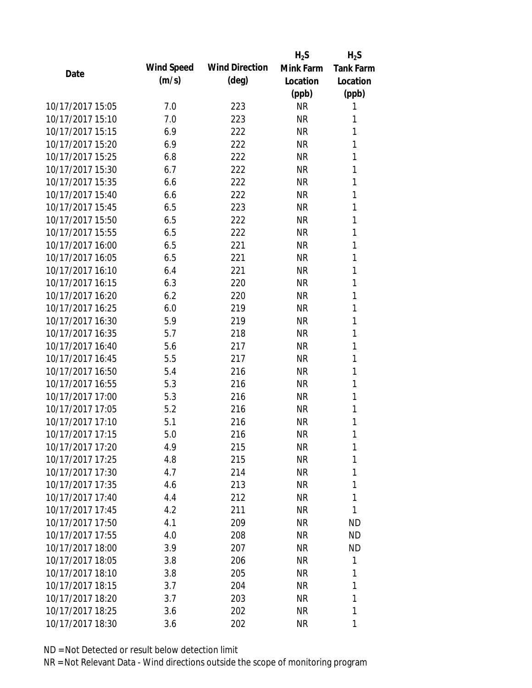|                  |            |                       | $H_2S$    | $H_2S$           |
|------------------|------------|-----------------------|-----------|------------------|
| Date             | Wind Speed | <b>Wind Direction</b> | Mink Farm | <b>Tank Farm</b> |
|                  | (m/s)      | $(\text{deg})$        | Location  | Location         |
|                  |            |                       | (ppb)     | (ppb)            |
| 10/17/2017 15:05 | 7.0        | 223                   | <b>NR</b> | 1                |
| 10/17/2017 15:10 | 7.0        | 223                   | <b>NR</b> | 1                |
| 10/17/2017 15:15 | 6.9        | 222                   | <b>NR</b> | 1                |
| 10/17/2017 15:20 | 6.9        | 222                   | <b>NR</b> | 1                |
| 10/17/2017 15:25 | 6.8        | 222                   | <b>NR</b> | 1                |
| 10/17/2017 15:30 | 6.7        | 222                   | <b>NR</b> | 1                |
| 10/17/2017 15:35 | 6.6        | 222                   | <b>NR</b> | 1                |
| 10/17/2017 15:40 | 6.6        | 222                   | <b>NR</b> | 1                |
| 10/17/2017 15:45 | 6.5        | 223                   | <b>NR</b> | 1                |
| 10/17/2017 15:50 | 6.5        | 222                   | <b>NR</b> | 1                |
| 10/17/2017 15:55 | 6.5        | 222                   | <b>NR</b> | 1                |
| 10/17/2017 16:00 | 6.5        | 221                   | <b>NR</b> | 1                |
| 10/17/2017 16:05 | 6.5        | 221                   | <b>NR</b> | 1                |
| 10/17/2017 16:10 | 6.4        | 221                   | <b>NR</b> | 1                |
| 10/17/2017 16:15 | 6.3        | 220                   | <b>NR</b> | 1                |
| 10/17/2017 16:20 | 6.2        | 220                   | <b>NR</b> | 1                |
| 10/17/2017 16:25 | 6.0        | 219                   | <b>NR</b> | 1                |
| 10/17/2017 16:30 | 5.9        | 219                   | <b>NR</b> | 1                |
| 10/17/2017 16:35 | 5.7        | 218                   | <b>NR</b> | 1                |
| 10/17/2017 16:40 | 5.6        | 217                   | <b>NR</b> | 1                |
| 10/17/2017 16:45 | 5.5        | 217                   | <b>NR</b> | 1                |
| 10/17/2017 16:50 | 5.4        | 216                   | <b>NR</b> | 1                |
| 10/17/2017 16:55 | 5.3        | 216                   | <b>NR</b> | 1                |
| 10/17/2017 17:00 | 5.3        | 216                   | <b>NR</b> | 1                |
| 10/17/2017 17:05 | 5.2        | 216                   | <b>NR</b> | 1                |
| 10/17/2017 17:10 | 5.1        | 216                   | <b>NR</b> | 1                |
| 10/17/2017 17:15 | 5.0        | 216                   | <b>NR</b> | 1                |
| 10/17/2017 17:20 | 4.9        | 215                   | NR        | 1                |
| 10/17/2017 17:25 | 4.8        | 215                   | <b>NR</b> | 1                |
| 10/17/2017 17:30 | 4.7        | 214                   | NR        | 1                |
| 10/17/2017 17:35 | 4.6        | 213                   | <b>NR</b> | 1                |
| 10/17/2017 17:40 | 4.4        | 212                   | NR        | 1                |
| 10/17/2017 17:45 | 4.2        | 211                   | NR        | 1                |
| 10/17/2017 17:50 | 4.1        | 209                   | <b>NR</b> | <b>ND</b>        |
| 10/17/2017 17:55 | 4.0        | 208                   | NR        | <b>ND</b>        |
| 10/17/2017 18:00 | 3.9        | 207                   | NR        | <b>ND</b>        |
| 10/17/2017 18:05 | 3.8        | 206                   | <b>NR</b> | 1                |
| 10/17/2017 18:10 | 3.8        | 205                   | NR        | 1                |
| 10/17/2017 18:15 | 3.7        | 204                   | NR        | 1                |
| 10/17/2017 18:20 | 3.7        | 203                   | NR        | 1                |
| 10/17/2017 18:25 | 3.6        | 202                   | <b>NR</b> | 1                |
| 10/17/2017 18:30 | 3.6        | 202                   | <b>NR</b> | 1                |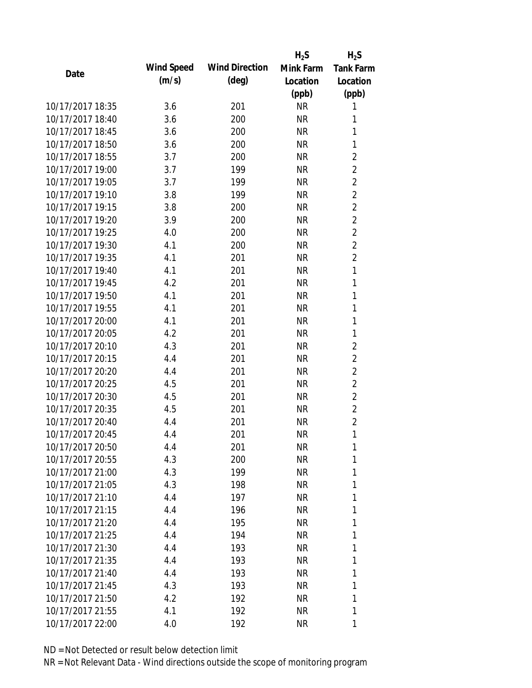|                  |            |                       | $H_2S$    | $H_2S$           |
|------------------|------------|-----------------------|-----------|------------------|
| Date             | Wind Speed | <b>Wind Direction</b> | Mink Farm | <b>Tank Farm</b> |
|                  | (m/s)      | $(\text{deg})$        | Location  | Location         |
|                  |            |                       | (ppb)     | (ppb)            |
| 10/17/2017 18:35 | 3.6        | 201                   | <b>NR</b> | 1                |
| 10/17/2017 18:40 | 3.6        | 200                   | <b>NR</b> | 1                |
| 10/17/2017 18:45 | 3.6        | 200                   | <b>NR</b> | 1                |
| 10/17/2017 18:50 | 3.6        | 200                   | <b>NR</b> | 1                |
| 10/17/2017 18:55 | 3.7        | 200                   | <b>NR</b> | $\overline{2}$   |
| 10/17/2017 19:00 | 3.7        | 199                   | <b>NR</b> | $\overline{2}$   |
| 10/17/2017 19:05 | 3.7        | 199                   | <b>NR</b> | $\overline{2}$   |
| 10/17/2017 19:10 | 3.8        | 199                   | <b>NR</b> | $\overline{2}$   |
| 10/17/2017 19:15 | 3.8        | 200                   | <b>NR</b> | $\overline{c}$   |
| 10/17/2017 19:20 | 3.9        | 200                   | <b>NR</b> | $\overline{2}$   |
| 10/17/2017 19:25 | 4.0        | 200                   | <b>NR</b> | $\overline{c}$   |
| 10/17/2017 19:30 | 4.1        | 200                   | <b>NR</b> | $\overline{c}$   |
| 10/17/2017 19:35 | 4.1        | 201                   | <b>NR</b> | $\overline{2}$   |
| 10/17/2017 19:40 | 4.1        | 201                   | <b>NR</b> | $\mathbf{1}$     |
| 10/17/2017 19:45 | 4.2        | 201                   | <b>NR</b> | $\mathbf{1}$     |
| 10/17/2017 19:50 | 4.1        | 201                   | <b>NR</b> | 1                |
| 10/17/2017 19:55 | 4.1        | 201                   | <b>NR</b> | 1                |
| 10/17/2017 20:00 | 4.1        | 201                   | <b>NR</b> | 1                |
| 10/17/2017 20:05 | 4.2        | 201                   | <b>NR</b> | 1                |
| 10/17/2017 20:10 | 4.3        | 201                   | <b>NR</b> | $\overline{2}$   |
| 10/17/2017 20:15 | 4.4        | 201                   | <b>NR</b> | $\overline{c}$   |
| 10/17/2017 20:20 | 4.4        | 201                   | <b>NR</b> | $\overline{2}$   |
| 10/17/2017 20:25 | 4.5        | 201                   | <b>NR</b> | $\overline{2}$   |
| 10/17/2017 20:30 | 4.5        | 201                   | <b>NR</b> | $\overline{2}$   |
| 10/17/2017 20:35 | 4.5        | 201                   | <b>NR</b> | $\overline{c}$   |
| 10/17/2017 20:40 | 4.4        | 201                   | <b>NR</b> | $\overline{2}$   |
| 10/17/2017 20:45 | 4.4        | 201                   | <b>NR</b> | 1                |
| 10/17/2017 20:50 | 4.4        | 201                   | <b>NR</b> | 1                |
| 10/17/2017 20:55 | 4.3        | 200                   | <b>NR</b> | 1                |
| 10/17/2017 21:00 | 4.3        | 199                   | <b>NR</b> | 1                |
| 10/17/2017 21:05 | 4.3        | 198                   | <b>NR</b> | 1                |
| 10/17/2017 21:10 | 4.4        | 197                   | <b>NR</b> | 1                |
| 10/17/2017 21:15 | 4.4        | 196                   | <b>NR</b> | 1                |
| 10/17/2017 21:20 | 4.4        | 195                   | <b>NR</b> | 1                |
| 10/17/2017 21:25 | 4.4        | 194                   | <b>NR</b> | 1                |
| 10/17/2017 21:30 | 4.4        | 193                   | <b>NR</b> | 1                |
| 10/17/2017 21:35 | 4.4        | 193                   | <b>NR</b> | 1                |
| 10/17/2017 21:40 | 4.4        | 193                   | <b>NR</b> | 1                |
| 10/17/2017 21:45 | 4.3        | 193                   | <b>NR</b> | 1                |
| 10/17/2017 21:50 | 4.2        | 192                   | <b>NR</b> | 1                |
| 10/17/2017 21:55 | 4.1        | 192                   | <b>NR</b> | 1                |
| 10/17/2017 22:00 | 4.0        | 192                   | <b>NR</b> | 1                |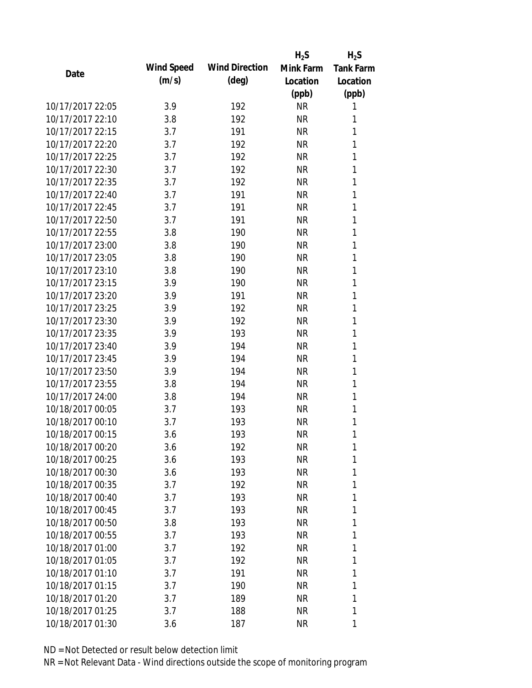|                  |            |                       | $H_2S$    | $H_2S$           |
|------------------|------------|-----------------------|-----------|------------------|
| Date             | Wind Speed | <b>Wind Direction</b> | Mink Farm | <b>Tank Farm</b> |
|                  | (m/s)      | $(\text{deg})$        | Location  | Location         |
|                  |            |                       | (ppb)     | (ppb)            |
| 10/17/2017 22:05 | 3.9        | 192                   | <b>NR</b> | 1                |
| 10/17/2017 22:10 | 3.8        | 192                   | <b>NR</b> | 1                |
| 10/17/2017 22:15 | 3.7        | 191                   | <b>NR</b> | 1                |
| 10/17/2017 22:20 | 3.7        | 192                   | <b>NR</b> | 1                |
| 10/17/2017 22:25 | 3.7        | 192                   | <b>NR</b> | 1                |
| 10/17/2017 22:30 | 3.7        | 192                   | <b>NR</b> | 1                |
| 10/17/2017 22:35 | 3.7        | 192                   | <b>NR</b> | 1                |
| 10/17/2017 22:40 | 3.7        | 191                   | <b>NR</b> | 1                |
| 10/17/2017 22:45 | 3.7        | 191                   | <b>NR</b> | 1                |
| 10/17/2017 22:50 | 3.7        | 191                   | <b>NR</b> | 1                |
| 10/17/2017 22:55 | 3.8        | 190                   | <b>NR</b> | 1                |
| 10/17/2017 23:00 | 3.8        | 190                   | <b>NR</b> | 1                |
| 10/17/2017 23:05 | 3.8        | 190                   | <b>NR</b> | 1                |
| 10/17/2017 23:10 | 3.8        | 190                   | <b>NR</b> | 1                |
| 10/17/2017 23:15 | 3.9        | 190                   | <b>NR</b> | 1                |
| 10/17/2017 23:20 | 3.9        | 191                   | <b>NR</b> | 1                |
| 10/17/2017 23:25 | 3.9        | 192                   | <b>NR</b> | 1                |
| 10/17/2017 23:30 | 3.9        | 192                   | <b>NR</b> | 1                |
| 10/17/2017 23:35 | 3.9        | 193                   | <b>NR</b> | 1                |
| 10/17/2017 23:40 | 3.9        | 194                   | <b>NR</b> | 1                |
| 10/17/2017 23:45 | 3.9        | 194                   | <b>NR</b> | 1                |
| 10/17/2017 23:50 | 3.9        | 194                   | <b>NR</b> | 1                |
| 10/17/2017 23:55 | 3.8        | 194                   | <b>NR</b> | 1                |
| 10/17/2017 24:00 | 3.8        | 194                   | <b>NR</b> | 1                |
| 10/18/2017 00:05 | 3.7        | 193                   | <b>NR</b> | 1                |
| 10/18/2017 00:10 | 3.7        | 193                   | <b>NR</b> | 1                |
| 10/18/2017 00:15 | 3.6        | 193                   | <b>NR</b> | 1                |
| 10/18/2017 00:20 | 3.6        | 192                   | NR        | 1                |
| 10/18/2017 00:25 | 3.6        | 193                   | <b>NR</b> | 1                |
| 10/18/2017 00:30 | 3.6        | 193                   | <b>NR</b> | 1                |
| 10/18/2017 00:35 | 3.7        | 192                   | <b>NR</b> | 1                |
| 10/18/2017 00:40 | 3.7        | 193                   | <b>NR</b> | 1                |
| 10/18/2017 00:45 | 3.7        | 193                   | NR        | 1                |
| 10/18/2017 00:50 | 3.8        | 193                   | <b>NR</b> | 1                |
| 10/18/2017 00:55 | 3.7        | 193                   | <b>NR</b> | 1                |
| 10/18/2017 01:00 | 3.7        | 192                   | <b>NR</b> | 1                |
| 10/18/2017 01:05 | 3.7        | 192                   | <b>NR</b> | 1                |
| 10/18/2017 01:10 | 3.7        | 191                   | <b>NR</b> | 1                |
| 10/18/2017 01:15 | 3.7        | 190                   | <b>NR</b> | 1                |
| 10/18/2017 01:20 | 3.7        | 189                   | ΝR        | 1                |
| 10/18/2017 01:25 | 3.7        | 188                   | <b>NR</b> | 1                |
| 10/18/2017 01:30 | 3.6        | 187                   | <b>NR</b> | 1                |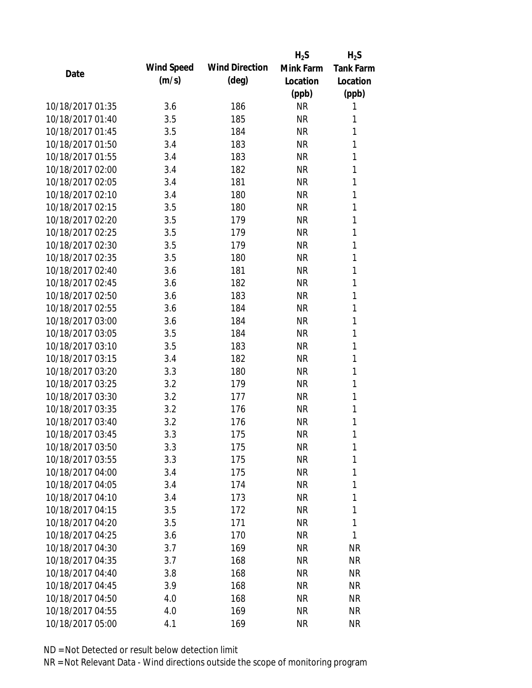|                  |            |                       | $H_2S$    | $H_2S$           |
|------------------|------------|-----------------------|-----------|------------------|
| Date             | Wind Speed | <b>Wind Direction</b> | Mink Farm | <b>Tank Farm</b> |
|                  | (m/s)      | $(\text{deg})$        | Location  | Location         |
|                  |            |                       | (ppb)     | (ppb)            |
| 10/18/2017 01:35 | 3.6        | 186                   | <b>NR</b> | 1                |
| 10/18/2017 01:40 | 3.5        | 185                   | <b>NR</b> | 1                |
| 10/18/2017 01:45 | 3.5        | 184                   | <b>NR</b> | 1                |
| 10/18/2017 01:50 | 3.4        | 183                   | <b>NR</b> | 1                |
| 10/18/2017 01:55 | 3.4        | 183                   | <b>NR</b> | 1                |
| 10/18/2017 02:00 | 3.4        | 182                   | <b>NR</b> | 1                |
| 10/18/2017 02:05 | 3.4        | 181                   | <b>NR</b> | 1                |
| 10/18/2017 02:10 | 3.4        | 180                   | <b>NR</b> | 1                |
| 10/18/2017 02:15 | 3.5        | 180                   | <b>NR</b> | 1                |
| 10/18/2017 02:20 | 3.5        | 179                   | <b>NR</b> | 1                |
| 10/18/2017 02:25 | 3.5        | 179                   | <b>NR</b> | 1                |
| 10/18/2017 02:30 | 3.5        | 179                   | <b>NR</b> | 1                |
| 10/18/2017 02:35 | 3.5        | 180                   | <b>NR</b> | 1                |
| 10/18/2017 02:40 | 3.6        | 181                   | <b>NR</b> | 1                |
| 10/18/2017 02:45 | 3.6        | 182                   | <b>NR</b> | 1                |
| 10/18/2017 02:50 | 3.6        | 183                   | <b>NR</b> | 1                |
| 10/18/2017 02:55 | 3.6        | 184                   | <b>NR</b> | 1                |
| 10/18/2017 03:00 | 3.6        | 184                   | <b>NR</b> | 1                |
| 10/18/2017 03:05 | 3.5        | 184                   | <b>NR</b> | 1                |
| 10/18/2017 03:10 | 3.5        | 183                   | <b>NR</b> | 1                |
| 10/18/2017 03:15 | 3.4        | 182                   | <b>NR</b> | 1                |
| 10/18/2017 03:20 | 3.3        | 180                   | <b>NR</b> | 1                |
| 10/18/2017 03:25 | 3.2        | 179                   | <b>NR</b> | 1                |
| 10/18/2017 03:30 | 3.2        | 177                   | <b>NR</b> | 1                |
| 10/18/2017 03:35 | 3.2        | 176                   | <b>NR</b> | 1                |
| 10/18/2017 03:40 | 3.2        | 176                   | <b>NR</b> | 1                |
| 10/18/2017 03:45 | 3.3        | 175                   | <b>NR</b> | 1                |
| 10/18/2017 03:50 | 3.3        | 175                   | ΝR        | 1                |
| 10/18/2017 03:55 | 3.3        | 175                   | <b>NR</b> | 1                |
| 10/18/2017 04:00 | 3.4        | 175                   | <b>NR</b> | 1                |
| 10/18/2017 04:05 | 3.4        | 174                   | <b>NR</b> | 1                |
| 10/18/2017 04:10 | 3.4        | 173                   | <b>NR</b> | 1                |
| 10/18/2017 04:15 | 3.5        | 172                   | NR        | 1                |
| 10/18/2017 04:20 | 3.5        | 171                   | <b>NR</b> | 1                |
| 10/18/2017 04:25 | 3.6        | 170                   | <b>NR</b> | 1                |
| 10/18/2017 04:30 | 3.7        | 169                   | <b>NR</b> | <b>NR</b>        |
| 10/18/2017 04:35 | 3.7        | 168                   | <b>NR</b> | <b>NR</b>        |
| 10/18/2017 04:40 | 3.8        | 168                   | NR        | <b>NR</b>        |
| 10/18/2017 04:45 | 3.9        | 168                   | <b>NR</b> | <b>NR</b>        |
| 10/18/2017 04:50 | 4.0        | 168                   | ΝR        | <b>NR</b>        |
| 10/18/2017 04:55 | 4.0        | 169                   | <b>NR</b> | <b>NR</b>        |
| 10/18/2017 05:00 | 4.1        | 169                   | <b>NR</b> | <b>NR</b>        |
|                  |            |                       |           |                  |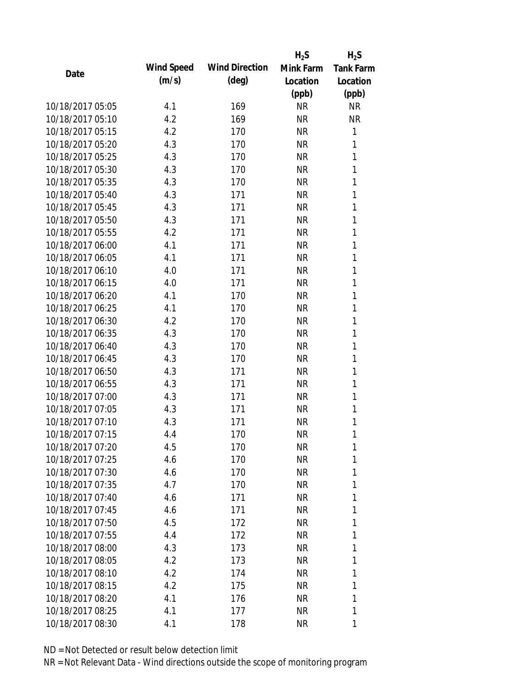|                  |                   |                       | $H_2S$    | $H_2S$           |
|------------------|-------------------|-----------------------|-----------|------------------|
| Date             | <b>Wind Speed</b> | <b>Wind Direction</b> | Mink Farm | <b>Tank Farm</b> |
|                  | (m/s)             | $(\text{deg})$        | Location  | Location         |
|                  |                   |                       | (ppb)     | (ppb)            |
| 10/18/2017 05:05 | 4.1               | 169                   | <b>NR</b> | <b>NR</b>        |
| 10/18/2017 05:10 | 4.2               | 169                   | <b>NR</b> | <b>NR</b>        |
| 10/18/2017 05:15 | 4.2               | 170                   | <b>NR</b> | $\mathbf{1}$     |
| 10/18/2017 05:20 | 4.3               | 170                   | <b>NR</b> | 1                |
| 10/18/2017 05:25 | 4.3               | 170                   | <b>NR</b> | 1                |
| 10/18/2017 05:30 | 4.3               | 170                   | <b>NR</b> | 1                |
| 10/18/2017 05:35 | 4.3               | 170                   | <b>NR</b> | 1                |
| 10/18/2017 05:40 | 4.3               | 171                   | <b>NR</b> | 1                |
| 10/18/2017 05:45 | 4.3               | 171                   | <b>NR</b> | 1                |
| 10/18/2017 05:50 | 4.3               | 171                   | <b>NR</b> | 1                |
| 10/18/2017 05:55 | 4.2               | 171                   | <b>NR</b> | 1                |
| 10/18/2017 06:00 | 4.1               | 171                   | <b>NR</b> | 1                |
| 10/18/2017 06:05 | 4.1               | 171                   | <b>NR</b> | 1                |
| 10/18/2017 06:10 | 4.0               | 171                   | <b>NR</b> | 1                |
| 10/18/2017 06:15 | 4.0               | 171                   | <b>NR</b> | 1                |
| 10/18/2017 06:20 | 4.1               | 170                   | <b>NR</b> | 1                |
| 10/18/2017 06:25 | 4.1               | 170                   | <b>NR</b> | 1                |
| 10/18/2017 06:30 | 4.2               | 170                   | <b>NR</b> | 1                |
| 10/18/2017 06:35 | 4.3               | 170                   | <b>NR</b> | 1                |
| 10/18/2017 06:40 | 4.3               | 170                   | <b>NR</b> | 1                |
| 10/18/2017 06:45 | 4.3               | 170                   | <b>NR</b> | 1                |
| 10/18/2017 06:50 | 4.3               | 171                   | <b>NR</b> | 1                |
| 10/18/2017 06:55 | 4.3               | 171                   | <b>NR</b> | 1                |
| 10/18/2017 07:00 | 4.3               | 171                   | <b>NR</b> | 1                |
| 10/18/2017 07:05 | 4.3               | 171                   | <b>NR</b> | 1                |
| 10/18/2017 07:10 | 4.3               | 171                   | <b>NR</b> | 1                |
| 10/18/2017 07:15 | 4.4               | 170                   | <b>NR</b> | 1                |
| 10/18/2017 07:20 | 4.5               | 170                   | <b>NR</b> | 1                |
| 10/18/2017 07:25 | 4.6               | 170                   | <b>NR</b> | 1                |
| 10/18/2017 07:30 | 4.6               | 170                   | <b>NR</b> | 1                |
| 10/18/2017 07:35 | 4.7               | 170                   | <b>NR</b> | 1                |
| 10/18/2017 07:40 | 4.6               | 171                   | <b>NR</b> | 1                |
| 10/18/2017 07:45 | 4.6               | 171                   | <b>NR</b> | 1                |
| 10/18/2017 07:50 | 4.5               | 172                   | <b>NR</b> | 1                |
| 10/18/2017 07:55 | 4.4               | 172                   | <b>NR</b> | 1                |
| 10/18/2017 08:00 | 4.3               | 173                   | <b>NR</b> | 1                |
| 10/18/2017 08:05 | 4.2               | 173                   | <b>NR</b> | 1                |
| 10/18/2017 08:10 | 4.2               | 174                   | <b>NR</b> | 1                |
| 10/18/2017 08:15 | 4.2               | 175                   | <b>NR</b> | 1                |
| 10/18/2017 08:20 | 4.1               | 176                   | <b>NR</b> | 1                |
| 10/18/2017 08:25 | 4.1               | 177                   | <b>NR</b> | 1                |
| 10/18/2017 08:30 | 4.1               | 178                   | <b>NR</b> | 1                |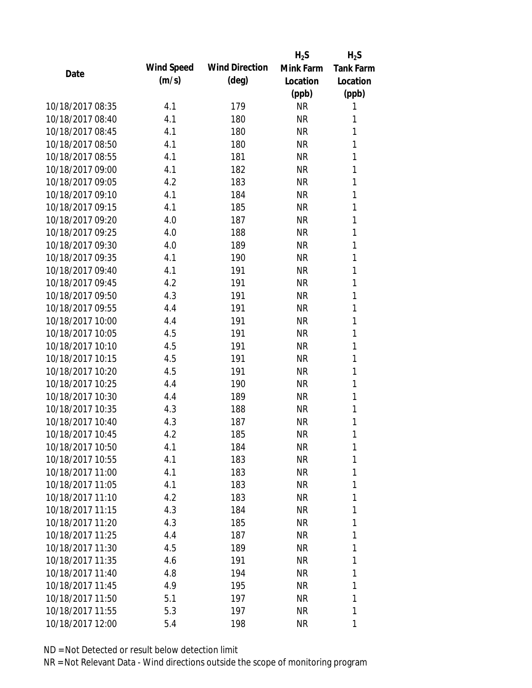|                  |            |                       | $H_2S$    | $H_2S$           |
|------------------|------------|-----------------------|-----------|------------------|
| Date             | Wind Speed | <b>Wind Direction</b> | Mink Farm | <b>Tank Farm</b> |
|                  | (m/s)      | $(\text{deg})$        | Location  | Location         |
|                  |            |                       | (ppb)     | (ppb)            |
| 10/18/2017 08:35 | 4.1        | 179                   | <b>NR</b> | 1                |
| 10/18/2017 08:40 | 4.1        | 180                   | <b>NR</b> | 1                |
| 10/18/2017 08:45 | 4.1        | 180                   | <b>NR</b> | 1                |
| 10/18/2017 08:50 | 4.1        | 180                   | <b>NR</b> | 1                |
| 10/18/2017 08:55 | 4.1        | 181                   | <b>NR</b> | 1                |
| 10/18/2017 09:00 | 4.1        | 182                   | <b>NR</b> | 1                |
| 10/18/2017 09:05 | 4.2        | 183                   | <b>NR</b> | 1                |
| 10/18/2017 09:10 | 4.1        | 184                   | <b>NR</b> | 1                |
| 10/18/2017 09:15 | 4.1        | 185                   | <b>NR</b> | 1                |
| 10/18/2017 09:20 | 4.0        | 187                   | <b>NR</b> | 1                |
| 10/18/2017 09:25 | 4.0        | 188                   | <b>NR</b> | 1                |
| 10/18/2017 09:30 | 4.0        | 189                   | <b>NR</b> | 1                |
| 10/18/2017 09:35 | 4.1        | 190                   | <b>NR</b> | 1                |
| 10/18/2017 09:40 | 4.1        | 191                   | <b>NR</b> | 1                |
| 10/18/2017 09:45 | 4.2        | 191                   | <b>NR</b> | 1                |
| 10/18/2017 09:50 | 4.3        | 191                   | <b>NR</b> | 1                |
| 10/18/2017 09:55 | 4.4        | 191                   | <b>NR</b> | 1                |
| 10/18/2017 10:00 | 4.4        | 191                   | <b>NR</b> | 1                |
| 10/18/2017 10:05 | 4.5        | 191                   | <b>NR</b> | 1                |
| 10/18/2017 10:10 | 4.5        | 191                   | <b>NR</b> | 1                |
| 10/18/2017 10:15 | 4.5        | 191                   | <b>NR</b> | 1                |
| 10/18/2017 10:20 | 4.5        | 191                   | <b>NR</b> | 1                |
| 10/18/2017 10:25 | 4.4        | 190                   | <b>NR</b> | 1                |
| 10/18/2017 10:30 | 4.4        | 189                   | <b>NR</b> | 1                |
| 10/18/2017 10:35 | 4.3        | 188                   | <b>NR</b> | 1                |
| 10/18/2017 10:40 | 4.3        | 187                   | <b>NR</b> | 1                |
| 10/18/2017 10:45 | 4.2        | 185                   | <b>NR</b> | 1                |
| 10/18/2017 10:50 | 4.1        | 184                   | NR        | 1                |
| 10/18/2017 10:55 | 4.1        | 183                   | <b>NR</b> | 1                |
| 10/18/2017 11:00 | 4.1        | 183                   | <b>NR</b> | 1                |
| 10/18/2017 11:05 | 4.1        | 183                   | <b>NR</b> | 1                |
| 10/18/2017 11:10 | 4.2        | 183                   | <b>NR</b> | 1                |
| 10/18/2017 11:15 | 4.3        | 184                   | NR        | 1                |
| 10/18/2017 11:20 | 4.3        | 185                   | <b>NR</b> | 1                |
| 10/18/2017 11:25 | 4.4        | 187                   | NR        | 1                |
| 10/18/2017 11:30 | 4.5        | 189                   | <b>NR</b> | 1                |
| 10/18/2017 11:35 | 4.6        | 191                   | <b>NR</b> | 1                |
| 10/18/2017 11:40 | 4.8        | 194                   | <b>NR</b> | 1                |
| 10/18/2017 11:45 | 4.9        | 195                   | <b>NR</b> | 1                |
| 10/18/2017 11:50 | 5.1        | 197                   | NR        | 1                |
| 10/18/2017 11:55 | 5.3        | 197                   | <b>NR</b> | 1                |
| 10/18/2017 12:00 | 5.4        | 198                   | <b>NR</b> | 1                |
|                  |            |                       |           |                  |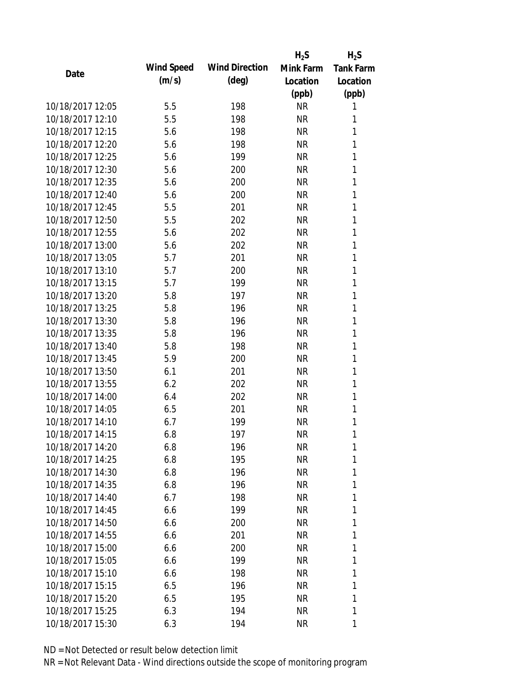|                  |            |                       | $H_2S$    | $H_2S$           |
|------------------|------------|-----------------------|-----------|------------------|
| Date             | Wind Speed | <b>Wind Direction</b> | Mink Farm | <b>Tank Farm</b> |
|                  | (m/s)      | $(\text{deg})$        | Location  | Location         |
|                  |            |                       | (ppb)     | (ppb)            |
| 10/18/2017 12:05 | 5.5        | 198                   | <b>NR</b> | 1                |
| 10/18/2017 12:10 | 5.5        | 198                   | <b>NR</b> | 1                |
| 10/18/2017 12:15 | 5.6        | 198                   | <b>NR</b> | 1                |
| 10/18/2017 12:20 | 5.6        | 198                   | <b>NR</b> | 1                |
| 10/18/2017 12:25 | 5.6        | 199                   | <b>NR</b> | 1                |
| 10/18/2017 12:30 | 5.6        | 200                   | <b>NR</b> | 1                |
| 10/18/2017 12:35 | 5.6        | 200                   | <b>NR</b> | 1                |
| 10/18/2017 12:40 | 5.6        | 200                   | <b>NR</b> | 1                |
| 10/18/2017 12:45 | 5.5        | 201                   | NR        | 1                |
| 10/18/2017 12:50 | 5.5        | 202                   | <b>NR</b> | 1                |
| 10/18/2017 12:55 | 5.6        | 202                   | <b>NR</b> | 1                |
| 10/18/2017 13:00 | 5.6        | 202                   | <b>NR</b> | 1                |
| 10/18/2017 13:05 | 5.7        | 201                   | <b>NR</b> | 1                |
| 10/18/2017 13:10 | 5.7        | 200                   | <b>NR</b> | 1                |
| 10/18/2017 13:15 | 5.7        | 199                   | <b>NR</b> | 1                |
| 10/18/2017 13:20 | 5.8        | 197                   | <b>NR</b> | 1                |
| 10/18/2017 13:25 | 5.8        | 196                   | <b>NR</b> | 1                |
| 10/18/2017 13:30 | 5.8        | 196                   | <b>NR</b> | 1                |
| 10/18/2017 13:35 | 5.8        | 196                   | <b>NR</b> | 1                |
| 10/18/2017 13:40 | 5.8        | 198                   | <b>NR</b> | 1                |
| 10/18/2017 13:45 | 5.9        | 200                   | <b>NR</b> | 1                |
| 10/18/2017 13:50 | 6.1        | 201                   | <b>NR</b> | 1                |
| 10/18/2017 13:55 | 6.2        | 202                   | <b>NR</b> | 1                |
| 10/18/2017 14:00 | 6.4        | 202                   | <b>NR</b> | 1                |
| 10/18/2017 14:05 | 6.5        | 201                   | <b>NR</b> | 1                |
| 10/18/2017 14:10 | 6.7        | 199                   | <b>NR</b> | 1                |
| 10/18/2017 14:15 | 6.8        | 197                   | <b>NR</b> | 1                |
| 10/18/2017 14:20 | 6.8        | 196                   | ΝR        | 1                |
| 10/18/2017 14:25 | 6.8        | 195                   | <b>NR</b> | 1                |
| 10/18/2017 14:30 | 6.8        | 196                   | NR        | 1                |
| 10/18/2017 14:35 | 6.8        | 196                   | NR        | 1                |
| 10/18/2017 14:40 | 6.7        | 198                   | <b>NR</b> | 1                |
| 10/18/2017 14:45 | 6.6        | 199                   | NR        | 1                |
| 10/18/2017 14:50 | 6.6        | 200                   | <b>NR</b> | 1                |
| 10/18/2017 14:55 | 6.6        | 201                   | NR        | 1                |
| 10/18/2017 15:00 | 6.6        | 200                   | NR        | 1                |
| 10/18/2017 15:05 | 6.6        | 199                   | <b>NR</b> | 1                |
| 10/18/2017 15:10 | 6.6        | 198                   | NR        | 1                |
| 10/18/2017 15:15 | 6.5        | 196                   | <b>NR</b> | 1                |
| 10/18/2017 15:20 | 6.5        | 195                   | NR        | 1                |
| 10/18/2017 15:25 | 6.3        | 194                   | <b>NR</b> | 1                |
| 10/18/2017 15:30 | 6.3        | 194                   | <b>NR</b> | 1                |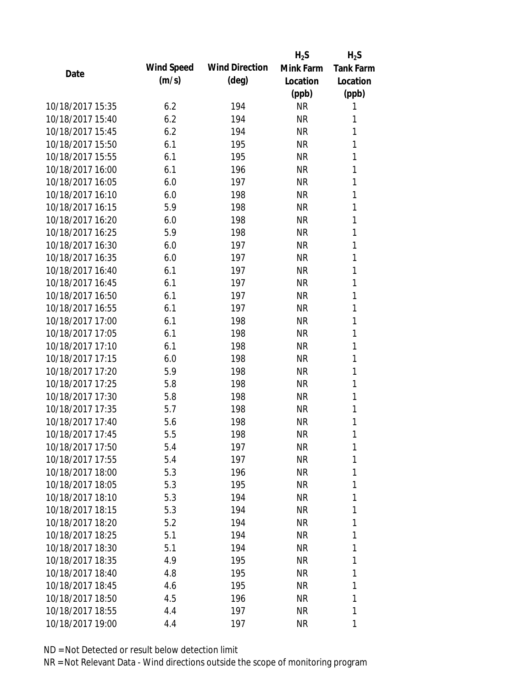|                  |            |                       | $H_2S$    | $H_2S$           |
|------------------|------------|-----------------------|-----------|------------------|
| Date             | Wind Speed | <b>Wind Direction</b> | Mink Farm | <b>Tank Farm</b> |
|                  | (m/s)      | $(\text{deg})$        | Location  | Location         |
|                  |            |                       | (ppb)     | (ppb)            |
| 10/18/2017 15:35 | 6.2        | 194                   | <b>NR</b> | 1                |
| 10/18/2017 15:40 | 6.2        | 194                   | <b>NR</b> | 1                |
| 10/18/2017 15:45 | 6.2        | 194                   | <b>NR</b> | 1                |
| 10/18/2017 15:50 | 6.1        | 195                   | <b>NR</b> | 1                |
| 10/18/2017 15:55 | 6.1        | 195                   | <b>NR</b> | 1                |
| 10/18/2017 16:00 | 6.1        | 196                   | <b>NR</b> | 1                |
| 10/18/2017 16:05 | 6.0        | 197                   | <b>NR</b> | 1                |
| 10/18/2017 16:10 | 6.0        | 198                   | <b>NR</b> | 1                |
| 10/18/2017 16:15 | 5.9        | 198                   | <b>NR</b> | 1                |
| 10/18/2017 16:20 | 6.0        | 198                   | <b>NR</b> | 1                |
| 10/18/2017 16:25 | 5.9        | 198                   | <b>NR</b> | 1                |
| 10/18/2017 16:30 | 6.0        | 197                   | <b>NR</b> | 1                |
| 10/18/2017 16:35 | 6.0        | 197                   | <b>NR</b> | 1                |
| 10/18/2017 16:40 | 6.1        | 197                   | <b>NR</b> | 1                |
| 10/18/2017 16:45 | 6.1        | 197                   | <b>NR</b> | 1                |
| 10/18/2017 16:50 | 6.1        | 197                   | <b>NR</b> | 1                |
| 10/18/2017 16:55 | 6.1        | 197                   | <b>NR</b> | 1                |
| 10/18/2017 17:00 | 6.1        | 198                   | <b>NR</b> | 1                |
| 10/18/2017 17:05 | 6.1        | 198                   | <b>NR</b> | 1                |
| 10/18/2017 17:10 | 6.1        | 198                   | <b>NR</b> | 1                |
| 10/18/2017 17:15 | 6.0        | 198                   | <b>NR</b> | 1                |
| 10/18/2017 17:20 | 5.9        | 198                   | <b>NR</b> | 1                |
| 10/18/2017 17:25 | 5.8        | 198                   | <b>NR</b> | 1                |
| 10/18/2017 17:30 | 5.8        | 198                   | <b>NR</b> | 1                |
| 10/18/2017 17:35 | 5.7        | 198                   | <b>NR</b> | 1                |
| 10/18/2017 17:40 | 5.6        | 198                   | <b>NR</b> | 1                |
| 10/18/2017 17:45 | 5.5        | 198                   | <b>NR</b> | 1                |
| 10/18/2017 17:50 | 5.4        | 197                   | NR        | 1                |
| 10/18/2017 17:55 | 5.4        | 197                   | <b>NR</b> | 1                |
| 10/18/2017 18:00 | 5.3        | 196                   | <b>NR</b> | 1                |
| 10/18/2017 18:05 | 5.3        | 195                   | <b>NR</b> | 1                |
| 10/18/2017 18:10 | 5.3        | 194                   | <b>NR</b> | 1                |
| 10/18/2017 18:15 | 5.3        | 194                   | NR        | 1                |
| 10/18/2017 18:20 | 5.2        | 194                   | <b>NR</b> | 1                |
| 10/18/2017 18:25 | 5.1        | 194                   | NR        | 1                |
| 10/18/2017 18:30 | 5.1        | 194                   | <b>NR</b> | 1                |
| 10/18/2017 18:35 | 4.9        | 195                   | <b>NR</b> | 1                |
| 10/18/2017 18:40 | 4.8        | 195                   | <b>NR</b> | 1                |
| 10/18/2017 18:45 | 4.6        | 195                   | <b>NR</b> | 1                |
| 10/18/2017 18:50 | 4.5        | 196                   | NR        | 1                |
| 10/18/2017 18:55 | 4.4        | 197                   | <b>NR</b> | 1                |
| 10/18/2017 19:00 | 4.4        | 197                   | <b>NR</b> | 1                |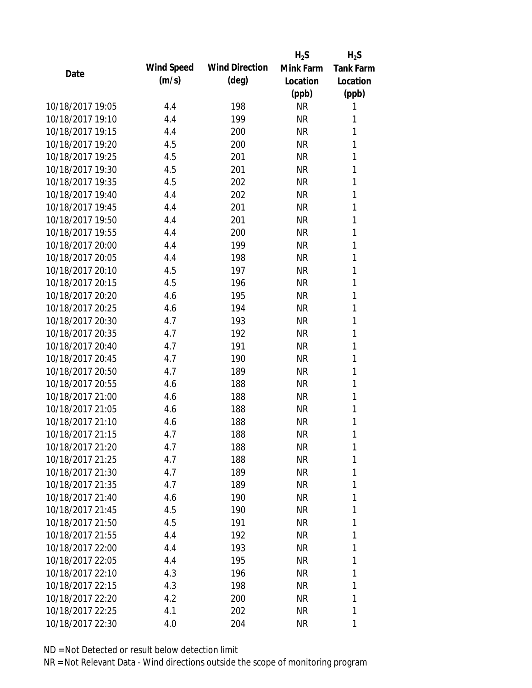|                  |            |                       | $H_2S$    | $H_2S$           |
|------------------|------------|-----------------------|-----------|------------------|
| Date             | Wind Speed | <b>Wind Direction</b> | Mink Farm | <b>Tank Farm</b> |
|                  | (m/s)      | $(\text{deg})$        | Location  | Location         |
|                  |            |                       | (ppb)     | (ppb)            |
| 10/18/2017 19:05 | 4.4        | 198                   | <b>NR</b> | 1                |
| 10/18/2017 19:10 | 4.4        | 199                   | <b>NR</b> | 1                |
| 10/18/2017 19:15 | 4.4        | 200                   | <b>NR</b> | 1                |
| 10/18/2017 19:20 | 4.5        | 200                   | <b>NR</b> | 1                |
| 10/18/2017 19:25 | 4.5        | 201                   | <b>NR</b> | 1                |
| 10/18/2017 19:30 | 4.5        | 201                   | <b>NR</b> | 1                |
| 10/18/2017 19:35 | 4.5        | 202                   | <b>NR</b> | 1                |
| 10/18/2017 19:40 | 4.4        | 202                   | <b>NR</b> | 1                |
| 10/18/2017 19:45 | 4.4        | 201                   | NR        | 1                |
| 10/18/2017 19:50 | 4.4        | 201                   | <b>NR</b> | 1                |
| 10/18/2017 19:55 | 4.4        | 200                   | <b>NR</b> | 1                |
| 10/18/2017 20:00 | 4.4        | 199                   | <b>NR</b> | 1                |
| 10/18/2017 20:05 | 4.4        | 198                   | <b>NR</b> | 1                |
| 10/18/2017 20:10 | 4.5        | 197                   | <b>NR</b> | 1                |
| 10/18/2017 20:15 | 4.5        | 196                   | <b>NR</b> | 1                |
| 10/18/2017 20:20 | 4.6        | 195                   | <b>NR</b> | 1                |
| 10/18/2017 20:25 | 4.6        | 194                   | <b>NR</b> | 1                |
| 10/18/2017 20:30 | 4.7        | 193                   | <b>NR</b> | 1                |
| 10/18/2017 20:35 | 4.7        | 192                   | <b>NR</b> | 1                |
| 10/18/2017 20:40 | 4.7        | 191                   | <b>NR</b> | 1                |
| 10/18/2017 20:45 | 4.7        | 190                   | <b>NR</b> | 1                |
| 10/18/2017 20:50 | 4.7        | 189                   | <b>NR</b> | 1                |
| 10/18/2017 20:55 | 4.6        | 188                   | <b>NR</b> | 1                |
| 10/18/2017 21:00 | 4.6        | 188                   | <b>NR</b> | 1                |
| 10/18/2017 21:05 | 4.6        | 188                   | <b>NR</b> | 1                |
| 10/18/2017 21:10 | 4.6        | 188                   | <b>NR</b> | 1                |
| 10/18/2017 21:15 | 4.7        | 188                   | <b>NR</b> | 1                |
| 10/18/2017 21:20 | 4.7        | 188                   | NR        | 1                |
| 10/18/2017 21:25 | 4.7        | 188                   | <b>NR</b> | 1                |
| 10/18/2017 21:30 | 4.7        | 189                   | NR        | 1                |
| 10/18/2017 21:35 | 4.7        | 189                   | <b>NR</b> | 1                |
| 10/18/2017 21:40 | 4.6        | 190                   | <b>NR</b> | 1                |
| 10/18/2017 21:45 | 4.5        | 190                   | NR        | 1                |
| 10/18/2017 21:50 | 4.5        | 191                   | <b>NR</b> | 1                |
| 10/18/2017 21:55 | 4.4        | 192                   | NR        | 1                |
| 10/18/2017 22:00 | 4.4        | 193                   | <b>NR</b> | 1                |
| 10/18/2017 22:05 | 4.4        | 195                   | <b>NR</b> | 1                |
| 10/18/2017 22:10 | 4.3        | 196                   | NR        | 1                |
| 10/18/2017 22:15 | 4.3        | 198                   | <b>NR</b> | 1                |
| 10/18/2017 22:20 | 4.2        | 200                   | NR        | 1                |
| 10/18/2017 22:25 | 4.1        | 202                   | <b>NR</b> | 1                |
| 10/18/2017 22:30 | 4.0        | 204                   | <b>NR</b> | 1                |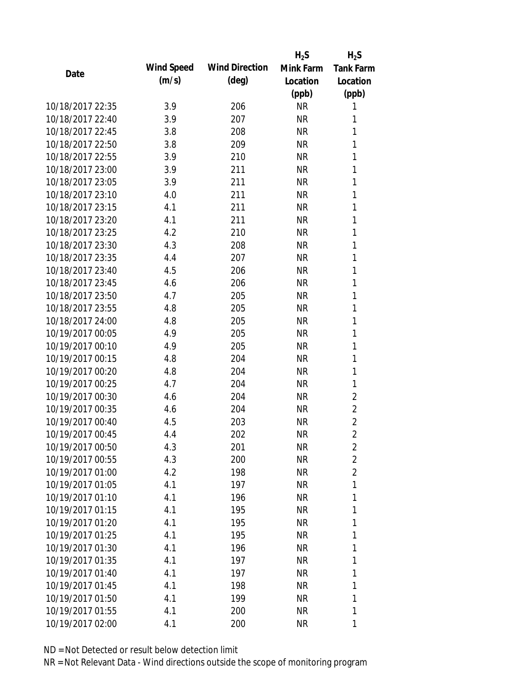|                  |            |                       | $H_2S$    | $H_2S$           |
|------------------|------------|-----------------------|-----------|------------------|
| Date             | Wind Speed | <b>Wind Direction</b> | Mink Farm | <b>Tank Farm</b> |
|                  | (m/s)      | $(\text{deg})$        | Location  | Location         |
|                  |            |                       | (ppb)     | (ppb)            |
| 10/18/2017 22:35 | 3.9        | 206                   | <b>NR</b> | 1                |
| 10/18/2017 22:40 | 3.9        | 207                   | <b>NR</b> | 1                |
| 10/18/2017 22:45 | 3.8        | 208                   | <b>NR</b> | 1                |
| 10/18/2017 22:50 | 3.8        | 209                   | <b>NR</b> | 1                |
| 10/18/2017 22:55 | 3.9        | 210                   | <b>NR</b> | 1                |
| 10/18/2017 23:00 | 3.9        | 211                   | <b>NR</b> | 1                |
| 10/18/2017 23:05 | 3.9        | 211                   | <b>NR</b> | 1                |
| 10/18/2017 23:10 | 4.0        | 211                   | <b>NR</b> | 1                |
| 10/18/2017 23:15 | 4.1        | 211                   | NR        | 1                |
| 10/18/2017 23:20 | 4.1        | 211                   | <b>NR</b> | 1                |
| 10/18/2017 23:25 | 4.2        | 210                   | <b>NR</b> | 1                |
| 10/18/2017 23:30 | 4.3        | 208                   | <b>NR</b> | 1                |
| 10/18/2017 23:35 | 4.4        | 207                   | <b>NR</b> | 1                |
| 10/18/2017 23:40 | 4.5        | 206                   | <b>NR</b> | 1                |
| 10/18/2017 23:45 | 4.6        | 206                   | <b>NR</b> | 1                |
| 10/18/2017 23:50 | 4.7        | 205                   | <b>NR</b> | 1                |
| 10/18/2017 23:55 | 4.8        | 205                   | <b>NR</b> | 1                |
| 10/18/2017 24:00 | 4.8        | 205                   | <b>NR</b> | 1                |
| 10/19/2017 00:05 | 4.9        | 205                   | <b>NR</b> | 1                |
| 10/19/2017 00:10 | 4.9        | 205                   | <b>NR</b> | 1                |
| 10/19/2017 00:15 | 4.8        | 204                   | <b>NR</b> | 1                |
| 10/19/2017 00:20 | 4.8        | 204                   | <b>NR</b> | 1                |
| 10/19/2017 00:25 | 4.7        | 204                   | <b>NR</b> | 1                |
| 10/19/2017 00:30 | 4.6        | 204                   | <b>NR</b> | $\overline{c}$   |
| 10/19/2017 00:35 | 4.6        | 204                   | <b>NR</b> | $\overline{c}$   |
| 10/19/2017 00:40 | 4.5        | 203                   | <b>NR</b> | $\overline{c}$   |
| 10/19/2017 00:45 | 4.4        | 202                   | <b>NR</b> | $\overline{2}$   |
| 10/19/2017 00:50 | 4.3        | 201                   | NR        | 2                |
| 10/19/2017 00:55 | 4.3        | 200                   | <b>NR</b> | $\overline{2}$   |
| 10/19/2017 01:00 | 4.2        | 198                   | <b>NR</b> | $\overline{2}$   |
| 10/19/2017 01:05 | 4.1        | 197                   | <b>NR</b> | 1                |
| 10/19/2017 01:10 | 4.1        | 196                   | <b>NR</b> | 1                |
| 10/19/2017 01:15 | 4.1        | 195                   | NR        | 1                |
| 10/19/2017 01:20 | 4.1        | 195                   | <b>NR</b> | 1                |
| 10/19/2017 01:25 | 4.1        | 195                   | NR        | 1                |
| 10/19/2017 01:30 | 4.1        | 196                   | <b>NR</b> | 1                |
| 10/19/2017 01:35 | 4.1        | 197                   | <b>NR</b> | 1                |
| 10/19/2017 01:40 | 4.1        | 197                   | <b>NR</b> | 1                |
| 10/19/2017 01:45 | 4.1        | 198                   | <b>NR</b> | 1                |
| 10/19/2017 01:50 | 4.1        | 199                   | ΝR        | 1                |
| 10/19/2017 01:55 | 4.1        | 200                   | <b>NR</b> | 1                |
| 10/19/2017 02:00 | 4.1        | 200                   | <b>NR</b> | 1                |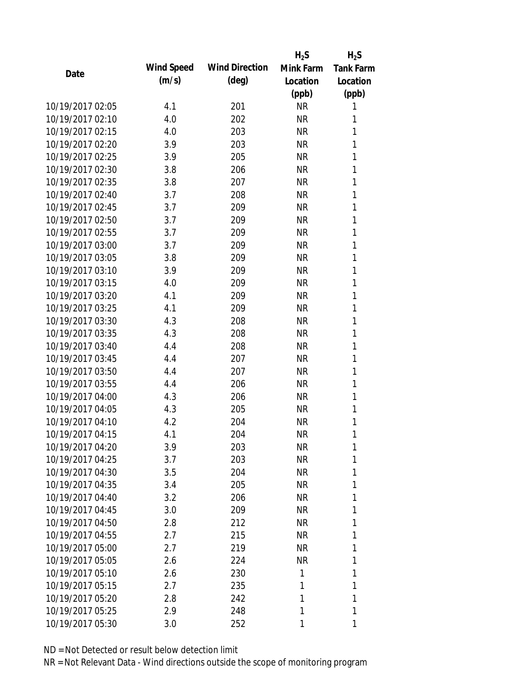|                  |            |                       | $H_2S$    | $H_2S$           |
|------------------|------------|-----------------------|-----------|------------------|
| Date             | Wind Speed | <b>Wind Direction</b> | Mink Farm | <b>Tank Farm</b> |
|                  | (m/s)      | $(\text{deg})$        | Location  | Location         |
|                  |            |                       | (ppb)     | (ppb)            |
| 10/19/2017 02:05 | 4.1        | 201                   | <b>NR</b> | 1                |
| 10/19/2017 02:10 | 4.0        | 202                   | <b>NR</b> | 1                |
| 10/19/2017 02:15 | 4.0        | 203                   | <b>NR</b> | 1                |
| 10/19/2017 02:20 | 3.9        | 203                   | <b>NR</b> | 1                |
| 10/19/2017 02:25 | 3.9        | 205                   | <b>NR</b> | 1                |
| 10/19/2017 02:30 | 3.8        | 206                   | <b>NR</b> | 1                |
| 10/19/2017 02:35 | 3.8        | 207                   | <b>NR</b> | 1                |
| 10/19/2017 02:40 | 3.7        | 208                   | <b>NR</b> | 1                |
| 10/19/2017 02:45 | 3.7        | 209                   | <b>NR</b> | 1                |
| 10/19/2017 02:50 | 3.7        | 209                   | <b>NR</b> | 1                |
| 10/19/2017 02:55 | 3.7        | 209                   | <b>NR</b> | 1                |
| 10/19/2017 03:00 | 3.7        | 209                   | <b>NR</b> | 1                |
| 10/19/2017 03:05 | 3.8        | 209                   | <b>NR</b> | 1                |
| 10/19/2017 03:10 | 3.9        | 209                   | <b>NR</b> | 1                |
| 10/19/2017 03:15 | 4.0        | 209                   | <b>NR</b> | 1                |
| 10/19/2017 03:20 | 4.1        | 209                   | <b>NR</b> | 1                |
| 10/19/2017 03:25 | 4.1        | 209                   | <b>NR</b> | 1                |
| 10/19/2017 03:30 | 4.3        | 208                   | <b>NR</b> | 1                |
| 10/19/2017 03:35 | 4.3        | 208                   | <b>NR</b> | 1                |
| 10/19/2017 03:40 | 4.4        | 208                   | <b>NR</b> | 1                |
| 10/19/2017 03:45 | 4.4        | 207                   | <b>NR</b> | 1                |
| 10/19/2017 03:50 | 4.4        | 207                   | <b>NR</b> | 1                |
| 10/19/2017 03:55 | 4.4        | 206                   | <b>NR</b> | 1                |
| 10/19/2017 04:00 | 4.3        | 206                   | <b>NR</b> | 1                |
| 10/19/2017 04:05 | 4.3        | 205                   | <b>NR</b> | 1                |
| 10/19/2017 04:10 | 4.2        | 204                   | <b>NR</b> | 1                |
| 10/19/2017 04:15 | 4.1        | 204                   | <b>NR</b> | 1                |
| 10/19/2017 04:20 | 3.9        | 203                   | NR        | 1                |
| 10/19/2017 04:25 | 3.7        | 203                   | <b>NR</b> | 1                |
| 10/19/2017 04:30 | 3.5        | 204                   | <b>NR</b> | 1                |
| 10/19/2017 04:35 | 3.4        | 205                   | <b>NR</b> | 1                |
| 10/19/2017 04:40 | 3.2        | 206                   | <b>NR</b> | 1                |
| 10/19/2017 04:45 | 3.0        | 209                   | NR        | 1                |
| 10/19/2017 04:50 | 2.8        | 212                   | <b>NR</b> | 1                |
| 10/19/2017 04:55 | 2.7        | 215                   | <b>NR</b> | 1                |
| 10/19/2017 05:00 | 2.7        | 219                   | <b>NR</b> | 1                |
| 10/19/2017 05:05 | 2.6        | 224                   | <b>NR</b> | 1                |
| 10/19/2017 05:10 | 2.6        | 230                   | 1         | 1                |
| 10/19/2017 05:15 | 2.7        | 235                   | 1         | 1                |
| 10/19/2017 05:20 | 2.8        | 242                   | 1         | 1                |
| 10/19/2017 05:25 | 2.9        | 248                   | 1         | 1                |
| 10/19/2017 05:30 | 3.0        | 252                   | 1         | 1                |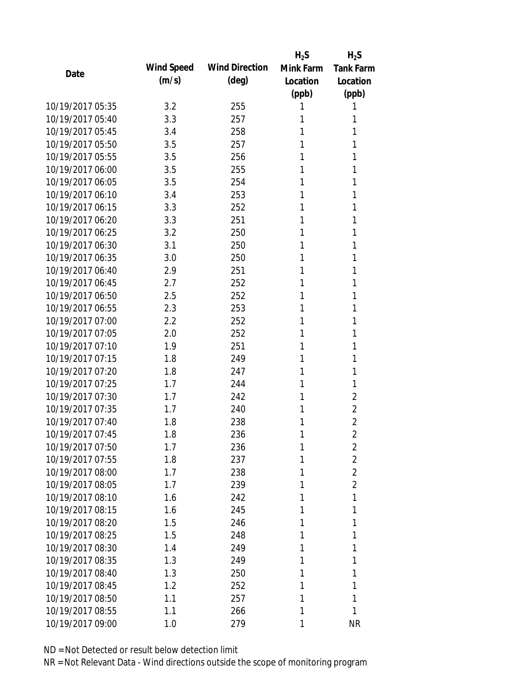|                  |            |                       | $H_2S$    | $H_2S$           |
|------------------|------------|-----------------------|-----------|------------------|
| Date             | Wind Speed | <b>Wind Direction</b> | Mink Farm | <b>Tank Farm</b> |
|                  | (m/s)      | $(\text{deg})$        | Location  | Location         |
|                  |            |                       | (ppb)     | (ppb)            |
| 10/19/2017 05:35 | 3.2        | 255                   |           | 1                |
| 10/19/2017 05:40 | 3.3        | 257                   | 1         | 1                |
| 10/19/2017 05:45 | 3.4        | 258                   | 1         | 1                |
| 10/19/2017 05:50 | 3.5        | 257                   | 1         | 1                |
| 10/19/2017 05:55 | 3.5        | 256                   | 1         | 1                |
| 10/19/2017 06:00 | 3.5        | 255                   | 1         | 1                |
| 10/19/2017 06:05 | 3.5        | 254                   | 1         | 1                |
| 10/19/2017 06:10 | 3.4        | 253                   |           | 1                |
| 10/19/2017 06:15 | 3.3        | 252                   | 1         | 1                |
| 10/19/2017 06:20 | 3.3        | 251                   | 1         | 1                |
| 10/19/2017 06:25 | 3.2        | 250                   | 1         | 1                |
| 10/19/2017 06:30 | 3.1        | 250                   | 1         | 1                |
| 10/19/2017 06:35 | 3.0        | 250                   | 1         | 1                |
| 10/19/2017 06:40 | 2.9        | 251                   | 1         | 1                |
| 10/19/2017 06:45 | 2.7        | 252                   | 1         | 1                |
| 10/19/2017 06:50 | 2.5        | 252                   | 1         | 1                |
| 10/19/2017 06:55 | 2.3        | 253                   | 1         | 1                |
| 10/19/2017 07:00 | 2.2        | 252                   | 1         | 1                |
| 10/19/2017 07:05 | 2.0        | 252                   | 1         | 1                |
| 10/19/2017 07:10 | 1.9        | 251                   | 1         | 1                |
| 10/19/2017 07:15 | 1.8        | 249                   | 1         | 1                |
| 10/19/2017 07:20 | 1.8        | 247                   | 1         | 1                |
| 10/19/2017 07:25 | 1.7        | 244                   | 1         | 1                |
| 10/19/2017 07:30 | 1.7        | 242                   | 1         | $\overline{2}$   |
| 10/19/2017 07:35 | 1.7        | 240                   | 1         | $\overline{2}$   |
| 10/19/2017 07:40 | 1.8        | 238                   | 1         | $\overline{2}$   |
| 10/19/2017 07:45 | 1.8        | 236                   | 1         | $\overline{2}$   |
| 10/19/2017 07:50 | 1.7        | 236                   | 1         | $\overline{2}$   |
| 10/19/2017 07:55 | 1.8        | 237                   | 1         | $\overline{2}$   |
| 10/19/2017 08:00 | 1.7        | 238                   | 1         | $\overline{2}$   |
| 10/19/2017 08:05 | 1.7        | 239                   | 1         | $\overline{2}$   |
| 10/19/2017 08:10 | 1.6        | 242                   | 1         | 1                |
| 10/19/2017 08:15 | 1.6        | 245                   | 1         | 1                |
| 10/19/2017 08:20 | 1.5        | 246                   | 1         | 1                |
| 10/19/2017 08:25 |            |                       |           |                  |
| 10/19/2017 08:30 | 1.5        | 248                   | 1<br>1    | 1<br>1           |
|                  | 1.4        | 249                   |           |                  |
| 10/19/2017 08:35 | 1.3        | 249                   | 1         | 1                |
| 10/19/2017 08:40 | 1.3        | 250                   | 1         | 1                |
| 10/19/2017 08:45 | 1.2        | 252                   |           | 1                |
| 10/19/2017 08:50 | 1.1        | 257                   | 1         | 1                |
| 10/19/2017 08:55 | 1.1        | 266                   | 1         | 1                |
| 10/19/2017 09:00 | 1.0        | 279                   | 1         | <b>NR</b>        |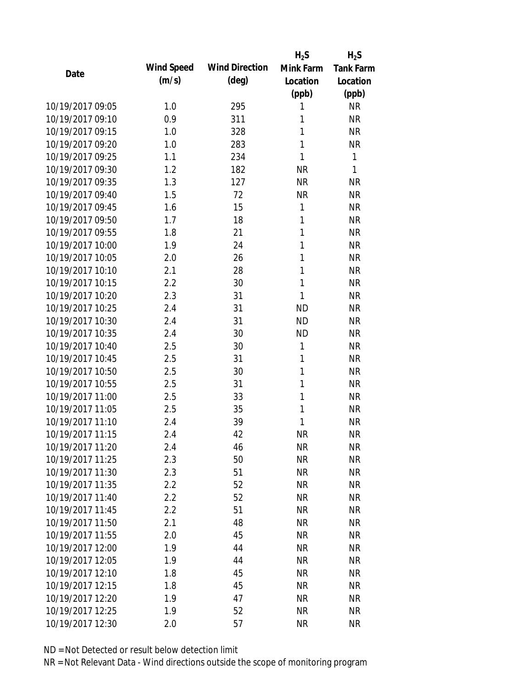|            |                       | $H_2S$    | $H_2S$             |
|------------|-----------------------|-----------|--------------------|
| Wind Speed | <b>Wind Direction</b> | Mink Farm | <b>Tank Farm</b>   |
| (m/s)      | $(\text{deg})$        | Location  | Location           |
|            |                       |           | (ppb)              |
| 1.0        | 295                   | 1         | <b>NR</b>          |
| 0.9        | 311                   | 1         | <b>NR</b>          |
| 1.0        | 328                   | 1         | <b>NR</b>          |
| 1.0        | 283                   | 1         | <b>NR</b>          |
| 1.1        | 234                   | 1         | $\mathbf{1}$       |
| 1.2        | 182                   | <b>NR</b> | 1                  |
| 1.3        | 127                   | <b>NR</b> | <b>NR</b>          |
| 1.5        | 72                    | <b>NR</b> | <b>NR</b>          |
| 1.6        | 15                    | 1         | <b>NR</b>          |
| 1.7        | 18                    | 1         | <b>NR</b>          |
| 1.8        | 21                    | 1         | <b>NR</b>          |
| 1.9        | 24                    | 1         | <b>NR</b>          |
| 2.0        | 26                    | 1         | <b>NR</b>          |
| 2.1        | 28                    | 1         | <b>NR</b>          |
| 2.2        | 30                    | 1         | <b>NR</b>          |
| 2.3        | 31                    | 1         | <b>NR</b>          |
| 2.4        | 31                    | <b>ND</b> | <b>NR</b>          |
|            |                       |           | <b>NR</b>          |
| 2.4        | 30                    | <b>ND</b> | <b>NR</b>          |
| 2.5        | 30                    | 1         | <b>NR</b>          |
| 2.5        | 31                    | 1         | <b>NR</b>          |
| 2.5        | 30                    | 1         | <b>NR</b>          |
| 2.5        | 31                    | 1         | <b>NR</b>          |
| 2.5        | 33                    | 1         | <b>NR</b>          |
| 2.5        | 35                    | 1         | <b>NR</b>          |
| 2.4        | 39                    | 1         | <b>NR</b>          |
| 2.4        | 42                    | <b>NR</b> | <b>NR</b>          |
|            |                       | <b>NR</b> | <b>NR</b>          |
| 2.3        | 50                    | <b>NR</b> | <b>NR</b>          |
| 2.3        | 51                    | <b>NR</b> | <b>NR</b>          |
| 2.2        | 52                    | <b>NR</b> | <b>NR</b>          |
| 2.2        | 52                    | <b>NR</b> | <b>NR</b>          |
| 2.2        | 51                    | <b>NR</b> | <b>NR</b>          |
| 2.1        | 48                    | <b>NR</b> | <b>NR</b>          |
| 2.0        | 45                    | <b>NR</b> | <b>NR</b>          |
| 1.9        | 44                    | <b>NR</b> | <b>NR</b>          |
| 1.9        | 44                    | <b>NR</b> | <b>NR</b>          |
| 1.8        | 45                    | <b>NR</b> | <b>NR</b>          |
| 1.8        | 45                    | <b>NR</b> | <b>NR</b>          |
| 1.9        | 47                    | <b>NR</b> | <b>NR</b>          |
| 1.9        | 52                    | <b>NR</b> | <b>NR</b>          |
| 2.0        | 57                    | <b>NR</b> | <b>NR</b>          |
|            | 2.4<br>2.4            | 31<br>46  | (ppb)<br><b>ND</b> |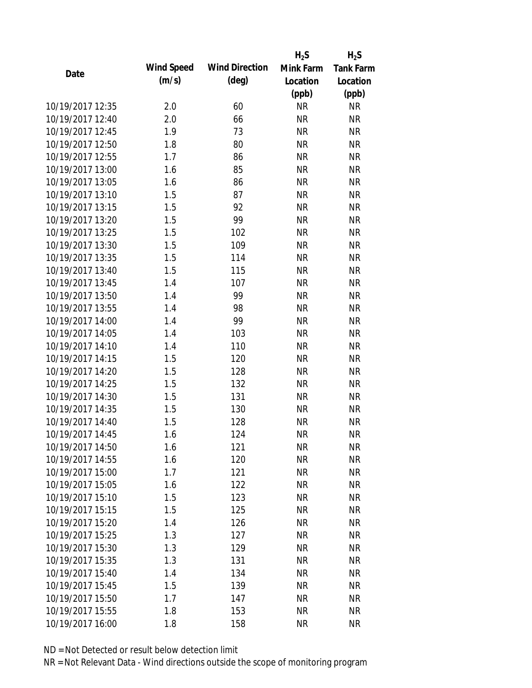|                  |            |                       | $H_2S$    | $H_2S$           |
|------------------|------------|-----------------------|-----------|------------------|
| Date             | Wind Speed | <b>Wind Direction</b> | Mink Farm | <b>Tank Farm</b> |
|                  | (m/s)      | $(\text{deg})$        | Location  | Location         |
|                  |            |                       | (ppb)     | (ppb)            |
| 10/19/2017 12:35 | 2.0        | 60                    | <b>NR</b> | <b>NR</b>        |
| 10/19/2017 12:40 | 2.0        | 66                    | <b>NR</b> | <b>NR</b>        |
| 10/19/2017 12:45 | 1.9        | 73                    | <b>NR</b> | <b>NR</b>        |
| 10/19/2017 12:50 | 1.8        | 80                    | <b>NR</b> | <b>NR</b>        |
| 10/19/2017 12:55 | 1.7        | 86                    | <b>NR</b> | <b>NR</b>        |
| 10/19/2017 13:00 | 1.6        | 85                    | <b>NR</b> | <b>NR</b>        |
| 10/19/2017 13:05 | 1.6        | 86                    | <b>NR</b> | <b>NR</b>        |
| 10/19/2017 13:10 | 1.5        | 87                    | <b>NR</b> | <b>NR</b>        |
| 10/19/2017 13:15 | 1.5        | 92                    | <b>NR</b> | <b>NR</b>        |
| 10/19/2017 13:20 | 1.5        | 99                    | <b>NR</b> | <b>NR</b>        |
| 10/19/2017 13:25 | 1.5        | 102                   | <b>NR</b> | <b>NR</b>        |
| 10/19/2017 13:30 | 1.5        | 109                   | <b>NR</b> | <b>NR</b>        |
| 10/19/2017 13:35 | 1.5        | 114                   | <b>NR</b> | <b>NR</b>        |
| 10/19/2017 13:40 | 1.5        | 115                   | <b>NR</b> | <b>NR</b>        |
| 10/19/2017 13:45 | 1.4        | 107                   | <b>NR</b> | <b>NR</b>        |
| 10/19/2017 13:50 | 1.4        | 99                    | <b>NR</b> | <b>NR</b>        |
| 10/19/2017 13:55 | 1.4        | 98                    | <b>NR</b> | <b>NR</b>        |
| 10/19/2017 14:00 | 1.4        | 99                    | <b>NR</b> | <b>NR</b>        |
| 10/19/2017 14:05 | 1.4        | 103                   | <b>NR</b> | <b>NR</b>        |
| 10/19/2017 14:10 | 1.4        | 110                   | <b>NR</b> | <b>NR</b>        |
| 10/19/2017 14:15 | 1.5        | 120                   | <b>NR</b> | <b>NR</b>        |
| 10/19/2017 14:20 | 1.5        | 128                   | <b>NR</b> | <b>NR</b>        |
| 10/19/2017 14:25 | 1.5        | 132                   | <b>NR</b> | <b>NR</b>        |
| 10/19/2017 14:30 | 1.5        | 131                   | <b>NR</b> | <b>NR</b>        |
| 10/19/2017 14:35 | 1.5        | 130                   | <b>NR</b> | <b>NR</b>        |
| 10/19/2017 14:40 | 1.5        | 128                   | <b>NR</b> | <b>NR</b>        |
| 10/19/2017 14:45 | 1.6        | 124                   | <b>NR</b> | <b>NR</b>        |
| 10/19/2017 14:50 | 1.6        | 121                   | <b>NR</b> | <b>NR</b>        |
| 10/19/2017 14:55 | 1.6        | 120                   | <b>NR</b> | <b>NR</b>        |
| 10/19/2017 15:00 | 1.7        | 121                   | <b>NR</b> | <b>NR</b>        |
| 10/19/2017 15:05 | 1.6        | 122                   | <b>NR</b> | <b>NR</b>        |
| 10/19/2017 15:10 | 1.5        | 123                   | <b>NR</b> | <b>NR</b>        |
| 10/19/2017 15:15 | 1.5        | 125                   | <b>NR</b> | <b>NR</b>        |
| 10/19/2017 15:20 | 1.4        | 126                   | <b>NR</b> | <b>NR</b>        |
| 10/19/2017 15:25 | 1.3        | 127                   | <b>NR</b> | <b>NR</b>        |
| 10/19/2017 15:30 | 1.3        | 129                   | <b>NR</b> | <b>NR</b>        |
| 10/19/2017 15:35 | 1.3        | 131                   | <b>NR</b> | <b>NR</b>        |
| 10/19/2017 15:40 | 1.4        | 134                   | <b>NR</b> | <b>NR</b>        |
| 10/19/2017 15:45 | 1.5        | 139                   | <b>NR</b> | <b>NR</b>        |
| 10/19/2017 15:50 | 1.7        | 147                   | <b>NR</b> | <b>NR</b>        |
| 10/19/2017 15:55 | 1.8        | 153                   | <b>NR</b> | <b>NR</b>        |
| 10/19/2017 16:00 | 1.8        | 158                   | <b>NR</b> | <b>NR</b>        |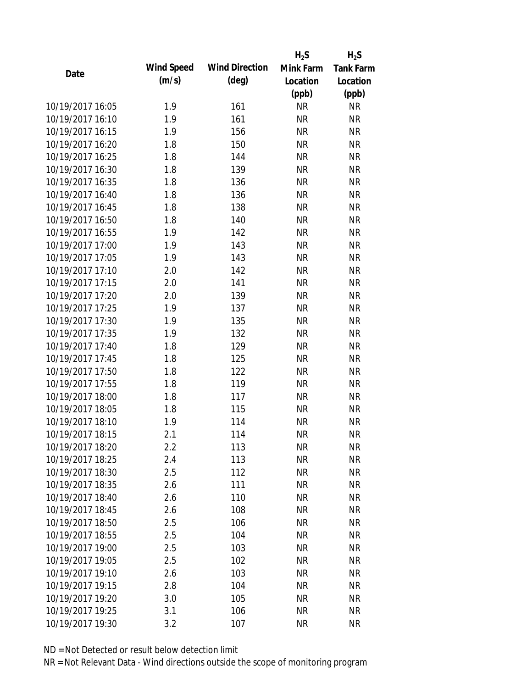|                  |            |                       | $H_2S$    | $H_2S$           |
|------------------|------------|-----------------------|-----------|------------------|
| Date             | Wind Speed | <b>Wind Direction</b> | Mink Farm | <b>Tank Farm</b> |
|                  | (m/s)      | $(\text{deg})$        | Location  | Location         |
|                  |            |                       | (ppb)     | (ppb)            |
| 10/19/2017 16:05 | 1.9        | 161                   | <b>NR</b> | <b>NR</b>        |
| 10/19/2017 16:10 | 1.9        | 161                   | <b>NR</b> | <b>NR</b>        |
| 10/19/2017 16:15 | 1.9        | 156                   | <b>NR</b> | <b>NR</b>        |
| 10/19/2017 16:20 | 1.8        | 150                   | <b>NR</b> | <b>NR</b>        |
| 10/19/2017 16:25 | 1.8        | 144                   | <b>NR</b> | <b>NR</b>        |
| 10/19/2017 16:30 | 1.8        | 139                   | <b>NR</b> | <b>NR</b>        |
| 10/19/2017 16:35 | 1.8        | 136                   | <b>NR</b> | <b>NR</b>        |
| 10/19/2017 16:40 | 1.8        | 136                   | <b>NR</b> | <b>NR</b>        |
| 10/19/2017 16:45 | 1.8        | 138                   | <b>NR</b> | <b>NR</b>        |
| 10/19/2017 16:50 | 1.8        | 140                   | <b>NR</b> | <b>NR</b>        |
| 10/19/2017 16:55 | 1.9        | 142                   | <b>NR</b> | <b>NR</b>        |
| 10/19/2017 17:00 | 1.9        | 143                   | <b>NR</b> | <b>NR</b>        |
| 10/19/2017 17:05 | 1.9        | 143                   | <b>NR</b> | <b>NR</b>        |
| 10/19/2017 17:10 | 2.0        | 142                   | <b>NR</b> | <b>NR</b>        |
| 10/19/2017 17:15 | 2.0        | 141                   | <b>NR</b> | <b>NR</b>        |
| 10/19/2017 17:20 | 2.0        | 139                   | <b>NR</b> | <b>NR</b>        |
| 10/19/2017 17:25 | 1.9        | 137                   | <b>NR</b> | <b>NR</b>        |
| 10/19/2017 17:30 | 1.9        | 135                   | <b>NR</b> | <b>NR</b>        |
| 10/19/2017 17:35 | 1.9        | 132                   | <b>NR</b> | <b>NR</b>        |
| 10/19/2017 17:40 | 1.8        | 129                   | <b>NR</b> | <b>NR</b>        |
| 10/19/2017 17:45 | 1.8        | 125                   | <b>NR</b> | <b>NR</b>        |
| 10/19/2017 17:50 | 1.8        | 122                   | <b>NR</b> | <b>NR</b>        |
| 10/19/2017 17:55 | 1.8        | 119                   | <b>NR</b> | <b>NR</b>        |
| 10/19/2017 18:00 | 1.8        | 117                   | <b>NR</b> | <b>NR</b>        |
| 10/19/2017 18:05 | 1.8        | 115                   | <b>NR</b> | <b>NR</b>        |
| 10/19/2017 18:10 | 1.9        | 114                   | <b>NR</b> | <b>NR</b>        |
| 10/19/2017 18:15 | 2.1        | 114                   | <b>NR</b> | <b>NR</b>        |
| 10/19/2017 18:20 | 2.2        | 113                   | NR        | <b>NR</b>        |
| 10/19/2017 18:25 | 2.4        | 113                   | <b>NR</b> | <b>NR</b>        |
| 10/19/2017 18:30 | 2.5        | 112                   | <b>NR</b> | <b>NR</b>        |
| 10/19/2017 18:35 | 2.6        | 111                   | <b>NR</b> | <b>NR</b>        |
| 10/19/2017 18:40 | 2.6        | 110                   | <b>NR</b> | <b>NR</b>        |
| 10/19/2017 18:45 | 2.6        | 108                   | <b>NR</b> | <b>NR</b>        |
| 10/19/2017 18:50 | 2.5        | 106                   | <b>NR</b> | <b>NR</b>        |
| 10/19/2017 18:55 | 2.5        | 104                   | <b>NR</b> | <b>NR</b>        |
| 10/19/2017 19:00 | 2.5        | 103                   | <b>NR</b> | <b>NR</b>        |
| 10/19/2017 19:05 | 2.5        | 102                   | <b>NR</b> | <b>NR</b>        |
| 10/19/2017 19:10 | 2.6        | 103                   | <b>NR</b> | <b>NR</b>        |
| 10/19/2017 19:15 | 2.8        | 104                   | <b>NR</b> | <b>NR</b>        |
| 10/19/2017 19:20 | 3.0        | 105                   | NR        | <b>NR</b>        |
| 10/19/2017 19:25 | 3.1        | 106                   | <b>NR</b> | <b>NR</b>        |
| 10/19/2017 19:30 |            |                       |           |                  |
|                  | 3.2        | 107                   | <b>NR</b> | <b>NR</b>        |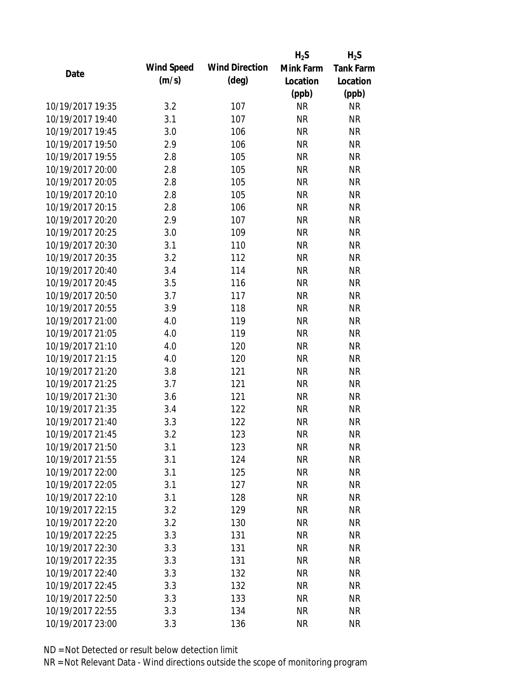|                  |            |                       | $H_2S$    | $H_2S$           |
|------------------|------------|-----------------------|-----------|------------------|
| Date             | Wind Speed | <b>Wind Direction</b> | Mink Farm | <b>Tank Farm</b> |
|                  | (m/s)      | $(\text{deg})$        | Location  | Location         |
|                  |            |                       | (ppb)     | (ppb)            |
| 10/19/2017 19:35 | 3.2        | 107                   | <b>NR</b> | <b>NR</b>        |
| 10/19/2017 19:40 | 3.1        | 107                   | <b>NR</b> | <b>NR</b>        |
| 10/19/2017 19:45 | 3.0        | 106                   | <b>NR</b> | <b>NR</b>        |
| 10/19/2017 19:50 | 2.9        | 106                   | <b>NR</b> | <b>NR</b>        |
| 10/19/2017 19:55 | 2.8        | 105                   | <b>NR</b> | <b>NR</b>        |
| 10/19/2017 20:00 | 2.8        | 105                   | <b>NR</b> | <b>NR</b>        |
| 10/19/2017 20:05 | 2.8        | 105                   | <b>NR</b> | <b>NR</b>        |
| 10/19/2017 20:10 | 2.8        | 105                   | <b>NR</b> | <b>NR</b>        |
| 10/19/2017 20:15 | 2.8        | 106                   | <b>NR</b> | <b>NR</b>        |
| 10/19/2017 20:20 | 2.9        | 107                   | <b>NR</b> | <b>NR</b>        |
| 10/19/2017 20:25 | 3.0        | 109                   | <b>NR</b> | <b>NR</b>        |
| 10/19/2017 20:30 | 3.1        | 110                   | <b>NR</b> | <b>NR</b>        |
| 10/19/2017 20:35 | 3.2        | 112                   | <b>NR</b> | <b>NR</b>        |
| 10/19/2017 20:40 | 3.4        | 114                   | <b>NR</b> | <b>NR</b>        |
| 10/19/2017 20:45 | 3.5        | 116                   | <b>NR</b> | <b>NR</b>        |
| 10/19/2017 20:50 | 3.7        | 117                   | <b>NR</b> | <b>NR</b>        |
| 10/19/2017 20:55 | 3.9        | 118                   | <b>NR</b> | <b>NR</b>        |
| 10/19/2017 21:00 | 4.0        | 119                   | <b>NR</b> | <b>NR</b>        |
| 10/19/2017 21:05 | 4.0        | 119                   | <b>NR</b> | <b>NR</b>        |
| 10/19/2017 21:10 | 4.0        | 120                   | <b>NR</b> | <b>NR</b>        |
| 10/19/2017 21:15 | 4.0        | 120                   | <b>NR</b> | <b>NR</b>        |
| 10/19/2017 21:20 | 3.8        | 121                   | <b>NR</b> | <b>NR</b>        |
| 10/19/2017 21:25 | 3.7        | 121                   | <b>NR</b> | <b>NR</b>        |
| 10/19/2017 21:30 | 3.6        | 121                   | <b>NR</b> | <b>NR</b>        |
| 10/19/2017 21:35 | 3.4        | 122                   | <b>NR</b> | <b>NR</b>        |
| 10/19/2017 21:40 | 3.3        | 122                   | <b>NR</b> | <b>NR</b>        |
| 10/19/2017 21:45 | 3.2        | 123                   | <b>NR</b> | <b>NR</b>        |
| 10/19/2017 21:50 | 3.1        | 123                   | <b>NR</b> | <b>NR</b>        |
| 10/19/2017 21:55 | 3.1        | 124                   | <b>NR</b> | <b>NR</b>        |
| 10/19/2017 22:00 | 3.1        | 125                   | <b>NR</b> | <b>NR</b>        |
| 10/19/2017 22:05 | 3.1        | 127                   | <b>NR</b> | <b>NR</b>        |
| 10/19/2017 22:10 | 3.1        | 128                   | <b>NR</b> | <b>NR</b>        |
| 10/19/2017 22:15 | 3.2        | 129                   | <b>NR</b> | <b>NR</b>        |
| 10/19/2017 22:20 | 3.2        | 130                   | <b>NR</b> | <b>NR</b>        |
| 10/19/2017 22:25 | 3.3        | 131                   | <b>NR</b> | <b>NR</b>        |
| 10/19/2017 22:30 | 3.3        | 131                   | <b>NR</b> | <b>NR</b>        |
| 10/19/2017 22:35 | 3.3        | 131                   | <b>NR</b> | <b>NR</b>        |
| 10/19/2017 22:40 | 3.3        | 132                   | <b>NR</b> | <b>NR</b>        |
| 10/19/2017 22:45 | 3.3        | 132                   | <b>NR</b> | <b>NR</b>        |
| 10/19/2017 22:50 | 3.3        | 133                   | NR        | <b>NR</b>        |
| 10/19/2017 22:55 | 3.3        | 134                   | <b>NR</b> | <b>NR</b>        |
| 10/19/2017 23:00 | 3.3        | 136                   | <b>NR</b> | <b>NR</b>        |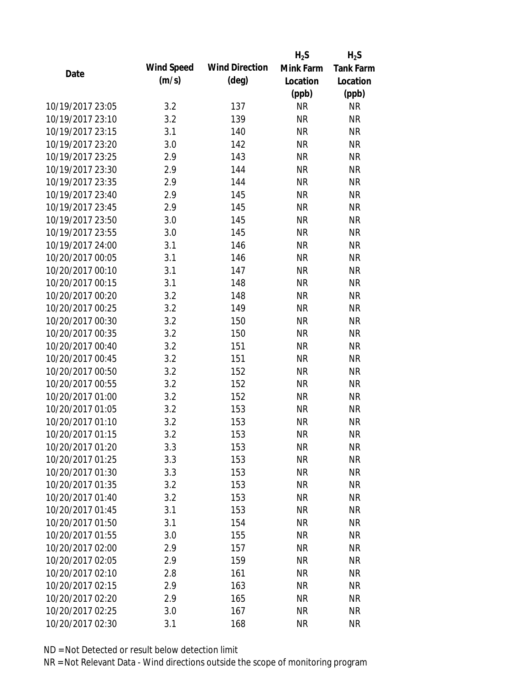|                  |            |                       | $H_2S$    | $H_2S$           |
|------------------|------------|-----------------------|-----------|------------------|
| Date             | Wind Speed | <b>Wind Direction</b> | Mink Farm | <b>Tank Farm</b> |
|                  | (m/s)      | $(\text{deg})$        | Location  | Location         |
|                  |            |                       | (ppb)     | (ppb)            |
| 10/19/2017 23:05 | 3.2        | 137                   | <b>NR</b> | <b>NR</b>        |
| 10/19/2017 23:10 | 3.2        | 139                   | <b>NR</b> | <b>NR</b>        |
| 10/19/2017 23:15 | 3.1        | 140                   | <b>NR</b> | <b>NR</b>        |
| 10/19/2017 23:20 | 3.0        | 142                   | <b>NR</b> | <b>NR</b>        |
| 10/19/2017 23:25 | 2.9        | 143                   | <b>NR</b> | <b>NR</b>        |
| 10/19/2017 23:30 | 2.9        | 144                   | <b>NR</b> | <b>NR</b>        |
| 10/19/2017 23:35 | 2.9        | 144                   | <b>NR</b> | <b>NR</b>        |
| 10/19/2017 23:40 | 2.9        | 145                   | <b>NR</b> | <b>NR</b>        |
| 10/19/2017 23:45 | 2.9        | 145                   | <b>NR</b> | <b>NR</b>        |
| 10/19/2017 23:50 | 3.0        | 145                   | <b>NR</b> | <b>NR</b>        |
| 10/19/2017 23:55 | 3.0        | 145                   | <b>NR</b> | <b>NR</b>        |
| 10/19/2017 24:00 | 3.1        | 146                   | <b>NR</b> | <b>NR</b>        |
| 10/20/2017 00:05 | 3.1        | 146                   | <b>NR</b> | <b>NR</b>        |
| 10/20/2017 00:10 | 3.1        | 147                   | <b>NR</b> | <b>NR</b>        |
| 10/20/2017 00:15 | 3.1        | 148                   | <b>NR</b> | <b>NR</b>        |
| 10/20/2017 00:20 | 3.2        | 148                   | <b>NR</b> | <b>NR</b>        |
| 10/20/2017 00:25 | 3.2        | 149                   | <b>NR</b> | <b>NR</b>        |
| 10/20/2017 00:30 | 3.2        | 150                   | <b>NR</b> | <b>NR</b>        |
| 10/20/2017 00:35 | 3.2        | 150                   | <b>NR</b> | <b>NR</b>        |
| 10/20/2017 00:40 | 3.2        | 151                   | <b>NR</b> | <b>NR</b>        |
| 10/20/2017 00:45 | 3.2        | 151                   | <b>NR</b> | <b>NR</b>        |
| 10/20/2017 00:50 | 3.2        | 152                   | <b>NR</b> | <b>NR</b>        |
| 10/20/2017 00:55 | 3.2        | 152                   | <b>NR</b> | <b>NR</b>        |
| 10/20/2017 01:00 | 3.2        | 152                   | <b>NR</b> | <b>NR</b>        |
| 10/20/2017 01:05 | 3.2        | 153                   | <b>NR</b> | <b>NR</b>        |
| 10/20/2017 01:10 | 3.2        | 153                   | <b>NR</b> | <b>NR</b>        |
| 10/20/2017 01:15 | 3.2        | 153                   | <b>NR</b> | <b>NR</b>        |
| 10/20/2017 01:20 | 3.3        | 153                   | <b>NR</b> | <b>NR</b>        |
| 10/20/2017 01:25 | 3.3        | 153                   | <b>NR</b> | <b>NR</b>        |
| 10/20/2017 01:30 | 3.3        | 153                   | <b>NR</b> | <b>NR</b>        |
| 10/20/2017 01:35 | 3.2        | 153                   | <b>NR</b> | <b>NR</b>        |
| 10/20/2017 01:40 | 3.2        | 153                   | <b>NR</b> | <b>NR</b>        |
| 10/20/2017 01:45 | 3.1        | 153                   | <b>NR</b> | <b>NR</b>        |
| 10/20/2017 01:50 | 3.1        | 154                   | <b>NR</b> | <b>NR</b>        |
| 10/20/2017 01:55 | 3.0        | 155                   | <b>NR</b> | <b>NR</b>        |
| 10/20/2017 02:00 | 2.9        | 157                   | <b>NR</b> | <b>NR</b>        |
| 10/20/2017 02:05 | 2.9        | 159                   | <b>NR</b> | <b>NR</b>        |
| 10/20/2017 02:10 | 2.8        | 161                   | <b>NR</b> | <b>NR</b>        |
| 10/20/2017 02:15 | 2.9        | 163                   | <b>NR</b> | <b>NR</b>        |
| 10/20/2017 02:20 | 2.9        | 165                   | <b>NR</b> | <b>NR</b>        |
| 10/20/2017 02:25 | 3.0        | 167                   | <b>NR</b> | <b>NR</b>        |
| 10/20/2017 02:30 | 3.1        | 168                   | <b>NR</b> | <b>NR</b>        |
|                  |            |                       |           |                  |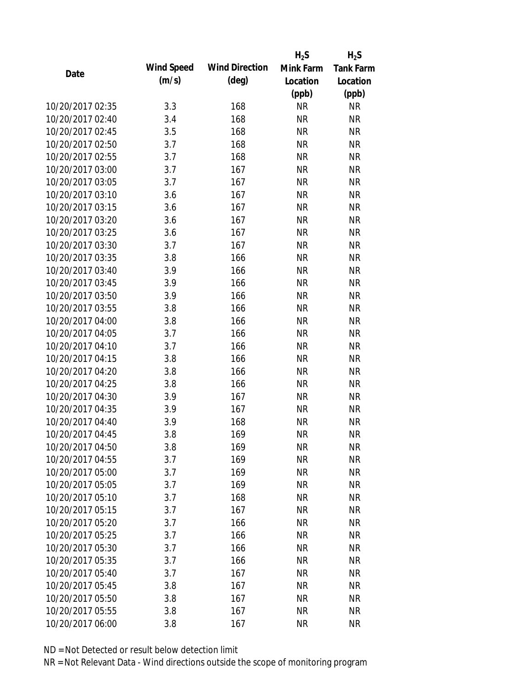|                  |            |                       | $H_2S$    | $H_2S$           |
|------------------|------------|-----------------------|-----------|------------------|
| Date             | Wind Speed | <b>Wind Direction</b> | Mink Farm | <b>Tank Farm</b> |
|                  | (m/s)      | $(\text{deg})$        | Location  | Location         |
|                  |            |                       | (ppb)     | (ppb)            |
| 10/20/2017 02:35 | 3.3        | 168                   | <b>NR</b> | <b>NR</b>        |
| 10/20/2017 02:40 | 3.4        | 168                   | <b>NR</b> | <b>NR</b>        |
| 10/20/2017 02:45 | 3.5        | 168                   | <b>NR</b> | <b>NR</b>        |
| 10/20/2017 02:50 | 3.7        | 168                   | <b>NR</b> | <b>NR</b>        |
| 10/20/2017 02:55 | 3.7        | 168                   | <b>NR</b> | <b>NR</b>        |
| 10/20/2017 03:00 | 3.7        | 167                   | <b>NR</b> | <b>NR</b>        |
| 10/20/2017 03:05 | 3.7        | 167                   | <b>NR</b> | <b>NR</b>        |
| 10/20/2017 03:10 | 3.6        | 167                   | <b>NR</b> | <b>NR</b>        |
| 10/20/2017 03:15 | 3.6        | 167                   | <b>NR</b> | <b>NR</b>        |
| 10/20/2017 03:20 | 3.6        | 167                   | <b>NR</b> | <b>NR</b>        |
| 10/20/2017 03:25 | 3.6        | 167                   | <b>NR</b> | <b>NR</b>        |
| 10/20/2017 03:30 | 3.7        | 167                   | <b>NR</b> | <b>NR</b>        |
| 10/20/2017 03:35 | 3.8        | 166                   | <b>NR</b> | <b>NR</b>        |
| 10/20/2017 03:40 | 3.9        | 166                   | <b>NR</b> | <b>NR</b>        |
| 10/20/2017 03:45 | 3.9        | 166                   | <b>NR</b> | <b>NR</b>        |
| 10/20/2017 03:50 | 3.9        | 166                   | <b>NR</b> | <b>NR</b>        |
| 10/20/2017 03:55 | 3.8        | 166                   | <b>NR</b> | <b>NR</b>        |
| 10/20/2017 04:00 | 3.8        | 166                   | <b>NR</b> | <b>NR</b>        |
| 10/20/2017 04:05 | 3.7        | 166                   | <b>NR</b> | <b>NR</b>        |
| 10/20/2017 04:10 | 3.7        | 166                   | <b>NR</b> | <b>NR</b>        |
| 10/20/2017 04:15 | 3.8        | 166                   | <b>NR</b> | <b>NR</b>        |
| 10/20/2017 04:20 | 3.8        | 166                   | <b>NR</b> | <b>NR</b>        |
| 10/20/2017 04:25 | 3.8        | 166                   | <b>NR</b> | <b>NR</b>        |
| 10/20/2017 04:30 | 3.9        | 167                   | <b>NR</b> | <b>NR</b>        |
| 10/20/2017 04:35 | 3.9        | 167                   | <b>NR</b> | <b>NR</b>        |
| 10/20/2017 04:40 | 3.9        | 168                   | <b>NR</b> | <b>NR</b>        |
| 10/20/2017 04:45 | 3.8        | 169                   | <b>NR</b> | <b>NR</b>        |
| 10/20/2017 04:50 | 3.8        | 169                   | <b>NR</b> | <b>NR</b>        |
| 10/20/2017 04:55 | 3.7        | 169                   | <b>NR</b> | <b>NR</b>        |
| 10/20/2017 05:00 | 3.7        | 169                   | <b>NR</b> | <b>NR</b>        |
| 10/20/2017 05:05 | 3.7        | 169                   | <b>NR</b> | <b>NR</b>        |
| 10/20/2017 05:10 | 3.7        | 168                   | <b>NR</b> | <b>NR</b>        |
| 10/20/2017 05:15 | 3.7        | 167                   | <b>NR</b> | <b>NR</b>        |
| 10/20/2017 05:20 | 3.7        | 166                   | <b>NR</b> | <b>NR</b>        |
| 10/20/2017 05:25 | 3.7        | 166                   | <b>NR</b> | <b>NR</b>        |
| 10/20/2017 05:30 | 3.7        | 166                   | <b>NR</b> | <b>NR</b>        |
| 10/20/2017 05:35 | 3.7        | 166                   | <b>NR</b> | <b>NR</b>        |
| 10/20/2017 05:40 | 3.7        | 167                   | <b>NR</b> | <b>NR</b>        |
| 10/20/2017 05:45 | 3.8        | 167                   | <b>NR</b> | <b>NR</b>        |
| 10/20/2017 05:50 | 3.8        | 167                   | ΝR        | <b>NR</b>        |
| 10/20/2017 05:55 | 3.8        | 167                   | <b>NR</b> | <b>NR</b>        |
| 10/20/2017 06:00 | 3.8        | 167                   | <b>NR</b> | <b>NR</b>        |
|                  |            |                       |           |                  |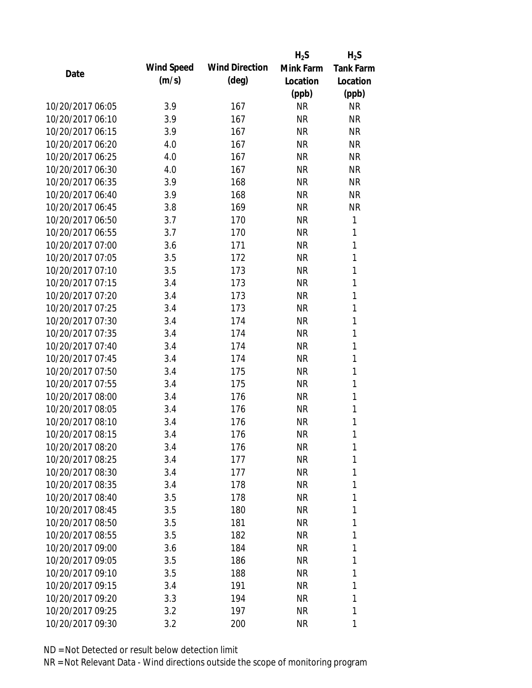|                  |            |                       | $H_2S$    | $H_2S$           |
|------------------|------------|-----------------------|-----------|------------------|
| Date             | Wind Speed | <b>Wind Direction</b> | Mink Farm | <b>Tank Farm</b> |
|                  | (m/s)      | $(\text{deg})$        | Location  | Location         |
|                  |            |                       | (ppb)     | (ppb)            |
| 10/20/2017 06:05 | 3.9        | 167                   | <b>NR</b> | <b>NR</b>        |
| 10/20/2017 06:10 | 3.9        | 167                   | <b>NR</b> | <b>NR</b>        |
| 10/20/2017 06:15 | 3.9        | 167                   | <b>NR</b> | <b>NR</b>        |
| 10/20/2017 06:20 | 4.0        | 167                   | <b>NR</b> | <b>NR</b>        |
| 10/20/2017 06:25 | 4.0        | 167                   | <b>NR</b> | <b>NR</b>        |
| 10/20/2017 06:30 | 4.0        | 167                   | <b>NR</b> | <b>NR</b>        |
| 10/20/2017 06:35 | 3.9        | 168                   | <b>NR</b> | <b>NR</b>        |
| 10/20/2017 06:40 | 3.9        | 168                   | <b>NR</b> | <b>NR</b>        |
| 10/20/2017 06:45 | 3.8        | 169                   | <b>NR</b> | <b>NR</b>        |
| 10/20/2017 06:50 | 3.7        | 170                   | <b>NR</b> | 1                |
| 10/20/2017 06:55 | 3.7        | 170                   | <b>NR</b> | 1                |
| 10/20/2017 07:00 | 3.6        | 171                   | <b>NR</b> | 1                |
| 10/20/2017 07:05 | 3.5        | 172                   | <b>NR</b> | 1                |
| 10/20/2017 07:10 | 3.5        | 173                   | <b>NR</b> | 1                |
| 10/20/2017 07:15 | 3.4        | 173                   | <b>NR</b> | 1                |
| 10/20/2017 07:20 | 3.4        | 173                   | <b>NR</b> | 1                |
| 10/20/2017 07:25 | 3.4        | 173                   | <b>NR</b> | 1                |
| 10/20/2017 07:30 | 3.4        | 174                   | <b>NR</b> | 1                |
| 10/20/2017 07:35 | 3.4        | 174                   | <b>NR</b> | 1                |
| 10/20/2017 07:40 | 3.4        | 174                   | <b>NR</b> | 1                |
| 10/20/2017 07:45 | 3.4        | 174                   | <b>NR</b> | 1                |
| 10/20/2017 07:50 | 3.4        | 175                   | <b>NR</b> | 1                |
| 10/20/2017 07:55 | 3.4        | 175                   | <b>NR</b> | 1                |
| 10/20/2017 08:00 | 3.4        | 176                   | <b>NR</b> | 1                |
| 10/20/2017 08:05 | 3.4        | 176                   | <b>NR</b> | 1                |
| 10/20/2017 08:10 | 3.4        | 176                   | <b>NR</b> | 1                |
| 10/20/2017 08:15 | 3.4        | 176                   | <b>NR</b> | 1                |
| 10/20/2017 08:20 | 3.4        | 176                   | <b>NR</b> | 1                |
| 10/20/2017 08:25 | 3.4        | 177                   | <b>NR</b> | 1                |
| 10/20/2017 08:30 | 3.4        | 177                   | <b>NR</b> | 1                |
| 10/20/2017 08:35 | 3.4        | 178                   | <b>NR</b> | 1                |
| 10/20/2017 08:40 | 3.5        | 178                   | <b>NR</b> | 1                |
| 10/20/2017 08:45 | 3.5        | 180                   | <b>NR</b> | 1                |
| 10/20/2017 08:50 | 3.5        | 181                   | <b>NR</b> | 1                |
| 10/20/2017 08:55 | 3.5        | 182                   | <b>NR</b> | 1                |
| 10/20/2017 09:00 | 3.6        | 184                   | <b>NR</b> | 1                |
| 10/20/2017 09:05 | 3.5        | 186                   | <b>NR</b> | 1                |
| 10/20/2017 09:10 | 3.5        | 188                   | <b>NR</b> | 1                |
| 10/20/2017 09:15 | 3.4        | 191                   | <b>NR</b> | 1                |
| 10/20/2017 09:20 | 3.3        | 194                   | <b>NR</b> | 1                |
| 10/20/2017 09:25 | 3.2        | 197                   | <b>NR</b> | 1                |
| 10/20/2017 09:30 | 3.2        | 200                   | <b>NR</b> | 1                |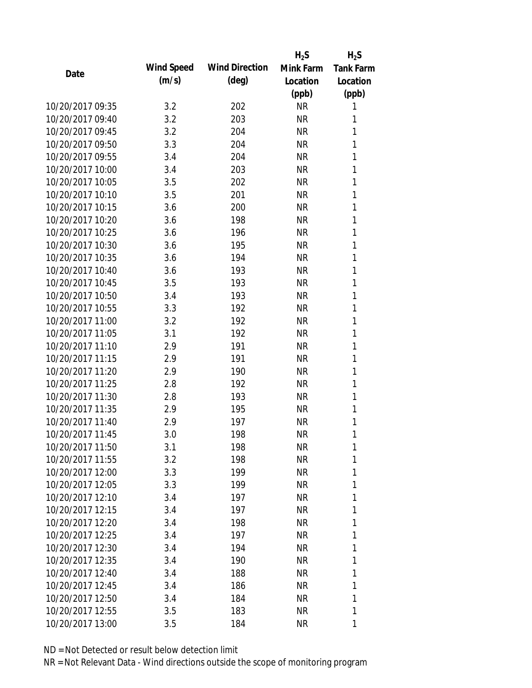|                  |            |                       | $H_2S$    | $H_2S$           |
|------------------|------------|-----------------------|-----------|------------------|
| Date             | Wind Speed | <b>Wind Direction</b> | Mink Farm | <b>Tank Farm</b> |
|                  | (m/s)      | $(\text{deg})$        | Location  | Location         |
|                  |            |                       | (ppb)     | (ppb)            |
| 10/20/2017 09:35 | 3.2        | 202                   | <b>NR</b> | 1                |
| 10/20/2017 09:40 | 3.2        | 203                   | <b>NR</b> | 1                |
| 10/20/2017 09:45 | 3.2        | 204                   | <b>NR</b> | 1                |
| 10/20/2017 09:50 | 3.3        | 204                   | <b>NR</b> | 1                |
| 10/20/2017 09:55 | 3.4        | 204                   | <b>NR</b> | 1                |
| 10/20/2017 10:00 | 3.4        | 203                   | <b>NR</b> | 1                |
| 10/20/2017 10:05 | 3.5        | 202                   | <b>NR</b> | 1                |
| 10/20/2017 10:10 | 3.5        | 201                   | <b>NR</b> | 1                |
| 10/20/2017 10:15 | 3.6        | 200                   | <b>NR</b> | 1                |
| 10/20/2017 10:20 | 3.6        | 198                   | <b>NR</b> | 1                |
| 10/20/2017 10:25 | 3.6        | 196                   | <b>NR</b> | 1                |
| 10/20/2017 10:30 | 3.6        | 195                   | <b>NR</b> | 1                |
| 10/20/2017 10:35 | 3.6        | 194                   | <b>NR</b> | 1                |
| 10/20/2017 10:40 | 3.6        | 193                   | <b>NR</b> | 1                |
| 10/20/2017 10:45 | 3.5        | 193                   | <b>NR</b> | 1                |
| 10/20/2017 10:50 | 3.4        | 193                   | <b>NR</b> | 1                |
| 10/20/2017 10:55 | 3.3        | 192                   | <b>NR</b> | 1                |
| 10/20/2017 11:00 | 3.2        | 192                   | <b>NR</b> | 1                |
| 10/20/2017 11:05 | 3.1        | 192                   | <b>NR</b> | 1                |
| 10/20/2017 11:10 | 2.9        | 191                   | <b>NR</b> | 1                |
| 10/20/2017 11:15 | 2.9        | 191                   | <b>NR</b> | 1                |
| 10/20/2017 11:20 | 2.9        | 190                   | <b>NR</b> | 1                |
| 10/20/2017 11:25 | 2.8        | 192                   | <b>NR</b> | 1                |
| 10/20/2017 11:30 | 2.8        | 193                   | <b>NR</b> | 1                |
| 10/20/2017 11:35 | 2.9        | 195                   | <b>NR</b> | 1                |
| 10/20/2017 11:40 | 2.9        | 197                   | <b>NR</b> | 1                |
| 10/20/2017 11:45 | 3.0        | 198                   | <b>NR</b> | 1                |
| 10/20/2017 11:50 | 3.1        | 198                   | ΝR        | 1                |
| 10/20/2017 11:55 | 3.2        | 198                   | <b>NR</b> | 1                |
| 10/20/2017 12:00 | 3.3        | 199                   | <b>NR</b> | 1                |
| 10/20/2017 12:05 | 3.3        | 199                   | <b>NR</b> | 1                |
| 10/20/2017 12:10 | 3.4        | 197                   | <b>NR</b> | 1                |
| 10/20/2017 12:15 | 3.4        | 197                   | NR        | 1                |
| 10/20/2017 12:20 | 3.4        | 198                   | <b>NR</b> | 1                |
| 10/20/2017 12:25 | 3.4        | 197                   | <b>NR</b> | 1                |
| 10/20/2017 12:30 |            |                       | <b>NR</b> | 1                |
|                  | 3.4        | 194                   |           |                  |
| 10/20/2017 12:35 | 3.4        | 190                   | <b>NR</b> | 1                |
| 10/20/2017 12:40 | 3.4        | 188                   | NR        | 1                |
| 10/20/2017 12:45 | 3.4        | 186                   | <b>NR</b> | 1                |
| 10/20/2017 12:50 | 3.4        | 184                   | ΝR        | 1                |
| 10/20/2017 12:55 | 3.5        | 183                   | <b>NR</b> | 1                |
| 10/20/2017 13:00 | 3.5        | 184                   | <b>NR</b> | 1                |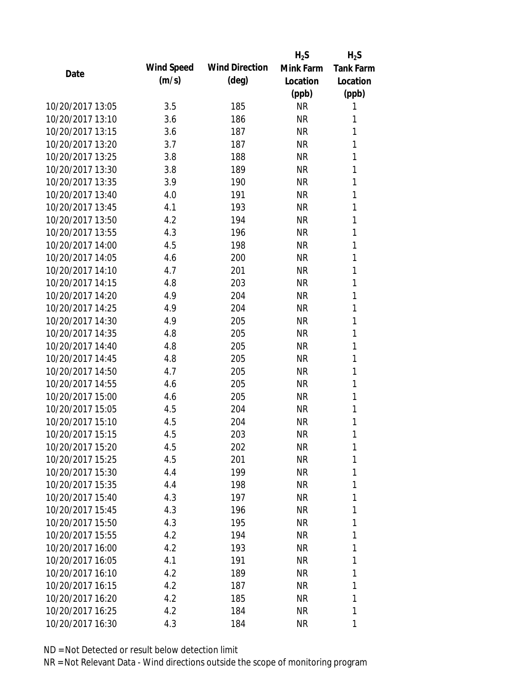|                  |            |                       | $H_2S$    | $H_2S$           |
|------------------|------------|-----------------------|-----------|------------------|
| Date             | Wind Speed | <b>Wind Direction</b> | Mink Farm | <b>Tank Farm</b> |
|                  | (m/s)      | $(\text{deg})$        | Location  | Location         |
|                  |            |                       | (ppb)     | (ppb)            |
| 10/20/2017 13:05 | 3.5        | 185                   | <b>NR</b> | 1                |
| 10/20/2017 13:10 | 3.6        | 186                   | <b>NR</b> | 1                |
| 10/20/2017 13:15 | 3.6        | 187                   | <b>NR</b> | 1                |
| 10/20/2017 13:20 | 3.7        | 187                   | <b>NR</b> | 1                |
| 10/20/2017 13:25 | 3.8        | 188                   | <b>NR</b> | 1                |
| 10/20/2017 13:30 | 3.8        | 189                   | <b>NR</b> | 1                |
| 10/20/2017 13:35 | 3.9        | 190                   | <b>NR</b> | 1                |
| 10/20/2017 13:40 | 4.0        | 191                   | <b>NR</b> | 1                |
| 10/20/2017 13:45 | 4.1        | 193                   | NR        | 1                |
| 10/20/2017 13:50 | 4.2        | 194                   | <b>NR</b> | 1                |
| 10/20/2017 13:55 | 4.3        | 196                   | <b>NR</b> | 1                |
| 10/20/2017 14:00 | 4.5        | 198                   | <b>NR</b> | 1                |
| 10/20/2017 14:05 | 4.6        | 200                   | <b>NR</b> | 1                |
| 10/20/2017 14:10 | 4.7        | 201                   | <b>NR</b> | 1                |
| 10/20/2017 14:15 | 4.8        | 203                   | <b>NR</b> | 1                |
| 10/20/2017 14:20 | 4.9        | 204                   | <b>NR</b> | 1                |
| 10/20/2017 14:25 | 4.9        | 204                   | <b>NR</b> | 1                |
| 10/20/2017 14:30 | 4.9        | 205                   | <b>NR</b> | 1                |
| 10/20/2017 14:35 | 4.8        | 205                   | <b>NR</b> | 1                |
| 10/20/2017 14:40 | 4.8        | 205                   | <b>NR</b> | 1                |
| 10/20/2017 14:45 | 4.8        | 205                   | <b>NR</b> | 1                |
| 10/20/2017 14:50 | 4.7        | 205                   | <b>NR</b> | 1                |
| 10/20/2017 14:55 | 4.6        | 205                   | <b>NR</b> | 1                |
| 10/20/2017 15:00 | 4.6        | 205                   | <b>NR</b> | 1                |
| 10/20/2017 15:05 | 4.5        | 204                   | <b>NR</b> | 1                |
| 10/20/2017 15:10 | 4.5        | 204                   | <b>NR</b> | 1                |
| 10/20/2017 15:15 | 4.5        | 203                   | <b>NR</b> | 1                |
| 10/20/2017 15:20 | 4.5        | 202                   | NR        | 1                |
| 10/20/2017 15:25 | 4.5        | 201                   | <b>NR</b> | 1                |
| 10/20/2017 15:30 | 4.4        | 199                   | <b>NR</b> | 1                |
| 10/20/2017 15:35 | 4.4        | 198                   | <b>NR</b> | 1                |
| 10/20/2017 15:40 | 4.3        | 197                   | <b>NR</b> | 1                |
| 10/20/2017 15:45 | 4.3        | 196                   | NR        | 1                |
| 10/20/2017 15:50 | 4.3        | 195                   | <b>NR</b> | 1                |
| 10/20/2017 15:55 | 4.2        | 194                   | NR        | 1                |
| 10/20/2017 16:00 | 4.2        | 193                   | <b>NR</b> | 1                |
| 10/20/2017 16:05 | 4.1        | 191                   | <b>NR</b> | 1                |
| 10/20/2017 16:10 | 4.2        | 189                   | <b>NR</b> | 1                |
| 10/20/2017 16:15 | 4.2        | 187                   | <b>NR</b> | 1                |
| 10/20/2017 16:20 | 4.2        | 185                   | NR        | 1                |
| 10/20/2017 16:25 | 4.2        | 184                   | <b>NR</b> | 1                |
| 10/20/2017 16:30 | 4.3        | 184                   | <b>NR</b> | 1                |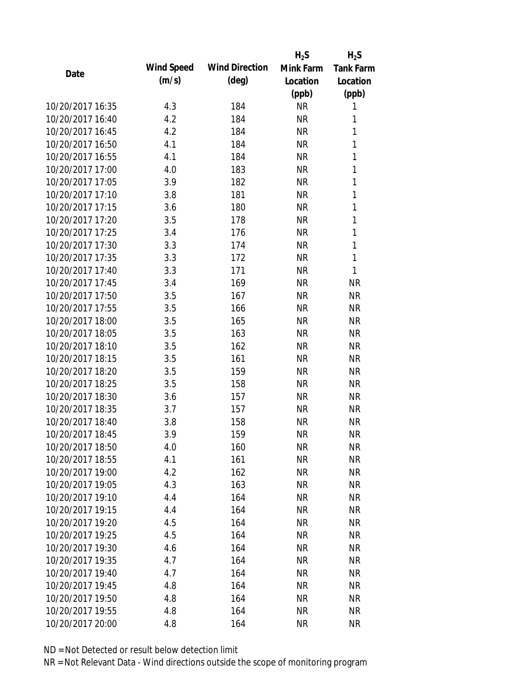|                  |            |                       | $H_2S$    | $H_2S$           |
|------------------|------------|-----------------------|-----------|------------------|
| Date             | Wind Speed | <b>Wind Direction</b> | Mink Farm | <b>Tank Farm</b> |
|                  | (m/s)      | $(\text{deg})$        | Location  | Location         |
|                  |            |                       | (ppb)     | (ppb)            |
| 10/20/2017 16:35 | 4.3        | 184                   | <b>NR</b> | 1                |
| 10/20/2017 16:40 | 4.2        | 184                   | <b>NR</b> | 1                |
| 10/20/2017 16:45 | 4.2        | 184                   | <b>NR</b> | 1                |
| 10/20/2017 16:50 | 4.1        | 184                   | <b>NR</b> | 1                |
| 10/20/2017 16:55 | 4.1        | 184                   | <b>NR</b> | 1                |
| 10/20/2017 17:00 | 4.0        | 183                   | <b>NR</b> | 1                |
| 10/20/2017 17:05 | 3.9        | 182                   | <b>NR</b> | $\mathbf{1}$     |
| 10/20/2017 17:10 | 3.8        | 181                   | <b>NR</b> | 1                |
| 10/20/2017 17:15 | 3.6        | 180                   | <b>NR</b> | 1                |
| 10/20/2017 17:20 | 3.5        | 178                   | <b>NR</b> | 1                |
| 10/20/2017 17:25 | 3.4        | 176                   | <b>NR</b> | 1                |
| 10/20/2017 17:30 | 3.3        | 174                   | <b>NR</b> | 1                |
| 10/20/2017 17:35 | 3.3        | 172                   | <b>NR</b> | 1                |
| 10/20/2017 17:40 | 3.3        | 171                   | <b>NR</b> | 1                |
| 10/20/2017 17:45 | 3.4        | 169                   | <b>NR</b> | <b>NR</b>        |
| 10/20/2017 17:50 | 3.5        | 167                   | <b>NR</b> | <b>NR</b>        |
| 10/20/2017 17:55 | 3.5        | 166                   | <b>NR</b> | <b>NR</b>        |
| 10/20/2017 18:00 | 3.5        | 165                   | <b>NR</b> | <b>NR</b>        |
| 10/20/2017 18:05 | 3.5        | 163                   | <b>NR</b> | <b>NR</b>        |
| 10/20/2017 18:10 | 3.5        | 162                   | <b>NR</b> | <b>NR</b>        |
| 10/20/2017 18:15 | 3.5        | 161                   | <b>NR</b> | <b>NR</b>        |
| 10/20/2017 18:20 | 3.5        | 159                   | <b>NR</b> | <b>NR</b>        |
| 10/20/2017 18:25 | 3.5        | 158                   | <b>NR</b> | <b>NR</b>        |
| 10/20/2017 18:30 | 3.6        | 157                   | <b>NR</b> | <b>NR</b>        |
| 10/20/2017 18:35 | 3.7        | 157                   | <b>NR</b> | <b>NR</b>        |
| 10/20/2017 18:40 | 3.8        | 158                   | <b>NR</b> | <b>NR</b>        |
| 10/20/2017 18:45 | 3.9        | 159                   | <b>NR</b> | <b>NR</b>        |
| 10/20/2017 18:50 | 4.0        | 160                   | ΝR        | <b>NR</b>        |
| 10/20/2017 18:55 | 4.1        | 161                   | <b>NR</b> | <b>NR</b>        |
| 10/20/2017 19:00 | 4.2        | 162                   | <b>NR</b> | <b>NR</b>        |
| 10/20/2017 19:05 | 4.3        | 163                   | <b>NR</b> | <b>NR</b>        |
| 10/20/2017 19:10 | 4.4        | 164                   | <b>NR</b> | <b>NR</b>        |
| 10/20/2017 19:15 | 4.4        | 164                   | <b>NR</b> | <b>NR</b>        |
| 10/20/2017 19:20 | 4.5        | 164                   | <b>NR</b> | <b>NR</b>        |
| 10/20/2017 19:25 | 4.5        | 164                   | <b>NR</b> | <b>NR</b>        |
| 10/20/2017 19:30 | 4.6        | 164                   | <b>NR</b> | <b>NR</b>        |
| 10/20/2017 19:35 | 4.7        | 164                   | <b>NR</b> | <b>NR</b>        |
| 10/20/2017 19:40 | 4.7        | 164                   | <b>NR</b> | <b>NR</b>        |
| 10/20/2017 19:45 | 4.8        | 164                   | <b>NR</b> | <b>NR</b>        |
| 10/20/2017 19:50 | 4.8        | 164                   | ΝR        | <b>NR</b>        |
| 10/20/2017 19:55 | 4.8        | 164                   | <b>NR</b> | <b>NR</b>        |
| 10/20/2017 20:00 | 4.8        | 164                   | <b>NR</b> | <b>NR</b>        |
|                  |            |                       |           |                  |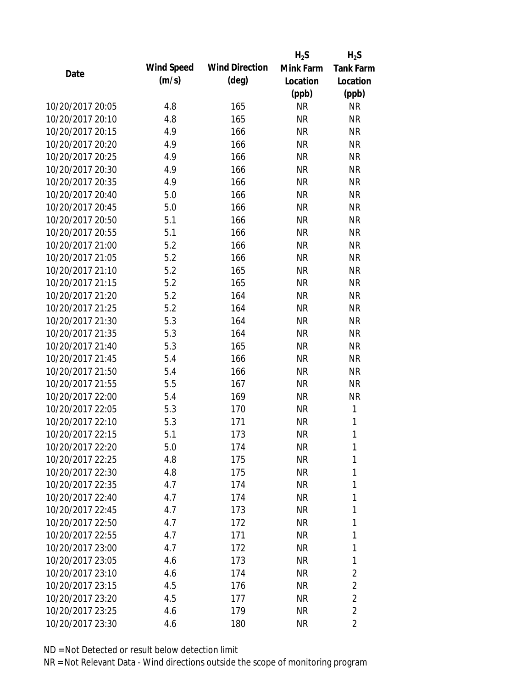|                  |            |                       | $H_2S$    | $H_2S$           |
|------------------|------------|-----------------------|-----------|------------------|
| Date             | Wind Speed | <b>Wind Direction</b> | Mink Farm | <b>Tank Farm</b> |
|                  | (m/s)      | $(\text{deg})$        | Location  | Location         |
|                  |            |                       | (ppb)     | (ppb)            |
| 10/20/2017 20:05 | 4.8        | 165                   | <b>NR</b> | <b>NR</b>        |
| 10/20/2017 20:10 | 4.8        | 165                   | <b>NR</b> | <b>NR</b>        |
| 10/20/2017 20:15 | 4.9        | 166                   | <b>NR</b> | <b>NR</b>        |
| 10/20/2017 20:20 | 4.9        | 166                   | <b>NR</b> | <b>NR</b>        |
| 10/20/2017 20:25 | 4.9        | 166                   | <b>NR</b> | <b>NR</b>        |
| 10/20/2017 20:30 | 4.9        | 166                   | <b>NR</b> | <b>NR</b>        |
| 10/20/2017 20:35 | 4.9        | 166                   | <b>NR</b> | <b>NR</b>        |
| 10/20/2017 20:40 | 5.0        | 166                   | <b>NR</b> | <b>NR</b>        |
| 10/20/2017 20:45 | 5.0        | 166                   | <b>NR</b> | <b>NR</b>        |
| 10/20/2017 20:50 | 5.1        | 166                   | <b>NR</b> | <b>NR</b>        |
| 10/20/2017 20:55 | 5.1        | 166                   | <b>NR</b> | <b>NR</b>        |
| 10/20/2017 21:00 | 5.2        | 166                   | <b>NR</b> | <b>NR</b>        |
| 10/20/2017 21:05 | 5.2        | 166                   | <b>NR</b> | <b>NR</b>        |
| 10/20/2017 21:10 | 5.2        | 165                   | <b>NR</b> | <b>NR</b>        |
| 10/20/2017 21:15 | 5.2        | 165                   | <b>NR</b> | <b>NR</b>        |
| 10/20/2017 21:20 | 5.2        | 164                   | <b>NR</b> | <b>NR</b>        |
| 10/20/2017 21:25 | 5.2        | 164                   | <b>NR</b> | <b>NR</b>        |
| 10/20/2017 21:30 | 5.3        | 164                   | <b>NR</b> | <b>NR</b>        |
| 10/20/2017 21:35 | 5.3        | 164                   | <b>NR</b> | <b>NR</b>        |
| 10/20/2017 21:40 | 5.3        | 165                   | <b>NR</b> | <b>NR</b>        |
| 10/20/2017 21:45 | 5.4        | 166                   | <b>NR</b> | <b>NR</b>        |
| 10/20/2017 21:50 | 5.4        | 166                   | <b>NR</b> | <b>NR</b>        |
| 10/20/2017 21:55 | 5.5        | 167                   | <b>NR</b> | <b>NR</b>        |
| 10/20/2017 22:00 | 5.4        | 169                   | <b>NR</b> | <b>NR</b>        |
| 10/20/2017 22:05 | 5.3        | 170                   | <b>NR</b> | 1                |
| 10/20/2017 22:10 | 5.3        | 171                   | <b>NR</b> | 1                |
| 10/20/2017 22:15 | 5.1        | 173                   | <b>NR</b> | 1                |
| 10/20/2017 22:20 | 5.0        | 174                   | <b>NR</b> | 1                |
| 10/20/2017 22:25 | 4.8        | 175                   | <b>NR</b> | 1                |
| 10/20/2017 22:30 | 4.8        | 175                   | <b>NR</b> | 1                |
| 10/20/2017 22:35 | 4.7        | 174                   | <b>NR</b> | 1                |
| 10/20/2017 22:40 | 4.7        | 174                   | <b>NR</b> | 1                |
| 10/20/2017 22:45 | 4.7        | 173                   | <b>NR</b> | 1                |
| 10/20/2017 22:50 | 4.7        | 172                   | <b>NR</b> | 1                |
| 10/20/2017 22:55 | 4.7        | 171                   | <b>NR</b> | 1                |
| 10/20/2017 23:00 | 4.7        | 172                   | <b>NR</b> | 1                |
| 10/20/2017 23:05 | 4.6        | 173                   | <b>NR</b> | 1                |
| 10/20/2017 23:10 | 4.6        | 174                   | <b>NR</b> | $\overline{c}$   |
| 10/20/2017 23:15 | 4.5        | 176                   | <b>NR</b> | $\overline{2}$   |
| 10/20/2017 23:20 | 4.5        | 177                   | <b>NR</b> | $\overline{2}$   |
| 10/20/2017 23:25 | 4.6        | 179                   | <b>NR</b> | $\overline{2}$   |
| 10/20/2017 23:30 | 4.6        | 180                   | <b>NR</b> | $\overline{2}$   |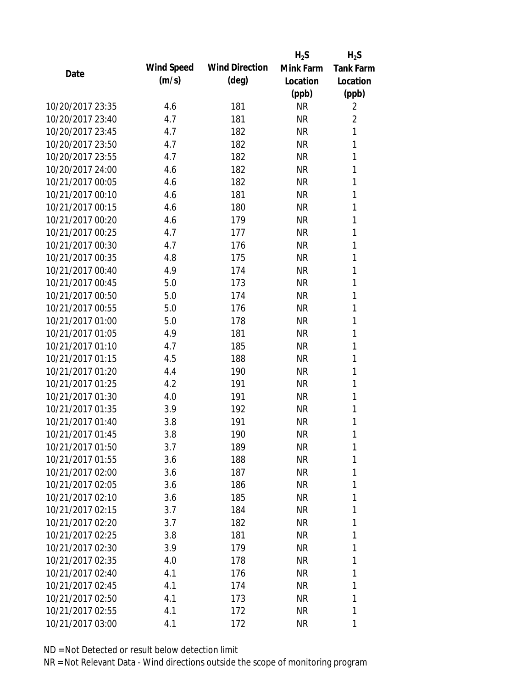|                  |            |                       | $H_2S$    | $H_2S$           |
|------------------|------------|-----------------------|-----------|------------------|
| Date             | Wind Speed | <b>Wind Direction</b> | Mink Farm | <b>Tank Farm</b> |
|                  | (m/s)      | $(\text{deg})$        | Location  | Location         |
|                  |            |                       | (ppb)     | (ppb)            |
| 10/20/2017 23:35 | 4.6        | 181                   | <b>NR</b> | 2                |
| 10/20/2017 23:40 | 4.7        | 181                   | <b>NR</b> | $\overline{2}$   |
| 10/20/2017 23:45 | 4.7        | 182                   | <b>NR</b> | $\mathbf{1}$     |
| 10/20/2017 23:50 | 4.7        | 182                   | <b>NR</b> | 1                |
| 10/20/2017 23:55 | 4.7        | 182                   | <b>NR</b> | 1                |
| 10/20/2017 24:00 | 4.6        | 182                   | <b>NR</b> | 1                |
| 10/21/2017 00:05 | 4.6        | 182                   | <b>NR</b> | 1                |
| 10/21/2017 00:10 | 4.6        | 181                   | <b>NR</b> | 1                |
| 10/21/2017 00:15 | 4.6        | 180                   | <b>NR</b> | 1                |
| 10/21/2017 00:20 | 4.6        | 179                   | <b>NR</b> | 1                |
| 10/21/2017 00:25 | 4.7        | 177                   | <b>NR</b> | 1                |
| 10/21/2017 00:30 | 4.7        | 176                   | <b>NR</b> | 1                |
| 10/21/2017 00:35 | 4.8        | 175                   | <b>NR</b> | 1                |
| 10/21/2017 00:40 | 4.9        | 174                   | <b>NR</b> | 1                |
| 10/21/2017 00:45 | 5.0        | 173                   | <b>NR</b> | 1                |
| 10/21/2017 00:50 | 5.0        | 174                   | <b>NR</b> | 1                |
| 10/21/2017 00:55 | 5.0        | 176                   | <b>NR</b> | 1                |
| 10/21/2017 01:00 | 5.0        | 178                   | <b>NR</b> | 1                |
| 10/21/2017 01:05 | 4.9        | 181                   | <b>NR</b> | 1                |
| 10/21/2017 01:10 | 4.7        | 185                   | <b>NR</b> | 1                |
| 10/21/2017 01:15 | 4.5        | 188                   | <b>NR</b> | 1                |
| 10/21/2017 01:20 | 4.4        | 190                   | <b>NR</b> | 1                |
| 10/21/2017 01:25 | 4.2        | 191                   | <b>NR</b> | 1                |
| 10/21/2017 01:30 | 4.0        | 191                   | <b>NR</b> | 1                |
| 10/21/2017 01:35 | 3.9        | 192                   | <b>NR</b> | 1                |
| 10/21/2017 01:40 | 3.8        | 191                   | <b>NR</b> | 1                |
| 10/21/2017 01:45 | 3.8        | 190                   | <b>NR</b> | 1                |
| 10/21/2017 01:50 | 3.7        | 189                   | <b>NR</b> | 1                |
| 10/21/2017 01:55 | 3.6        | 188                   | <b>NR</b> | 1                |
| 10/21/2017 02:00 | 3.6        | 187                   | <b>NR</b> | 1                |
| 10/21/2017 02:05 | 3.6        | 186                   | <b>NR</b> | 1                |
| 10/21/2017 02:10 | 3.6        | 185                   | <b>NR</b> | 1                |
| 10/21/2017 02:15 | 3.7        | 184                   | <b>NR</b> | 1                |
| 10/21/2017 02:20 | 3.7        | 182                   | <b>NR</b> | 1                |
| 10/21/2017 02:25 | 3.8        | 181                   | <b>NR</b> | 1                |
| 10/21/2017 02:30 | 3.9        | 179                   | <b>NR</b> | 1                |
| 10/21/2017 02:35 | 4.0        | 178                   | <b>NR</b> | 1                |
| 10/21/2017 02:40 | 4.1        | 176                   | <b>NR</b> | 1                |
| 10/21/2017 02:45 | 4.1        | 174                   | <b>NR</b> | 1                |
| 10/21/2017 02:50 | 4.1        | 173                   | <b>NR</b> | 1                |
| 10/21/2017 02:55 | 4.1        | 172                   | <b>NR</b> | 1                |
| 10/21/2017 03:00 | 4.1        | 172                   | <b>NR</b> | 1                |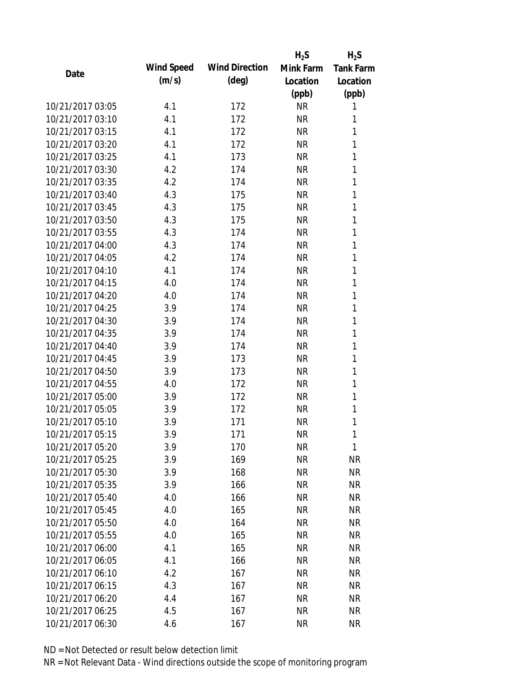|                  |            |                       | $H_2S$    | $H_2S$           |
|------------------|------------|-----------------------|-----------|------------------|
| Date             | Wind Speed | <b>Wind Direction</b> | Mink Farm | <b>Tank Farm</b> |
|                  | (m/s)      | $(\text{deg})$        | Location  | Location         |
|                  |            |                       | (ppb)     | (ppb)            |
| 10/21/2017 03:05 | 4.1        | 172                   | <b>NR</b> | 1                |
| 10/21/2017 03:10 | 4.1        | 172                   | <b>NR</b> | 1                |
| 10/21/2017 03:15 | 4.1        | 172                   | <b>NR</b> | 1                |
| 10/21/2017 03:20 | 4.1        | 172                   | <b>NR</b> | 1                |
| 10/21/2017 03:25 | 4.1        | 173                   | <b>NR</b> | 1                |
| 10/21/2017 03:30 | 4.2        | 174                   | <b>NR</b> | 1                |
| 10/21/2017 03:35 | 4.2        | 174                   | <b>NR</b> | 1                |
| 10/21/2017 03:40 | 4.3        | 175                   | <b>NR</b> | 1                |
| 10/21/2017 03:45 | 4.3        | 175                   | <b>NR</b> | 1                |
| 10/21/2017 03:50 | 4.3        | 175                   | <b>NR</b> | 1                |
| 10/21/2017 03:55 | 4.3        | 174                   | <b>NR</b> | 1                |
| 10/21/2017 04:00 | 4.3        | 174                   | <b>NR</b> | 1                |
| 10/21/2017 04:05 | 4.2        | 174                   | <b>NR</b> | 1                |
| 10/21/2017 04:10 | 4.1        | 174                   | <b>NR</b> | 1                |
| 10/21/2017 04:15 | 4.0        | 174                   | <b>NR</b> | 1                |
| 10/21/2017 04:20 | 4.0        | 174                   | <b>NR</b> | 1                |
| 10/21/2017 04:25 | 3.9        | 174                   | <b>NR</b> | 1                |
| 10/21/2017 04:30 | 3.9        | 174                   | <b>NR</b> | 1                |
| 10/21/2017 04:35 | 3.9        | 174                   | <b>NR</b> | 1                |
| 10/21/2017 04:40 | 3.9        | 174                   | <b>NR</b> | 1                |
| 10/21/2017 04:45 | 3.9        | 173                   | <b>NR</b> | 1                |
| 10/21/2017 04:50 | 3.9        | 173                   | <b>NR</b> | 1                |
| 10/21/2017 04:55 | 4.0        | 172                   | <b>NR</b> | 1                |
| 10/21/2017 05:00 | 3.9        | 172                   | <b>NR</b> | 1                |
| 10/21/2017 05:05 | 3.9        | 172                   | <b>NR</b> | 1                |
| 10/21/2017 05:10 | 3.9        | 171                   | <b>NR</b> | 1                |
| 10/21/2017 05:15 | 3.9        | 171                   | <b>NR</b> | 1                |
| 10/21/2017 05:20 | 3.9        | 170                   | ΝR        | 1                |
| 10/21/2017 05:25 | 3.9        | 169                   | <b>NR</b> | <b>NR</b>        |
| 10/21/2017 05:30 | 3.9        | 168                   | <b>NR</b> | <b>NR</b>        |
| 10/21/2017 05:35 | 3.9        | 166                   | <b>NR</b> | <b>NR</b>        |
| 10/21/2017 05:40 | 4.0        | 166                   | <b>NR</b> | <b>NR</b>        |
| 10/21/2017 05:45 | 4.0        | 165                   | <b>NR</b> | <b>NR</b>        |
| 10/21/2017 05:50 | 4.0        | 164                   | <b>NR</b> | <b>NR</b>        |
| 10/21/2017 05:55 | 4.0        | 165                   | <b>NR</b> | <b>NR</b>        |
| 10/21/2017 06:00 | 4.1        | 165                   | <b>NR</b> | <b>NR</b>        |
| 10/21/2017 06:05 | 4.1        | 166                   | <b>NR</b> | <b>NR</b>        |
| 10/21/2017 06:10 | 4.2        | 167                   | <b>NR</b> | <b>NR</b>        |
| 10/21/2017 06:15 | 4.3        | 167                   | <b>NR</b> | <b>NR</b>        |
| 10/21/2017 06:20 | 4.4        | 167                   | <b>NR</b> | <b>NR</b>        |
| 10/21/2017 06:25 | 4.5        | 167                   | <b>NR</b> | <b>NR</b>        |
| 10/21/2017 06:30 |            |                       |           | <b>NR</b>        |
|                  | 4.6        | 167                   | <b>NR</b> |                  |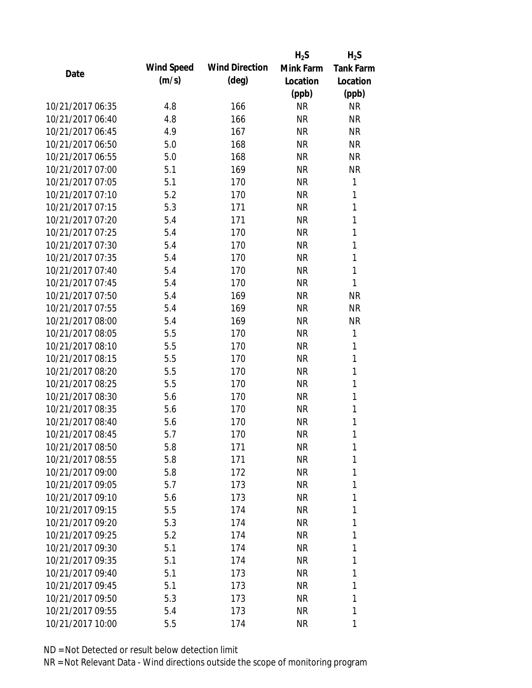|                  |            |                       | $H_2S$    | $H_2S$           |
|------------------|------------|-----------------------|-----------|------------------|
| Date             | Wind Speed | <b>Wind Direction</b> | Mink Farm | <b>Tank Farm</b> |
|                  | (m/s)      | $(\text{deg})$        | Location  | Location         |
|                  |            |                       | (ppb)     | (ppb)            |
| 10/21/2017 06:35 | 4.8        | 166                   | <b>NR</b> | <b>NR</b>        |
| 10/21/2017 06:40 | 4.8        | 166                   | <b>NR</b> | <b>NR</b>        |
| 10/21/2017 06:45 | 4.9        | 167                   | <b>NR</b> | <b>NR</b>        |
| 10/21/2017 06:50 | 5.0        | 168                   | <b>NR</b> | <b>NR</b>        |
| 10/21/2017 06:55 | 5.0        | 168                   | <b>NR</b> | <b>NR</b>        |
| 10/21/2017 07:00 | 5.1        | 169                   | <b>NR</b> | <b>NR</b>        |
| 10/21/2017 07:05 | 5.1        | 170                   | <b>NR</b> | 1                |
| 10/21/2017 07:10 | 5.2        | 170                   | <b>NR</b> | 1                |
| 10/21/2017 07:15 | 5.3        | 171                   | <b>NR</b> | 1                |
| 10/21/2017 07:20 | 5.4        | 171                   | <b>NR</b> | 1                |
| 10/21/2017 07:25 | 5.4        | 170                   | <b>NR</b> | 1                |
| 10/21/2017 07:30 | 5.4        | 170                   | <b>NR</b> | 1                |
| 10/21/2017 07:35 | 5.4        | 170                   | <b>NR</b> | 1                |
| 10/21/2017 07:40 | 5.4        | 170                   | <b>NR</b> | 1                |
| 10/21/2017 07:45 | 5.4        | 170                   | <b>NR</b> | 1                |
| 10/21/2017 07:50 | 5.4        | 169                   | <b>NR</b> | <b>NR</b>        |
| 10/21/2017 07:55 | 5.4        | 169                   | <b>NR</b> | <b>NR</b>        |
| 10/21/2017 08:00 | 5.4        | 169                   | <b>NR</b> | <b>NR</b>        |
| 10/21/2017 08:05 | 5.5        | 170                   | <b>NR</b> | 1                |
| 10/21/2017 08:10 | 5.5        | 170                   | <b>NR</b> | 1                |
| 10/21/2017 08:15 | 5.5        | 170                   | <b>NR</b> | 1                |
| 10/21/2017 08:20 | 5.5        | 170                   | <b>NR</b> | 1                |
| 10/21/2017 08:25 | 5.5        | 170                   | <b>NR</b> | 1                |
| 10/21/2017 08:30 | 5.6        | 170                   | <b>NR</b> | 1                |
| 10/21/2017 08:35 | 5.6        | 170                   | <b>NR</b> | 1                |
| 10/21/2017 08:40 | 5.6        | 170                   | <b>NR</b> | 1                |
| 10/21/2017 08:45 | 5.7        | 170                   | <b>NR</b> | 1                |
| 10/21/2017 08:50 | 5.8        | 171                   | <b>NR</b> | 1                |
| 10/21/2017 08:55 | 5.8        | 171                   | <b>NR</b> | 1                |
| 10/21/2017 09:00 | 5.8        | 172                   | <b>NR</b> | 1                |
| 10/21/2017 09:05 | 5.7        | 173                   | <b>NR</b> | 1                |
| 10/21/2017 09:10 | 5.6        | 173                   | <b>NR</b> | 1                |
| 10/21/2017 09:15 | 5.5        | 174                   | <b>NR</b> | 1                |
| 10/21/2017 09:20 | 5.3        | 174                   | <b>NR</b> | 1                |
| 10/21/2017 09:25 | 5.2        | 174                   | <b>NR</b> | 1                |
| 10/21/2017 09:30 | 5.1        | 174                   | <b>NR</b> | 1                |
| 10/21/2017 09:35 | 5.1        | 174                   | <b>NR</b> | 1                |
| 10/21/2017 09:40 | 5.1        | 173                   | <b>NR</b> | 1                |
| 10/21/2017 09:45 | 5.1        | 173                   | <b>NR</b> | 1                |
| 10/21/2017 09:50 | 5.3        | 173                   | <b>NR</b> | 1                |
| 10/21/2017 09:55 | 5.4        | 173                   | <b>NR</b> | 1                |
| 10/21/2017 10:00 | 5.5        | 174                   | <b>NR</b> | 1                |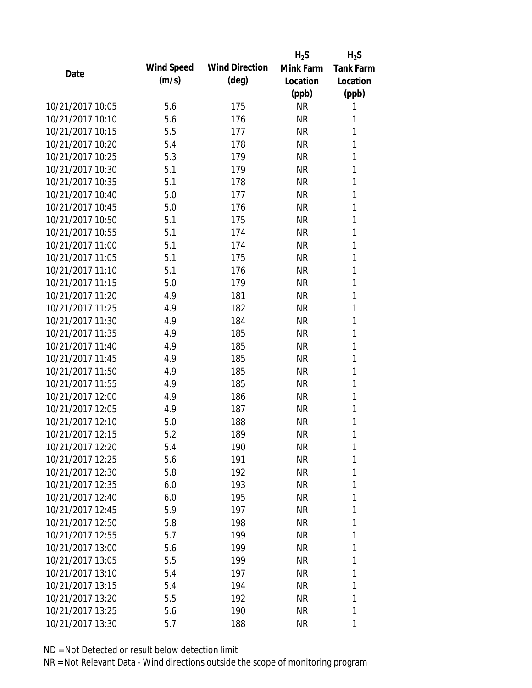|                  |            |                       | $H_2S$    | $H_2S$           |
|------------------|------------|-----------------------|-----------|------------------|
| Date             | Wind Speed | <b>Wind Direction</b> | Mink Farm | <b>Tank Farm</b> |
|                  | (m/s)      | $(\text{deg})$        | Location  | Location         |
|                  |            |                       | (ppb)     | (ppb)            |
| 10/21/2017 10:05 | 5.6        | 175                   | <b>NR</b> | 1                |
| 10/21/2017 10:10 | 5.6        | 176                   | <b>NR</b> | 1                |
| 10/21/2017 10:15 | 5.5        | 177                   | <b>NR</b> | 1                |
| 10/21/2017 10:20 | 5.4        | 178                   | <b>NR</b> | 1                |
| 10/21/2017 10:25 | 5.3        | 179                   | <b>NR</b> | 1                |
| 10/21/2017 10:30 | 5.1        | 179                   | <b>NR</b> | 1                |
| 10/21/2017 10:35 | 5.1        | 178                   | <b>NR</b> | 1                |
| 10/21/2017 10:40 | 5.0        | 177                   | <b>NR</b> | 1                |
| 10/21/2017 10:45 | 5.0        | 176                   | <b>NR</b> | 1                |
| 10/21/2017 10:50 | 5.1        | 175                   | <b>NR</b> | 1                |
| 10/21/2017 10:55 | 5.1        | 174                   | <b>NR</b> | 1                |
| 10/21/2017 11:00 | 5.1        | 174                   | <b>NR</b> | 1                |
| 10/21/2017 11:05 | 5.1        | 175                   | <b>NR</b> | 1                |
| 10/21/2017 11:10 | 5.1        | 176                   | <b>NR</b> | 1                |
| 10/21/2017 11:15 | 5.0        | 179                   | <b>NR</b> | 1                |
| 10/21/2017 11:20 | 4.9        | 181                   | <b>NR</b> | 1                |
| 10/21/2017 11:25 | 4.9        | 182                   | <b>NR</b> | 1                |
| 10/21/2017 11:30 | 4.9        | 184                   | <b>NR</b> | 1                |
| 10/21/2017 11:35 | 4.9        | 185                   | <b>NR</b> | 1                |
| 10/21/2017 11:40 | 4.9        | 185                   | <b>NR</b> | 1                |
| 10/21/2017 11:45 | 4.9        | 185                   | <b>NR</b> | 1                |
| 10/21/2017 11:50 | 4.9        | 185                   | <b>NR</b> | 1                |
| 10/21/2017 11:55 | 4.9        | 185                   | <b>NR</b> | 1                |
| 10/21/2017 12:00 | 4.9        | 186                   | <b>NR</b> | 1                |
| 10/21/2017 12:05 | 4.9        | 187                   | <b>NR</b> | 1                |
| 10/21/2017 12:10 | 5.0        | 188                   | <b>NR</b> | 1                |
| 10/21/2017 12:15 | 5.2        | 189                   | <b>NR</b> | 1                |
| 10/21/2017 12:20 | 5.4        | 190                   | <b>NR</b> | 1                |
| 10/21/2017 12:25 | 5.6        | 191                   | <b>NR</b> | 1                |
| 10/21/2017 12:30 | 5.8        | 192                   | <b>NR</b> | 1                |
| 10/21/2017 12:35 | 6.0        | 193                   | <b>NR</b> | 1                |
| 10/21/2017 12:40 | 6.0        | 195                   | <b>NR</b> | 1                |
| 10/21/2017 12:45 | 5.9        | 197                   | NR        | 1                |
| 10/21/2017 12:50 | 5.8        | 198                   | <b>NR</b> | 1                |
| 10/21/2017 12:55 | 5.7        | 199                   | <b>NR</b> | 1                |
| 10/21/2017 13:00 | 5.6        | 199                   | <b>NR</b> | 1                |
| 10/21/2017 13:05 | 5.5        | 199                   | <b>NR</b> | 1                |
| 10/21/2017 13:10 | 5.4        | 197                   | NR        | 1                |
| 10/21/2017 13:15 | 5.4        | 194                   | <b>NR</b> | 1                |
| 10/21/2017 13:20 | 5.5        | 192                   | ΝR        | 1                |
| 10/21/2017 13:25 | 5.6        | 190                   | <b>NR</b> | 1                |
| 10/21/2017 13:30 | 5.7        | 188                   | <b>NR</b> | 1                |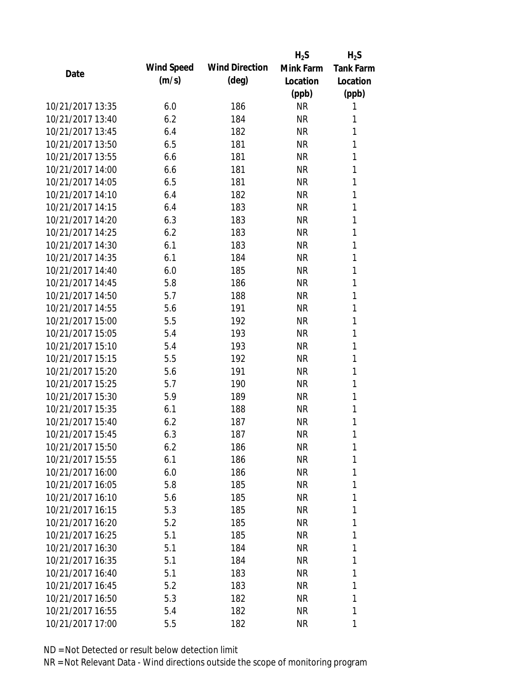|                  |            |                       | $H_2S$    | $H_2S$           |
|------------------|------------|-----------------------|-----------|------------------|
| Date             | Wind Speed | <b>Wind Direction</b> | Mink Farm | <b>Tank Farm</b> |
|                  | (m/s)      | $(\text{deg})$        | Location  | Location         |
|                  |            |                       | (ppb)     | (ppb)            |
| 10/21/2017 13:35 | 6.0        | 186                   | <b>NR</b> | 1                |
| 10/21/2017 13:40 | 6.2        | 184                   | <b>NR</b> | 1                |
| 10/21/2017 13:45 | 6.4        | 182                   | <b>NR</b> | 1                |
| 10/21/2017 13:50 | 6.5        | 181                   | <b>NR</b> | 1                |
| 10/21/2017 13:55 | 6.6        | 181                   | <b>NR</b> | 1                |
| 10/21/2017 14:00 | 6.6        | 181                   | <b>NR</b> | 1                |
| 10/21/2017 14:05 | 6.5        | 181                   | <b>NR</b> | 1                |
| 10/21/2017 14:10 | 6.4        | 182                   | <b>NR</b> | 1                |
| 10/21/2017 14:15 | 6.4        | 183                   | <b>NR</b> | 1                |
| 10/21/2017 14:20 | 6.3        | 183                   | <b>NR</b> | 1                |
| 10/21/2017 14:25 | 6.2        | 183                   | <b>NR</b> | 1                |
| 10/21/2017 14:30 | 6.1        | 183                   | <b>NR</b> | 1                |
| 10/21/2017 14:35 | 6.1        | 184                   | <b>NR</b> | 1                |
| 10/21/2017 14:40 | 6.0        | 185                   | <b>NR</b> | 1                |
| 10/21/2017 14:45 | 5.8        | 186                   | <b>NR</b> | 1                |
| 10/21/2017 14:50 | 5.7        | 188                   | <b>NR</b> | 1                |
| 10/21/2017 14:55 | 5.6        | 191                   | <b>NR</b> | 1                |
| 10/21/2017 15:00 | 5.5        | 192                   | <b>NR</b> | 1                |
| 10/21/2017 15:05 | 5.4        | 193                   | <b>NR</b> | 1                |
| 10/21/2017 15:10 | 5.4        | 193                   | <b>NR</b> | 1                |
| 10/21/2017 15:15 | 5.5        | 192                   | <b>NR</b> | 1                |
| 10/21/2017 15:20 | 5.6        | 191                   | <b>NR</b> | 1                |
| 10/21/2017 15:25 | 5.7        | 190                   | <b>NR</b> | 1                |
| 10/21/2017 15:30 | 5.9        | 189                   | <b>NR</b> | 1                |
| 10/21/2017 15:35 | 6.1        | 188                   | <b>NR</b> | 1                |
| 10/21/2017 15:40 | 6.2        | 187                   | <b>NR</b> | 1                |
| 10/21/2017 15:45 | 6.3        | 187                   | <b>NR</b> | 1                |
| 10/21/2017 15:50 | 6.2        | 186                   | <b>NR</b> | 1                |
| 10/21/2017 15:55 | 6.1        | 186                   | <b>NR</b> | 1                |
| 10/21/2017 16:00 | 6.0        | 186                   | NR        | 1                |
| 10/21/2017 16:05 | 5.8        | 185                   | <b>NR</b> | 1                |
| 10/21/2017 16:10 | 5.6        | 185                   | <b>NR</b> | 1                |
| 10/21/2017 16:15 | 5.3        | 185                   | NR        | 1                |
| 10/21/2017 16:20 | 5.2        | 185                   | <b>NR</b> | 1                |
| 10/21/2017 16:25 | 5.1        | 185                   | <b>NR</b> | 1                |
| 10/21/2017 16:30 | 5.1        | 184                   | <b>NR</b> | 1                |
| 10/21/2017 16:35 | 5.1        | 184                   | <b>NR</b> | 1                |
| 10/21/2017 16:40 | 5.1        | 183                   | <b>NR</b> | 1                |
| 10/21/2017 16:45 | 5.2        | 183                   | <b>NR</b> | 1                |
| 10/21/2017 16:50 | 5.3        | 182                   | <b>NR</b> | 1                |
| 10/21/2017 16:55 | 5.4        | 182                   | <b>NR</b> | 1                |
| 10/21/2017 17:00 | 5.5        | 182                   | <b>NR</b> | 1                |
|                  |            |                       |           |                  |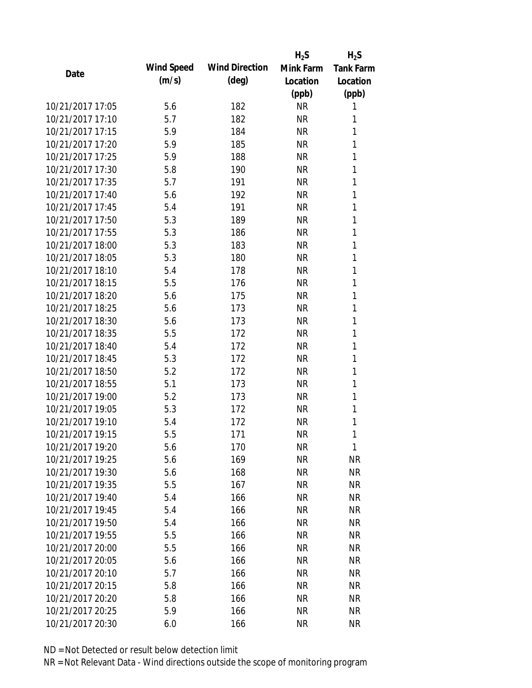|                  |            |                       | $H_2S$    | $H_2S$           |
|------------------|------------|-----------------------|-----------|------------------|
| Date             | Wind Speed | <b>Wind Direction</b> | Mink Farm | <b>Tank Farm</b> |
|                  | (m/s)      | $(\text{deg})$        | Location  | Location         |
|                  |            |                       | (ppb)     | (ppb)            |
| 10/21/2017 17:05 | 5.6        | 182                   | <b>NR</b> | 1                |
| 10/21/2017 17:10 | 5.7        | 182                   | <b>NR</b> | 1                |
| 10/21/2017 17:15 | 5.9        | 184                   | <b>NR</b> | 1                |
| 10/21/2017 17:20 | 5.9        | 185                   | <b>NR</b> | 1                |
| 10/21/2017 17:25 | 5.9        | 188                   | <b>NR</b> | 1                |
| 10/21/2017 17:30 | 5.8        | 190                   | <b>NR</b> | 1                |
| 10/21/2017 17:35 | 5.7        | 191                   | <b>NR</b> | 1                |
| 10/21/2017 17:40 | 5.6        | 192                   | <b>NR</b> | 1                |
| 10/21/2017 17:45 | 5.4        | 191                   | <b>NR</b> | 1                |
| 10/21/2017 17:50 | 5.3        | 189                   | <b>NR</b> | 1                |
| 10/21/2017 17:55 | 5.3        | 186                   | <b>NR</b> | 1                |
| 10/21/2017 18:00 | 5.3        | 183                   | <b>NR</b> | 1                |
| 10/21/2017 18:05 | 5.3        | 180                   | <b>NR</b> | 1                |
| 10/21/2017 18:10 | 5.4        | 178                   | <b>NR</b> | 1                |
| 10/21/2017 18:15 | 5.5        | 176                   | <b>NR</b> | 1                |
| 10/21/2017 18:20 | 5.6        | 175                   | <b>NR</b> | 1                |
| 10/21/2017 18:25 | 5.6        | 173                   | <b>NR</b> | 1                |
| 10/21/2017 18:30 | 5.6        | 173                   | <b>NR</b> | 1                |
| 10/21/2017 18:35 | 5.5        | 172                   | <b>NR</b> | 1                |
| 10/21/2017 18:40 | 5.4        | 172                   | <b>NR</b> | 1                |
| 10/21/2017 18:45 | 5.3        | 172                   | <b>NR</b> | 1                |
| 10/21/2017 18:50 | 5.2        | 172                   | <b>NR</b> | 1                |
| 10/21/2017 18:55 | 5.1        | 173                   | <b>NR</b> | 1                |
| 10/21/2017 19:00 | 5.2        | 173                   | <b>NR</b> | 1                |
| 10/21/2017 19:05 | 5.3        | 172                   | <b>NR</b> | 1                |
| 10/21/2017 19:10 | 5.4        | 172                   | <b>NR</b> | 1                |
| 10/21/2017 19:15 | 5.5        | 171                   | <b>NR</b> | 1                |
| 10/21/2017 19:20 | 5.6        | 170                   | <b>NR</b> | 1                |
| 10/21/2017 19:25 | 5.6        | 169                   | <b>NR</b> | <b>NR</b>        |
| 10/21/2017 19:30 | 5.6        | 168                   | NR        | <b>NR</b>        |
| 10/21/2017 19:35 | 5.5        | 167                   | <b>NR</b> | <b>NR</b>        |
| 10/21/2017 19:40 | 5.4        | 166                   | <b>NR</b> | <b>NR</b>        |
| 10/21/2017 19:45 | 5.4        | 166                   | NR        | <b>NR</b>        |
| 10/21/2017 19:50 | 5.4        | 166                   | <b>NR</b> | <b>NR</b>        |
| 10/21/2017 19:55 | 5.5        | 166                   | NR        | <b>NR</b>        |
| 10/21/2017 20:00 | 5.5        | 166                   | NR        | <b>NR</b>        |
| 10/21/2017 20:05 | 5.6        | 166                   | <b>NR</b> | <b>NR</b>        |
| 10/21/2017 20:10 | 5.7        | 166                   | NR        | <b>NR</b>        |
| 10/21/2017 20:15 | 5.8        | 166                   | <b>NR</b> | <b>NR</b>        |
| 10/21/2017 20:20 | 5.8        | 166                   | ΝR        | <b>NR</b>        |
| 10/21/2017 20:25 | 5.9        | 166                   | <b>NR</b> | <b>NR</b>        |
| 10/21/2017 20:30 | 6.0        | 166                   | <b>NR</b> | <b>NR</b>        |